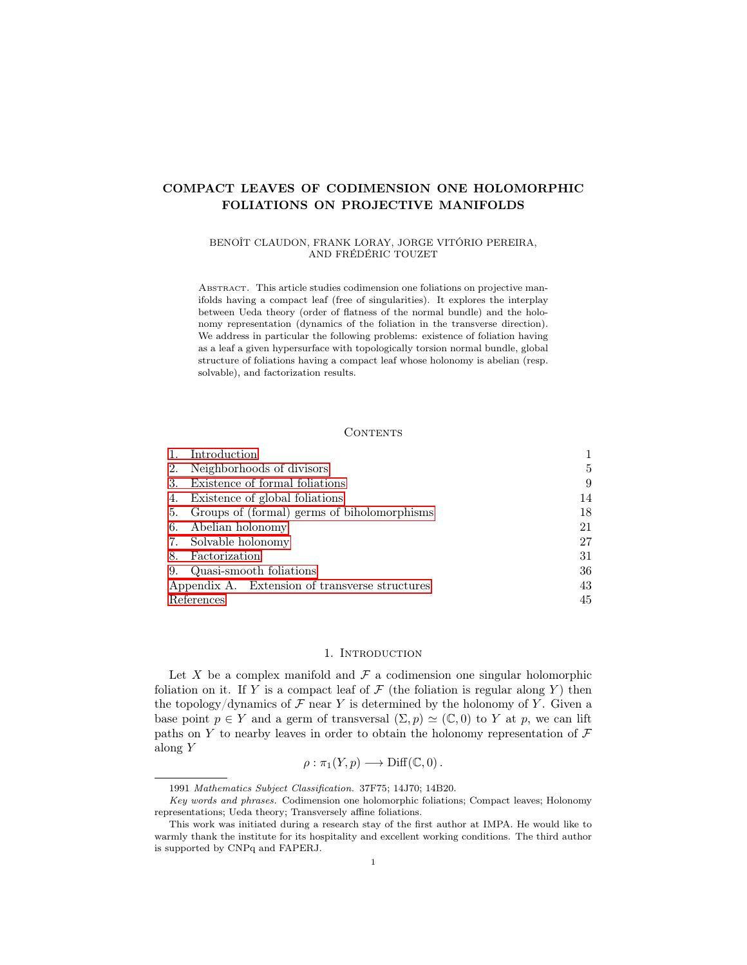# COMPACT LEAVES OF CODIMENSION ONE HOLOMORPHIC FOLIATIONS ON PROJECTIVE MANIFOLDS

### BENOÎT CLAUDON, FRANK LORAY, JORGE VITÓRIO PEREIRA, AND FRÉDÉRIC TOUZET

ABSTRACT. This article studies codimension one foliations on projective manifolds having a compact leaf (free of singularities). It explores the interplay between Ueda theory (order of flatness of the normal bundle) and the holonomy representation (dynamics of the foliation in the transverse direction). We address in particular the following problems: existence of foliation having as a leaf a given hypersurface with topologically torsion normal bundle, global structure of foliations having a compact leaf whose holonomy is abelian (resp. solvable), and factorization results.

#### CONTENTS

|                                                | Introduction                                |    |
|------------------------------------------------|---------------------------------------------|----|
| 2.                                             | Neighborhoods of divisors                   | 5  |
| 3.                                             | Existence of formal foliations              | 9  |
| 4.                                             | Existence of global foliations              | 14 |
| 5.                                             | Groups of (formal) germs of biholomorphisms | 18 |
| 6.                                             | Abelian holonomy                            | 21 |
| 7.                                             | Solvable holonomy                           | 27 |
| 8.                                             | Factorization                               | 31 |
| 9.                                             | Quasi-smooth foliations                     | 36 |
| Appendix A. Extension of transverse structures |                                             | 43 |
| References                                     |                                             | 45 |

### 1. INTRODUCTION

<span id="page-0-0"></span>Let X be a complex manifold and  $\mathcal F$  a codimension one singular holomorphic foliation on it. If Y is a compact leaf of  $\mathcal F$  (the foliation is regular along Y) then the topology/dynamics of  $\mathcal F$  near Y is determined by the holonomy of Y. Given a base point  $p \in Y$  and a germ of transversal  $(\Sigma, p) \simeq (\mathbb{C}, 0)$  to Y at p, we can lift paths on Y to nearby leaves in order to obtain the holonomy representation of  $\mathcal F$ along Y

$$
\rho : \pi_1(Y, p) \longrightarrow \text{Diff}(\mathbb{C}, 0) \, .
$$

<sup>1991</sup> Mathematics Subject Classification. 37F75; 14J70; 14B20.

Key words and phrases. Codimension one holomorphic foliations; Compact leaves; Holonomy representations; Ueda theory; Transversely affine foliations.

This work was initiated during a research stay of the first author at IMPA. He would like to warmly thank the institute for its hospitality and excellent working conditions. The third author is supported by CNPq and FAPERJ.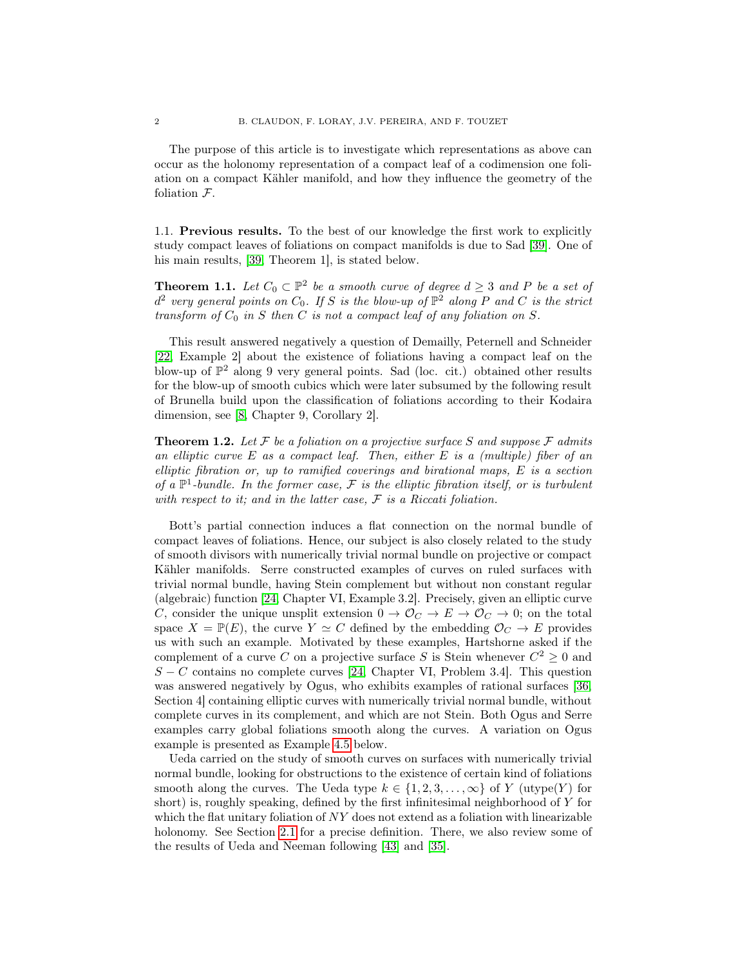The purpose of this article is to investigate which representations as above can occur as the holonomy representation of a compact leaf of a codimension one foliation on a compact Kähler manifold, and how they influence the geometry of the foliation F.

1.1. Previous results. To the best of our knowledge the first work to explicitly study compact leaves of foliations on compact manifolds is due to Sad [\[39\]](#page-46-0). One of his main results, [\[39,](#page-46-0) Theorem 1], is stated below.

<span id="page-1-0"></span>**Theorem 1.1.** Let  $C_0 \subset \mathbb{P}^2$  be a smooth curve of degree  $d \geq 3$  and P be a set of  $d^2$  very general points on  $C_0$ . If S is the blow-up of  $\mathbb{P}^2$  along P and C is the strict transform of  $C_0$  in S then C is not a compact leaf of any foliation on S.

This result answered negatively a question of Demailly, Peternell and Schneider [\[22,](#page-45-0) Example 2] about the existence of foliations having a compact leaf on the blow-up of  $\mathbb{P}^2$  along 9 very general points. Sad (loc. cit.) obtained other results for the blow-up of smooth cubics which were later subsumed by the following result of Brunella build upon the classification of foliations according to their Kodaira dimension, see [\[8,](#page-44-1) Chapter 9, Corollary 2].

**Theorem 1.2.** Let  $\mathcal F$  be a foliation on a projective surface S and suppose  $\mathcal F$  admits an elliptic curve  $E$  as a compact leaf. Then, either  $E$  is a (multiple) fiber of an elliptic fibration or, up to ramified coverings and birational maps, E is a section of a  $\mathbb{P}^1$ -bundle. In the former case, F is the elliptic fibration itself, or is turbulent with respect to it; and in the latter case,  $\mathcal F$  is a Riccati foliation.

Bott's partial connection induces a flat connection on the normal bundle of compact leaves of foliations. Hence, our subject is also closely related to the study of smooth divisors with numerically trivial normal bundle on projective or compact Kähler manifolds. Serre constructed examples of curves on ruled surfaces with trivial normal bundle, having Stein complement but without non constant regular (algebraic) function [\[24,](#page-45-1) Chapter VI, Example 3.2]. Precisely, given an elliptic curve C, consider the unique unsplit extension  $0 \to \mathcal{O}_C \to E \to \mathcal{O}_C \to 0$ ; on the total space  $X = \mathbb{P}(E)$ , the curve  $Y \simeq C$  defined by the embedding  $\mathcal{O}_C \to E$  provides us with such an example. Motivated by these examples, Hartshorne asked if the complement of a curve C on a projective surface S is Stein whenever  $C^2 \geq 0$  and  $S - C$  contains no complete curves [\[24,](#page-45-1) Chapter VI, Problem 3.4]. This question was answered negatively by Ogus, who exhibits examples of rational surfaces [\[36,](#page-45-2) Section 4] containing elliptic curves with numerically trivial normal bundle, without complete curves in its complement, and which are not Stein. Both Ogus and Serre examples carry global foliations smooth along the curves. A variation on Ogus example is presented as Example [4.5](#page-15-0) below.

Ueda carried on the study of smooth curves on surfaces with numerically trivial normal bundle, looking for obstructions to the existence of certain kind of foliations smooth along the curves. The Ueda type  $k \in \{1, 2, 3, ..., \infty\}$  of Y (utype(Y) for short) is, roughly speaking, defined by the first infinitesimal neighborhood of Y for which the flat unitary foliation of  $NY$  does not extend as a foliation with linearizable holonomy. See Section [2.1](#page-4-1) for a precise definition. There, we also review some of the results of Ueda and Neeman following [\[43\]](#page-46-1) and [\[35\]](#page-45-3).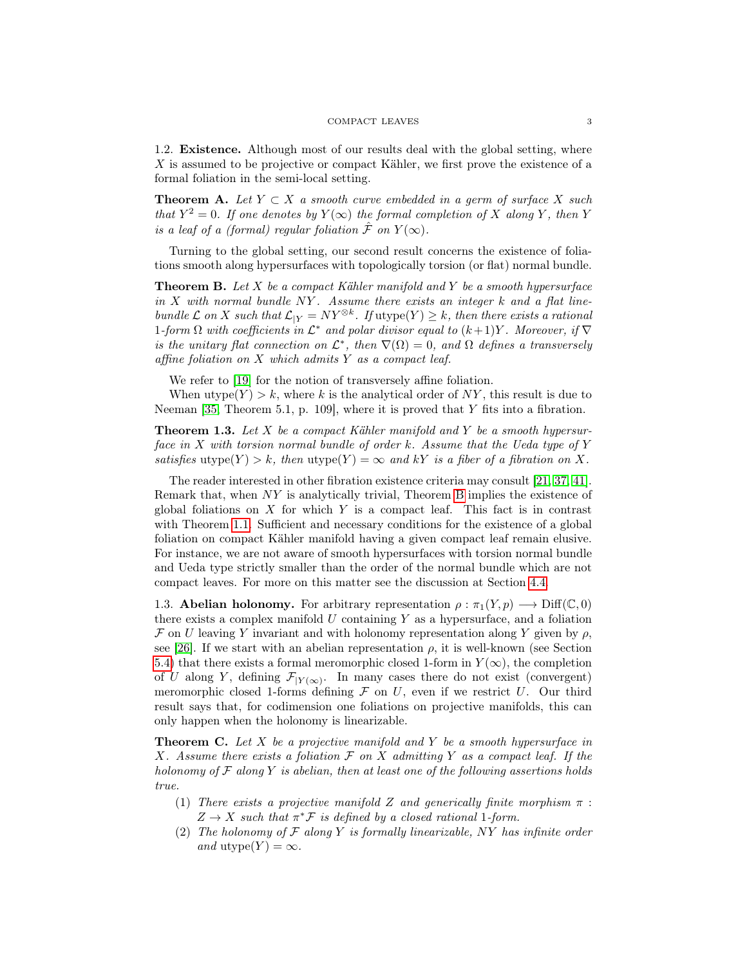1.2. Existence. Although most of our results deal with the global setting, where X is assumed to be projective or compact Kähler, we first prove the existence of a formal foliation in the semi-local setting.

<span id="page-2-3"></span>**Theorem A.** Let  $Y \subset X$  a smooth curve embedded in a germ of surface X such that  $Y^2 = 0$ . If one denotes by  $Y(\infty)$  the formal completion of X along Y, then Y is a leaf of a (formal) regular foliation  $\hat{\mathcal{F}}$  on  $Y(\infty)$ .

Turning to the global setting, our second result concerns the existence of foliations smooth along hypersurfaces with topologically torsion (or flat) normal bundle.

<span id="page-2-0"></span>**Theorem B.** Let X be a compact Kähler manifold and Y be a smooth hypersurface in  $X$  with normal bundle  $NY$ . Assume there exists an integer  $k$  and a flat linebundle  $\mathcal L$  on X such that  $\mathcal L_{|Y} = NY^{\otimes k}$ . If utype $(Y) \geq k$ , then there exists a rational 1-form  $\Omega$  with coefficients in  $\mathcal{L}^*$  and polar divisor equal to  $(k+1)Y$ . Moreover, if  $\nabla$ is the unitary flat connection on  $\mathcal{L}^*$ , then  $\nabla(\Omega) = 0$ , and  $\Omega$  defines a transversely affine foliation on  $X$  which admits  $Y$  as a compact leaf.

We refer to [\[19\]](#page-45-4) for the notion of transversely affine foliation.

When utype( $Y > k$ , where k is the analytical order of NY, this result is due to Neeman [\[35,](#page-45-3) Theorem 5.1, p. 109], where it is proved that  $Y$  fits into a fibration.

<span id="page-2-2"></span>**Theorem 1.3.** Let X be a compact Kähler manifold and Y be a smooth hypersurface in X with torsion normal bundle of order k. Assume that the Ueda type of Y satisfies utype(Y) > k, then utype(Y) =  $\infty$  and kY is a fiber of a fibration on X.

The reader interested in other fibration existence criteria may consult [\[21,](#page-45-5) [37,](#page-46-2) [41\]](#page-46-3). Remark that, when NY is analytically trivial, Theorem [B](#page-2-0) implies the existence of global foliations on  $X$  for which  $Y$  is a compact leaf. This fact is in contrast with Theorem [1.1.](#page-1-0) Sufficient and necessary conditions for the existence of a global foliation on compact Kähler manifold having a given compact leaf remain elusive. For instance, we are not aware of smooth hypersurfaces with torsion normal bundle and Ueda type strictly smaller than the order of the normal bundle which are not compact leaves. For more on this matter see the discussion at Section [4.4.](#page-16-0)

1.3. **Abelian holonomy.** For arbitrary representation  $\rho : \pi_1(Y, p) \longrightarrow \text{Diff}(\mathbb{C}, 0)$ there exists a complex manifold  $U$  containing  $Y$  as a hypersurface, and a foliation F on U leaving Y invariant and with holonomy representation along Y given by  $\rho$ , see [\[26\]](#page-45-6). If we start with an abelian representation  $\rho$ , it is well-known (see Section [5.4\)](#page-18-0) that there exists a formal meromorphic closed 1-form in  $Y(\infty)$ , the completion of U along Y, defining  $\mathcal{F}_{|Y(\infty)}$ . In many cases there do not exist (convergent) meromorphic closed 1-forms defining  $\mathcal F$  on  $U$ , even if we restrict  $U$ . Our third result says that, for codimension one foliations on projective manifolds, this can only happen when the holonomy is linearizable.

<span id="page-2-1"></span>**Theorem C.** Let X be a projective manifold and Y be a smooth hypersurface in X. Assume there exists a foliation  $\mathcal F$  on X admitting Y as a compact leaf. If the holonomy of  $\mathcal F$  along  $Y$  is abelian, then at least one of the following assertions holds true.

- (1) There exists a projective manifold Z and generically finite morphism  $\pi$ :  $Z \to X$  such that  $\pi^* \mathcal{F}$  is defined by a closed rational 1-form.
- (2) The holonomy of  $\mathcal F$  along Y is formally linearizable, NY has infinite order and utype $(Y) = \infty$ .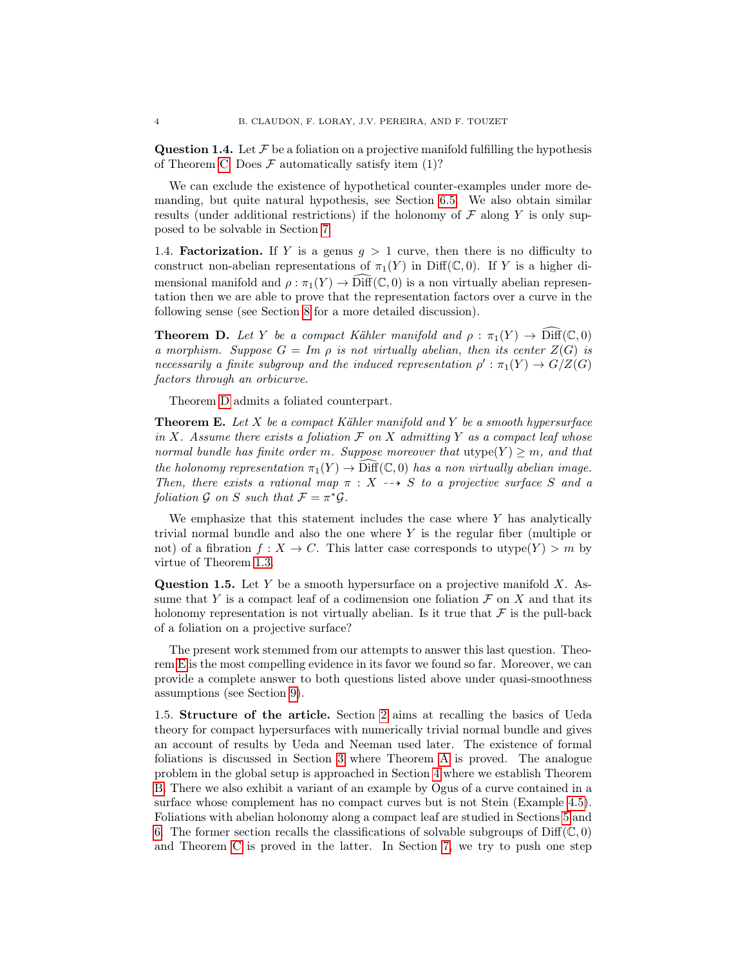**Question 1.4.** Let  $\mathcal F$  be a foliation on a projective manifold fulfilling the hypothesis of Theorem [C.](#page-2-1) Does  $\mathcal F$  automatically satisfy item (1)?

We can exclude the existence of hypothetical counter-examples under more demanding, but quite natural hypothesis, see Section [6.5.](#page-25-0) We also obtain similar results (under additional restrictions) if the holonomy of  $\mathcal F$  along Y is only supposed to be solvable in Section [7.](#page-26-0)

1.4. **Factorization.** If Y is a genus  $g > 1$  curve, then there is no difficulty to construct non-abelian representations of  $\pi_1(Y)$  in Diff(C, 0). If Y is a higher dimensional manifold and  $\rho : \pi_1(Y) \to \widehat{\text{Diff}}(\mathbb{C},0)$  is a non virtually abelian representation then we are able to prove that the representation factors over a curve in the following sense (see Section [8](#page-30-0) for a more detailed discussion).

<span id="page-3-0"></span>**Theorem D.** Let Y be a compact Kähler manifold and  $\rho : \pi_1(Y) \to \widehat{\text{Diff}}(\mathbb{C},0)$ a morphism. Suppose  $G = Im \, \rho$  is not virtually abelian, then its center  $Z(G)$  is necessarily a finite subgroup and the induced representation  $\rho': \pi_1(Y) \to G/Z(G)$ factors through an orbicurve.

Theorem [D](#page-3-0) admits a foliated counterpart.

<span id="page-3-1"></span>**Theorem E.** Let  $X$  be a compact Kähler manifold and  $Y$  be a smooth hypersurface in X. Assume there exists a foliation  $\mathcal F$  on X admitting Y as a compact leaf whose normal bundle has finite order m. Suppose moreover that  $\text{utype}(Y) \geq m$ , and that the holonomy representation  $\pi_1(Y) \to \text{Diff}(\mathbb{C},0)$  has a non virtually abelian image. Then, there exists a rational map  $\pi : X \dashrightarrow S$  to a projective surface S and a foliation G on S such that  $\mathcal{F} = \pi^* \mathcal{G}$ .

We emphasize that this statement includes the case where  $Y$  has analytically trivial normal bundle and also the one where Y is the regular fiber (multiple or not) of a fibration  $f: X \to C$ . This latter case corresponds to utype $(Y) > m$  by virtue of Theorem [1.3.](#page-2-2)

<span id="page-3-2"></span>**Question 1.5.** Let Y be a smooth hypersurface on a projective manifold  $X$ . Assume that Y is a compact leaf of a codimension one foliation  $\mathcal F$  on X and that its holonomy representation is not virtually abelian. Is it true that  $\mathcal F$  is the pull-back of a foliation on a projective surface?

The present work stemmed from our attempts to answer this last question. Theorem [E](#page-3-1) is the most compelling evidence in its favor we found so far. Moreover, we can provide a complete answer to both questions listed above under quasi-smoothness assumptions (see Section [9\)](#page-35-0).

1.5. Structure of the article. Section [2](#page-4-0) aims at recalling the basics of Ueda theory for compact hypersurfaces with numerically trivial normal bundle and gives an account of results by Ueda and Neeman used later. The existence of formal foliations is discussed in Section [3](#page-8-0) where Theorem [A](#page-2-3) is proved. The analogue problem in the global setup is approached in Section [4](#page-13-0) where we establish Theorem [B.](#page-2-0) There we also exhibit a variant of an example by Ogus of a curve contained in a surface whose complement has no compact curves but is not Stein (Example [4.5\)](#page-15-0). Foliations with abelian holonomy along a compact leaf are studied in Sections [5](#page-17-0) and [6.](#page-20-0) The former section recalls the classifications of solvable subgroups of  $\text{Diff}(\mathbb{C},0)$ and Theorem [C](#page-2-1) is proved in the latter. In Section [7,](#page-26-0) we try to push one step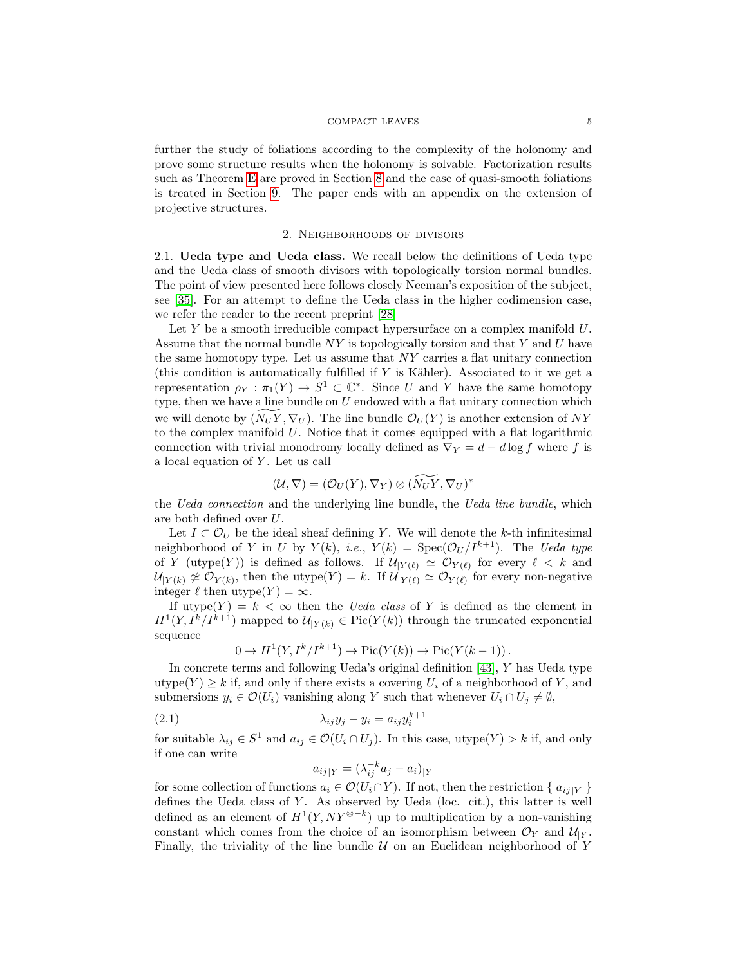#### COMPACT LEAVES 5

further the study of foliations according to the complexity of the holonomy and prove some structure results when the holonomy is solvable. Factorization results such as Theorem [E](#page-3-1) are proved in Section [8](#page-30-0) and the case of quasi-smooth foliations is treated in Section [9.](#page-35-0) The paper ends with an appendix on the extension of projective structures.

### 2. Neighborhoods of divisors

<span id="page-4-1"></span><span id="page-4-0"></span>2.1. Ueda type and Ueda class. We recall below the definitions of Ueda type and the Ueda class of smooth divisors with topologically torsion normal bundles. The point of view presented here follows closely Neeman's exposition of the subject, see [\[35\]](#page-45-3). For an attempt to define the Ueda class in the higher codimension case, we refer the reader to the recent preprint [\[28\]](#page-45-7)

Let  $Y$  be a smooth irreducible compact hypersurface on a complex manifold  $U$ . Assume that the normal bundle  $NY$  is topologically torsion and that Y and U have the same homotopy type. Let us assume that NY carries a flat unitary connection (this condition is automatically fulfilled if Y is Kähler). Associated to it we get a representation  $\rho_Y : \pi_1(Y) \to S^1 \subset \mathbb{C}^*$ . Since U and Y have the same homotopy type, then we have a line bundle on  $U$  endowed with a flat unitary connection which we will denote by  $(N_U Y, \nabla_U)$ . The line bundle  $\mathcal{O}_U(Y)$  is another extension of NY to the complex manifold  $U$ . Notice that it comes equipped with a flat logarithmic connection with trivial monodromy locally defined as  $\nabla_Y = d - d \log f$  where f is a local equation of  $Y$ . Let us call

$$
(\mathcal{U}, \nabla) = (\mathcal{O}_U(Y), \nabla_Y) \otimes (\widetilde{N_UY}, \nabla_U)^*
$$

the *Ueda connection* and the underlying line bundle, the *Ueda line bundle*, which are both defined over U.

Let  $I \subset \mathcal{O}_U$  be the ideal sheaf defining Y. We will denote the k-th infinitesimal neighborhood of Y in U by  $Y(k)$ , i.e.,  $Y(k) = \text{Spec}(\mathcal{O}_U/I^{k+1})$ . The Ueda type of Y (utype(Y)) is defined as follows. If  $\mathcal{U}_{|Y(\ell)} \simeq \mathcal{O}_{Y(\ell)}$  for every  $\ell < k$  and  $\mathcal{U}_{|Y(k)} \ncong \mathcal{O}_{Y(k)}$ , then the utype $(Y) = k$ . If  $\mathcal{U}_{|Y(\ell)} \simeq \mathcal{O}_{Y(\ell)}$  for every non-negative integer  $\ell$  then utype $(Y) = \infty$ .

If utype(Y) =  $k < \infty$  then the *Ueda class* of Y is defined as the element in  $H^1(Y, I^k/I^{k+1})$  mapped to  $\mathcal{U}_{|Y(k)} \in Pic(Y(k))$  through the truncated exponential sequence

$$
0 \to H^1(Y, I^k/I^{k+1}) \to Pic(Y(k)) \to Pic(Y(k-1)).
$$

In concrete terms and following Ueda's original definition [\[43\]](#page-46-1), Y has Ueda type utype(Y)  $\geq k$  if, and only if there exists a covering  $U_i$  of a neighborhood of Y, and submersions  $y_i \in \mathcal{O}(U_i)$  vanishing along Y such that whenever  $U_i \cap U_j \neq \emptyset$ ,

$$
\lambda_{ij}y_j - y_i = a_{ij}y_i^{k+1}
$$

for suitable  $\lambda_{ij} \in S^1$  and  $a_{ij} \in \mathcal{O}(U_i \cap U_j)$ . In this case, utype $(Y) > k$  if, and only if one can write

<span id="page-4-2"></span>
$$
a_{ij|Y} = (\lambda_{ij}^{-k} a_j - a_i)_{|Y}
$$

for some collection of functions  $a_i \in \mathcal{O}(U_i \cap Y)$ . If not, then the restriction  $\{a_{ij}|y\}$ defines the Ueda class of Y. As observed by Ueda (loc. cit.), this latter is well defined as an element of  $H^1(Y, NY^{\otimes -k})$  up to multiplication by a non-vanishing constant which comes from the choice of an isomorphism between  $\mathcal{O}_Y$  and  $\mathcal{U}_{|Y}$ . Finally, the triviality of the line bundle  $U$  on an Euclidean neighborhood of Y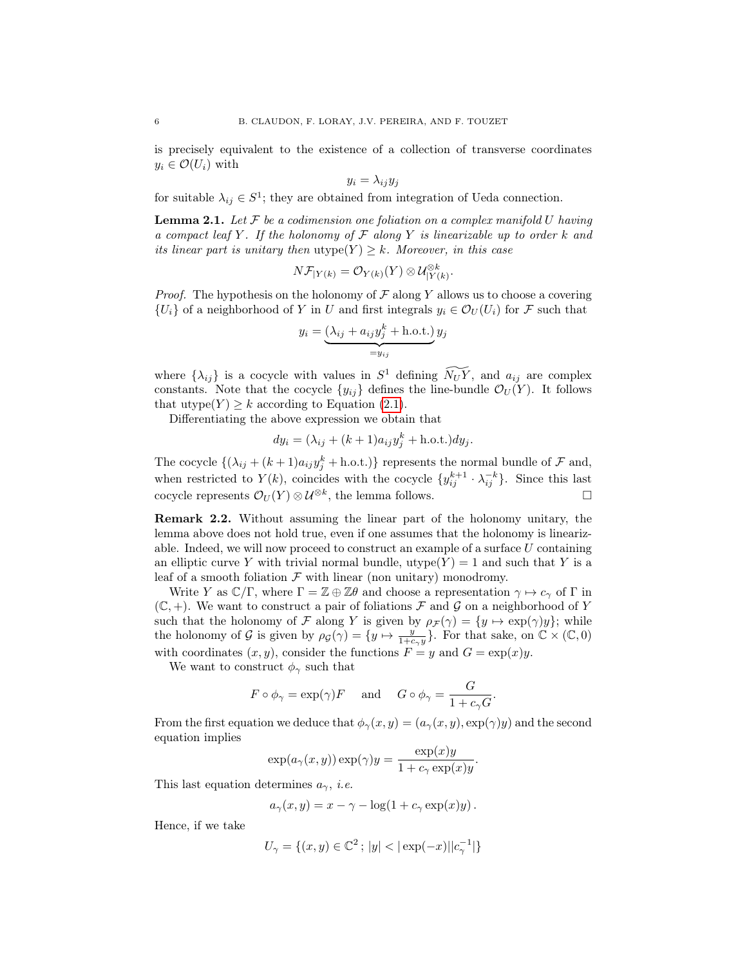is precisely equivalent to the existence of a collection of transverse coordinates  $y_i \in \mathcal{O}(U_i)$  with

$$
y_i = \lambda_{ij} y_j
$$

for suitable  $\lambda_{ij} \in S^1$ ; they are obtained from integration of Ueda connection.

<span id="page-5-0"></span>**Lemma 2.1.** Let  $F$  be a codimension one foliation on a complex manifold  $U$  having a compact leaf Y. If the holonomy of  $\mathcal F$  along Y is linearizable up to order k and its linear part is unitary then  $\text{utype}(Y) \geq k$ . Moreover, in this case

$$
N\mathcal{F}_{|Y(k)} = \mathcal{O}_{Y(k)}(Y) \otimes \mathcal{U}_{|Y(k)}^{\otimes k}.
$$

*Proof.* The hypothesis on the holonomy of  $\mathcal F$  along Y allows us to choose a covering  ${U_i}$  of a neighborhood of Y in U and first integrals  $y_i \in \mathcal{O}_U(U_i)$  for F such that

$$
y_i = \underbrace{(\lambda_{ij} + a_{ij}y_j^k + \text{h.o.t.})}_{=y_{ij}} y_j
$$

where  $\{\lambda_{ij}\}\$ is a cocycle with values in  $S^1$  defining  $\widetilde{N_UY}$ , and  $a_{ij}$  are complex constants. Note that the cocycle  $\{y_{ij}\}$  defines the line-bundle  $\mathcal{O}_U(Y)$ . It follows that utype $(Y) \geq k$  according to Equation [\(2.1\)](#page-4-2).

Differentiating the above expression we obtain that

$$
dy_i = (\lambda_{ij} + (k+1)a_{ij}y_j^k + \text{h.o.t.})dy_j.
$$

The cocycle  $\{(\lambda_{ij} + (k+1)a_{ij}y_j^k + \text{h.o.t.})\}$  represents the normal bundle of  $\mathcal F$  and, when restricted to  $Y(k)$ , coincides with the cocycle  $\{y_{ij}^{k+1} \cdot \lambda_{ij}^{-k}\}$ . Since this last cocycle represents  $\mathcal{O}_U(Y) \otimes \mathcal{U}^{\otimes k}$ , the lemma follows.

<span id="page-5-1"></span>Remark 2.2. Without assuming the linear part of the holonomy unitary, the lemma above does not hold true, even if one assumes that the holonomy is linearizable. Indeed, we will now proceed to construct an example of a surface  $U$  containing an elliptic curve Y with trivial normal bundle, utype $(Y) = 1$  and such that Y is a leaf of a smooth foliation  $\mathcal F$  with linear (non unitary) monodromy.

Write Y as  $\mathbb{C}/\Gamma$ , where  $\Gamma = \mathbb{Z} \oplus \mathbb{Z}\theta$  and choose a representation  $\gamma \mapsto c_{\gamma}$  of  $\Gamma$  in  $(\mathbb{C}, +)$ . We want to construct a pair of foliations F and G on a neighborhood of Y such that the holonomy of F along Y is given by  $\rho_{\mathcal{F}}(\gamma) = \{y \mapsto \exp(\gamma)y\}$ ; while the holonomy of G is given by  $\rho_g(\gamma) = \{y \mapsto \frac{y}{1+c_y y}\}$ . For that sake, on  $\mathbb{C} \times (\mathbb{C}, 0)$ with coordinates  $(x, y)$ , consider the functions  $F = y$  and  $G = \exp(x)y$ .

We want to construct  $\phi_{\gamma}$  such that

$$
F \circ \phi_{\gamma} = \exp(\gamma)F
$$
 and  $G \circ \phi_{\gamma} = \frac{G}{1 + c_{\gamma}G}$ .

From the first equation we deduce that  $\phi_{\gamma}(x, y) = (a_{\gamma}(x, y), \exp(\gamma)y)$  and the second equation implies

$$
\exp(a_{\gamma}(x, y)) \exp(\gamma) y = \frac{\exp(x) y}{1 + c_{\gamma} \exp(x) y}.
$$

This last equation determines  $a_{\gamma}$ , *i.e.* 

$$
a_{\gamma}(x, y) = x - \gamma - \log(1 + c_{\gamma} \exp(x)y).
$$

Hence, if we take

$$
U_{\gamma}=\{(x,y)\in\mathbb{C}^2\,;\,|y|<|\exp(-x)||c_{\gamma}^{-1}|\}
$$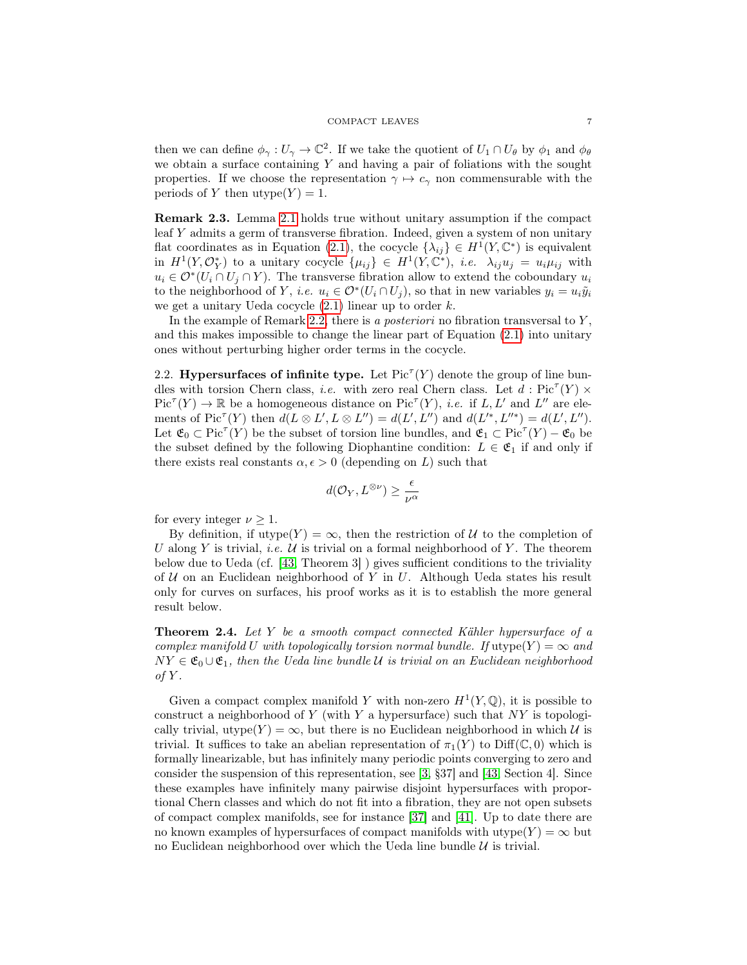#### COMPACT LEAVES 7

then we can define  $\phi_{\gamma}: U_{\gamma} \to \mathbb{C}^2$ . If we take the quotient of  $U_1 \cap U_{\theta}$  by  $\phi_1$  and  $\phi_{\theta}$ we obtain a surface containing  $Y$  and having a pair of foliations with the sought properties. If we choose the representation  $\gamma \mapsto c_{\gamma}$  non commensurable with the periods of Y then  $utype(Y) = 1$ .

Remark 2.3. Lemma [2.1](#page-5-0) holds true without unitary assumption if the compact leaf Y admits a germ of transverse fibration. Indeed, given a system of non unitary flat coordinates as in Equation [\(2.1\)](#page-4-2), the cocycle  $\{\lambda_{ij}\}\in H^1(Y,\mathbb{C}^*)$  is equivalent in  $H^1(Y, \mathcal{O}_Y^*)$  to a unitary cocycle  $\{\mu_{ij}\}\in H^1(Y, \mathbb{C}^*)$ , *i.e.*  $\lambda_{ij}u_j = u_i\mu_{ij}$  with  $u_i \in \mathcal{O}^*(U_i \cap U_j \cap Y)$ . The transverse fibration allow to extend the coboundary  $u_i$ to the neighborhood of Y, *i.e.*  $u_i \in \mathcal{O}^*(U_i \cap U_j)$ , so that in new variables  $y_i = u_i \tilde{y}_i$ we get a unitary Ueda cocycle  $(2.1)$  linear up to order k.

In the example of Remark [2.2,](#page-5-1) there is a *posteriori* no fibration transversal to  $Y$ , and this makes impossible to change the linear part of Equation [\(2.1\)](#page-4-2) into unitary ones without perturbing higher order terms in the cocycle.

2.2. Hypersurfaces of infinite type. Let  $Pic^{T}(Y)$  denote the group of line bundles with torsion Chern class, *i.e.* with zero real Chern class. Let  $d : Pic^{\tau}(Y) \times$  $Pic^{T}(Y) \to \mathbb{R}$  be a homogeneous distance on  $Pic^{T}(Y)$ , *i.e.* if L, L' and L'' are elements of  $Pic^{T}(Y)$  then  $d(L \otimes L', L \otimes L'') = d(L', L'')$  and  $d(L'^{*}, L''^{*}) = d(L', L'').$ Let  $\mathfrak{E}_0 \subset \text{Pic}^{\tau}(Y)$  be the subset of torsion line bundles, and  $\mathfrak{E}_1 \subset \text{Pic}^{\tau}(Y) - \mathfrak{E}_0$  be the subset defined by the following Diophantine condition:  $L \in \mathfrak{E}_1$  if and only if there exists real constants  $\alpha, \epsilon > 0$  (depending on L) such that

$$
d(\mathcal{O}_Y,L^{\otimes \nu}) \geq \frac{\epsilon}{\nu^{\alpha}}
$$

for every integer  $\nu \geq 1$ .

By definition, if utype(Y) =  $\infty$ , then the restriction of U to the completion of U along Y is trivial, *i.e.*  $U$  is trivial on a formal neighborhood of Y. The theorem below due to Ueda (cf. [\[43,](#page-46-1) Theorem 3] ) gives sufficient conditions to the triviality of  $U$  on an Euclidean neighborhood of Y in U. Although Ueda states his result only for curves on surfaces, his proof works as it is to establish the more general result below.

<span id="page-6-0"></span>Theorem 2.4. Let Y be a smooth compact connected Kähler hypersurface of a complex manifold U with topologically torsion normal bundle. If utype $(Y) = \infty$  and  $NY \in \mathfrak{E}_0 \cup \mathfrak{E}_1$ , then the Ueda line bundle U is trivial on an Euclidean neighborhood of  $Y$ .

Given a compact complex manifold Y with non-zero  $H^1(Y, \mathbb{Q})$ , it is possible to construct a neighborhood of Y (with Y a hypersurface) such that  $NY$  is topologically trivial, utype $(Y) = \infty$ , but there is no Euclidean neighborhood in which U is trivial. It suffices to take an abelian representation of  $\pi_1(Y)$  to Diff(C, 0) which is formally linearizable, but has infinitely many periodic points converging to zero and consider the suspension of this representation, see [\[3,](#page-44-2) §37] and [\[43,](#page-46-1) Section 4]. Since these examples have infinitely many pairwise disjoint hypersurfaces with proportional Chern classes and which do not fit into a fibration, they are not open subsets of compact complex manifolds, see for instance [\[37\]](#page-46-2) and [\[41\]](#page-46-3). Up to date there are no known examples of hypersurfaces of compact manifolds with utype $(Y) = \infty$  but no Euclidean neighborhood over which the Ueda line bundle  $U$  is trivial.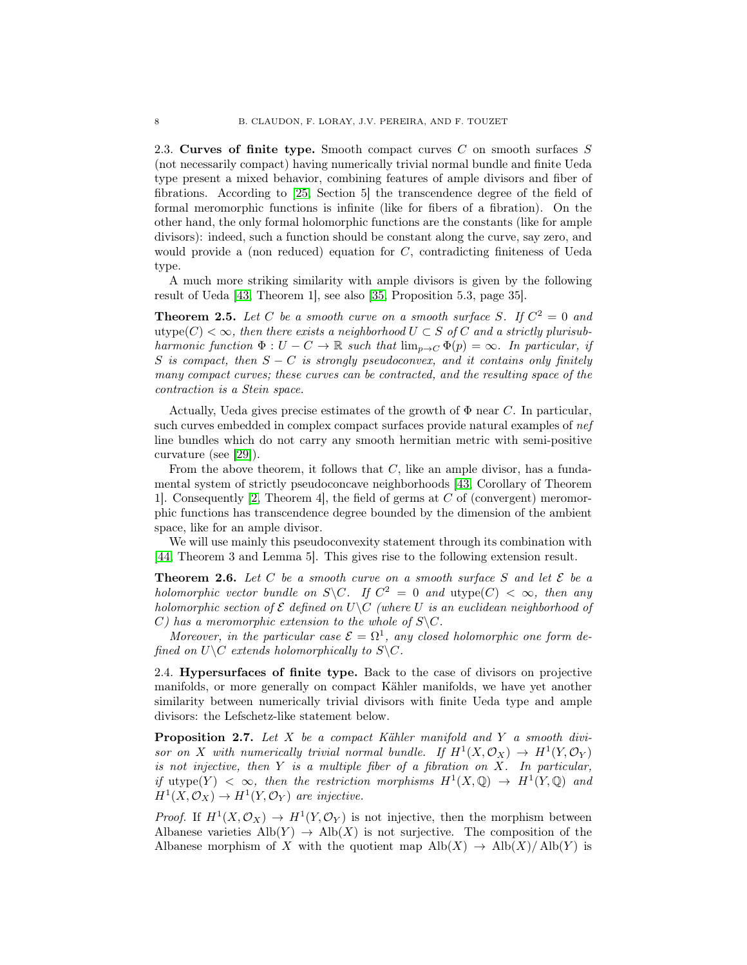<span id="page-7-2"></span>2.3. Curves of finite type. Smooth compact curves  $C$  on smooth surfaces  $S$ (not necessarily compact) having numerically trivial normal bundle and finite Ueda type present a mixed behavior, combining features of ample divisors and fiber of fibrations. According to [\[25,](#page-45-8) Section 5] the transcendence degree of the field of formal meromorphic functions is infinite (like for fibers of a fibration). On the other hand, the only formal holomorphic functions are the constants (like for ample divisors): indeed, such a function should be constant along the curve, say zero, and would provide a (non reduced) equation for C, contradicting finiteness of Ueda type.

A much more striking similarity with ample divisors is given by the following result of Ueda [\[43,](#page-46-1) Theorem 1], see also [\[35,](#page-45-3) Proposition 5.3, page 35].

<span id="page-7-3"></span>**Theorem 2.5.** Let C be a smooth curve on a smooth surface S. If  $C^2 = 0$  and utype $(C) < \infty$ , then there exists a neighborhood  $U \subset S$  of C and a strictly plurisubharmonic function  $\Phi: U - C \to \mathbb{R}$  such that  $\lim_{p\to C} \Phi(p) = \infty$ . In particular, if S is compact, then  $S - C$  is strongly pseudoconvex, and it contains only finitely many compact curves; these curves can be contracted, and the resulting space of the contraction is a Stein space.

Actually, Ueda gives precise estimates of the growth of  $\Phi$  near C. In particular, such curves embedded in complex compact surfaces provide natural examples of nef line bundles which do not carry any smooth hermitian metric with semi-positive curvature (see [\[29\]](#page-45-9)).

From the above theorem, it follows that  $C$ , like an ample divisor, has a fundamental system of strictly pseudoconcave neighborhoods [\[43,](#page-46-1) Corollary of Theorem 1]. Consequently [\[2,](#page-44-3) Theorem 4], the field of germs at C of (convergent) meromorphic functions has transcendence degree bounded by the dimension of the ambient space, like for an ample divisor.

We will use mainly this pseudoconvexity statement through its combination with [\[44,](#page-46-4) Theorem 3 and Lemma 5]. This gives rise to the following extension result.

<span id="page-7-1"></span>**Theorem 2.6.** Let C be a smooth curve on a smooth surface S and let  $\mathcal{E}$  be a holomorphic vector bundle on S\C. If  $C^2 = 0$  and utype $(C) < \infty$ , then any holomorphic section of  $\mathcal E$  defined on  $U\setminus C$  (where U is an euclidean neighborhood of C) has a meromorphic extension to the whole of  $S \backslash C$ .

Moreover, in the particular case  $\mathcal{E} = \Omega^1$ , any closed holomorphic one form defined on  $U\backslash C$  extends holomorphically to  $S\backslash C$ .

2.4. Hypersurfaces of finite type. Back to the case of divisors on projective manifolds, or more generally on compact Kähler manifolds, we have yet another similarity between numerically trivial divisors with finite Ueda type and ample divisors: the Lefschetz-like statement below.

<span id="page-7-0"></span>Proposition 2.7. Let X be a compact Kähler manifold and Y a smooth divisor on X with numerically trivial normal bundle. If  $H^1(X, \mathcal{O}_X) \to H^1(Y, \mathcal{O}_Y)$ is not injective, then  $Y$  is a multiple fiber of a fibration on  $X$ . In particular, if utype(Y)  $\langle \infty \rangle$ , then the restriction morphisms  $H^1(X, \mathbb{Q}) \to H^1(Y, \mathbb{Q})$  and  $H^1(X, \mathcal{O}_X) \to H^1(Y, \mathcal{O}_Y)$  are injective.

*Proof.* If  $H^1(X, \mathcal{O}_X) \to H^1(Y, \mathcal{O}_Y)$  is not injective, then the morphism between Albanese varieties  $\text{Alb}(Y) \rightarrow \text{Alb}(X)$  is not surjective. The composition of the Albanese morphism of X with the quotient map  $\text{Alb}(X) \rightarrow \text{Alb}(X)/\text{Alb}(Y)$  is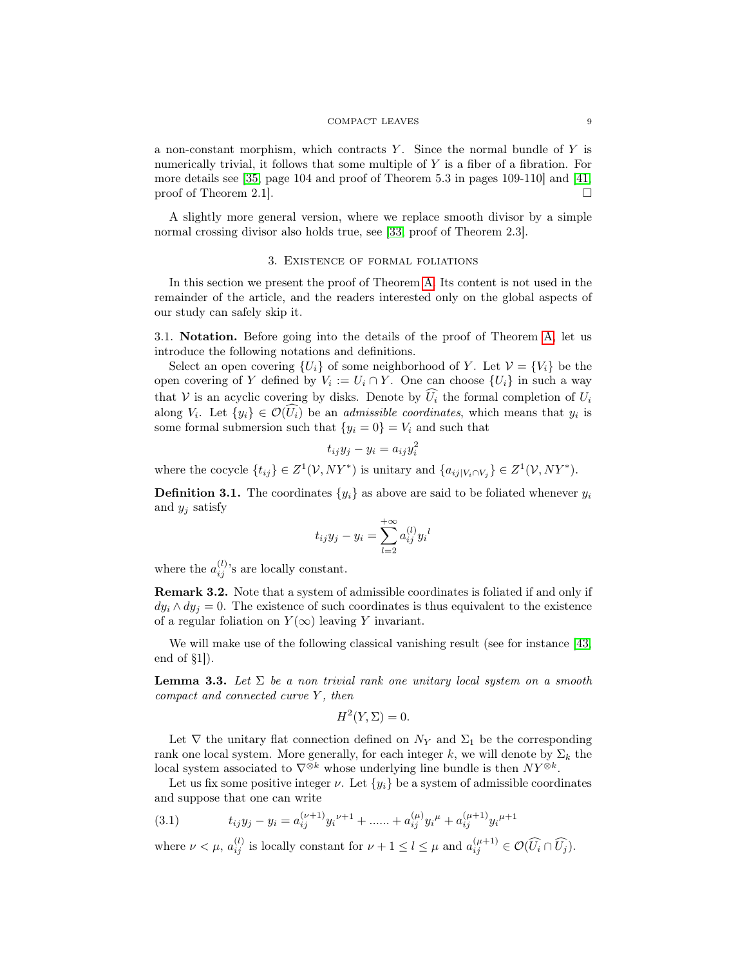#### COMPACT LEAVES 9

a non-constant morphism, which contracts  $Y$ . Since the normal bundle of  $Y$  is numerically trivial, it follows that some multiple of  $Y$  is a fiber of a fibration. For more details see [\[35,](#page-45-3) page 104 and proof of Theorem 5.3 in pages 109-110] and [\[41,](#page-46-3) proof of Theorem 2.1.

A slightly more general version, where we replace smooth divisor by a simple normal crossing divisor also holds true, see [\[33,](#page-45-10) proof of Theorem 2.3].

### 3. Existence of formal foliations

<span id="page-8-0"></span>In this section we present the proof of Theorem [A.](#page-2-3) Its content is not used in the remainder of the article, and the readers interested only on the global aspects of our study can safely skip it.

3.1. Notation. Before going into the details of the proof of Theorem [A,](#page-2-3) let us introduce the following notations and definitions.

Select an open covering  $\{U_i\}$  of some neighborhood of Y. Let  $\mathcal{V} = \{V_i\}$  be the open covering of Y defined by  $V_i := U_i \cap Y$ . One can choose  $\{U_i\}$  in such a way that V is an acyclic covering by disks. Denote by  $\widehat{U}_i$  the formal completion of  $U_i$ along  $V_i$ . Let  $\{y_i\} \in \mathcal{O}(U_i)$  be an *admissible coordinates*, which means that  $y_i$  is some formal submersion such that  $\{y_i = 0\} = V_i$  and such that

$$
t_{ij}y_j - y_i = a_{ij}y_i^2
$$

where the cocycle  $\{t_{ij}\}\in Z^1(\mathcal{V}, NY^*)$  is unitary and  $\{a_{ij}|_{V_i\cap V_j}\}\in Z^1(\mathcal{V}, NY^*)$ .

**Definition 3.1.** The coordinates  $\{y_i\}$  as above are said to be foliated whenever  $y_i$ and  $y_j$  satisfy

$$
t_{ij}y_j - y_i = \sum_{l=2}^{+\infty} a_{ij}^{(l)} y_i{}^l
$$

where the  $a_{ij}^{(l)}$ 's are locally constant.

Remark 3.2. Note that a system of admissible coordinates is foliated if and only if  $dy_i \wedge dy_j = 0$ . The existence of such coordinates is thus equivalent to the existence of a regular foliation on  $Y(\infty)$  leaving Y invariant.

We will make use of the following classical vanishing result (see for instance [\[43,](#page-46-1) end of §1]).

<span id="page-8-2"></span>**Lemma 3.3.** Let  $\Sigma$  be a non trivial rank one unitary local system on a smooth compact and connected curve Y, then

$$
H^2(Y,\Sigma) = 0.
$$

Let  $\nabla$  the unitary flat connection defined on  $N_Y$  and  $\Sigma_1$  be the corresponding rank one local system. More generally, for each integer k, we will denote by  $\Sigma_k$  the local system associated to  $\nabla^{\otimes k}$  whose underlying line bundle is then  $NY^{\otimes k}$ .

Let us fix some positive integer  $\nu$ . Let  $\{y_i\}$  be a system of admissible coordinates and suppose that one can write

<span id="page-8-1"></span>(3.1) 
$$
t_{ij}y_j - y_i = a_{ij}^{(\nu+1)}y_i^{\nu+1} + \dots + a_{ij}^{(\mu)}y_i^{\mu} + a_{ij}^{(\mu+1)}y_i^{\mu+1}
$$

where  $\nu < \mu$ ,  $a_{ij}^{(l)}$  is locally constant for  $\nu + 1 \leq l \leq \mu$  and  $a_{ij}^{(\mu+1)} \in \mathcal{O}(\widehat{U_i} \cap \widehat{U_j})$ .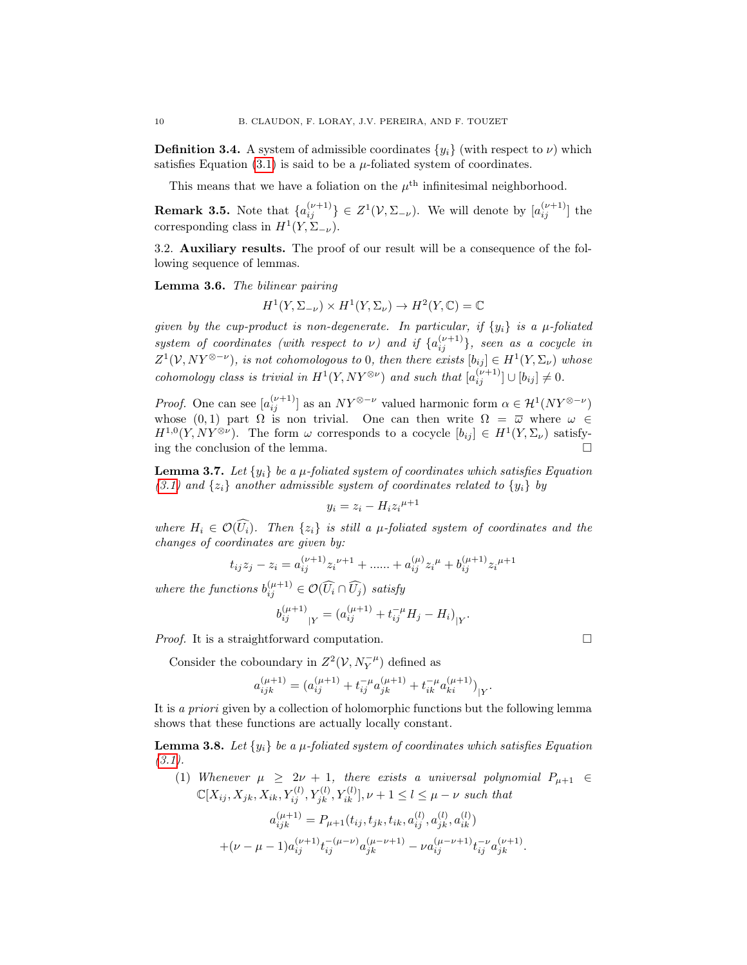**Definition 3.4.** A system of admissible coordinates  $\{y_i\}$  (with respect to  $\nu$ ) which satisfies Equation  $(3.1)$  is said to be a  $\mu$ -foliated system of coordinates.

This means that we have a foliation on the  $\mu^{\text{th}}$  infinitesimal neighborhood.

**Remark 3.5.** Note that  $\{a_{ij}^{(\nu+1)}\}\in Z^1(\mathcal{V}, \Sigma_{-\nu})$ . We will denote by  $[a_{ij}^{(\nu+1)}]$  the corresponding class in  $H^1(Y, \Sigma_{-\nu})$ .

3.2. Auxiliary results. The proof of our result will be a consequence of the following sequence of lemmas.

<span id="page-9-2"></span>Lemma 3.6. The bilinear pairing

$$
H^1(Y, \Sigma_{-\nu}) \times H^1(Y, \Sigma_{\nu}) \to H^2(Y, \mathbb{C}) = \mathbb{C}
$$

given by the cup-product is non-degenerate. In particular, if  $\{y_i\}$  is a  $\mu$ -foliated system of coordinates (with respect to  $\nu$ ) and if  $\{a_{ij}^{(\nu+1)}\}$ , seen as a cocycle in  $Z^1(\mathcal{V},NY^{\otimes-\nu})$ , is not cohomologous to 0, then there exists  $[b_{ij}] \in H^1(Y,\Sigma_{\nu})$  whose cohomology class is trivial in  $H^1(Y, NY^{\otimes \nu})$  and such that  $[a_{ij}^{(\nu+1)}] \cup [b_{ij}] \neq 0$ .

*Proof.* One can see  $[a_{ij}^{(\nu+1)}]$  as an  $NY^{\otimes -\nu}$  valued harmonic form  $\alpha \in \mathcal{H}^1(NY^{\otimes -\nu})$ whose  $(0, 1)$  part  $\Omega$  is non trivial. One can then write  $\Omega = \overline{\omega}$  where  $\omega \in$  $H^{1,0}(Y, NY^{\otimes \nu})$ . The form  $\omega$  corresponds to a cocycle  $[b_{ij}] \in H^1(Y, \Sigma_{\nu})$  satisfying the conclusion of the lemma.

<span id="page-9-0"></span>**Lemma 3.7.** Let  $\{y_i\}$  be a  $\mu$ -foliated system of coordinates which satisfies Equation  $(3.1)$  and  $\{z_i\}$  another admissible system of coordinates related to  $\{y_i\}$  by

$$
y_i = z_i - H_i z_i^{\mu+1}
$$

where  $H_i \in \mathcal{O}(\widehat{U_i})$ . Then  $\{z_i\}$  is still a  $\mu$ -foliated system of coordinates and the changes of coordinates are given by:

$$
t_{ij}z_j - z_i = a_{ij}^{(\nu+1)}z_i^{\nu+1} + ..... + a_{ij}^{(\mu)}z_i^{\mu} + b_{ij}^{(\mu+1)}z_i^{\mu+1}
$$

where the functions  $b_{ij}^{(\mu+1)} \in \mathcal{O}(\widehat{U}_i \cap \widehat{U}_j)$  satisfy

$$
b_{ij}^{(\mu+1)}_{\vert Y} = (a_{ij}^{(\mu+1)} + t_{ij}^{-\mu} H_j - H_i)_{\vert Y}.
$$

*Proof.* It is a straightforward computation.  $\Box$ 

Consider the coboundary in  $Z^2(V,N_Y^{-\mu})$  defined as

$$
a_{ijk}^{(\mu+1)} = (a_{ij}^{(\mu+1)} + t_{ij}^{-\mu} a_{jk}^{(\mu+1)} + t_{ik}^{-\mu} a_{ki}^{(\mu+1)})_{|Y}.
$$

It is a priori given by a collection of holomorphic functions but the following lemma shows that these functions are actually locally constant.

<span id="page-9-1"></span>**Lemma 3.8.** Let  $\{y_i\}$  be a  $\mu$ -foliated system of coordinates which satisfies Equation  $(3.1).$  $(3.1).$ 

(1) Whenever 
$$
\mu \geq 2\nu + 1
$$
, there exists a universal polynomial  $P_{\mu+1} \in$   
\n $\mathbb{C}[X_{ij}, X_{jk}, X_{ik}, Y_{ij}^{(l)}, Y_{jk}^{(l)}, Y_{ik}^{(l)}], \nu+1 \leq l \leq \mu-\nu$  such that

$$
\begin{split} a_{ijk}^{(\mu+1)} &= P_{\mu+1}(t_{ij},t_{jk},t_{ik},a_{ij}^{(l)},a_{jk}^{(l)},a_{ik}^{(l)}) \\ + & (\nu-\mu-1) a_{ij}^{(\nu+1)} t_{ij}^{-(\mu-\nu)} a_{jk}^{(\mu-\nu+1)} - \nu a_{ij}^{(\mu-\nu+1)} t_{ij}^{-\nu} a_{jk}^{(\nu+1)}. \end{split}
$$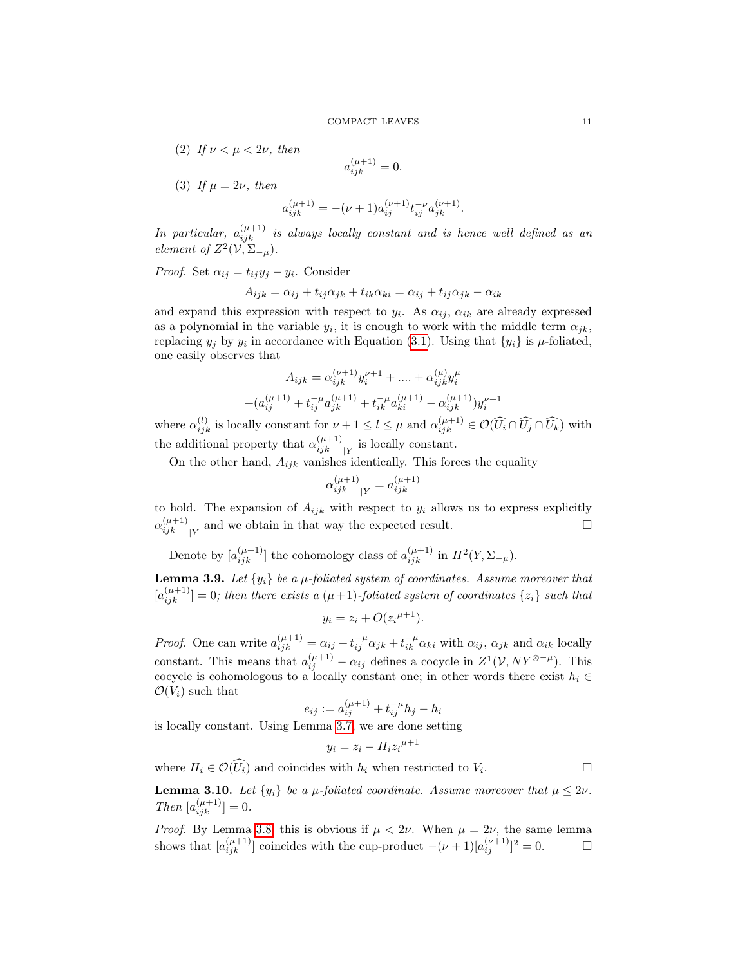(2) If  $\nu < \mu < 2\nu$ , then

$$
a_{ijk}^{(\mu+1)} = 0.
$$

(3) If  $\mu = 2\nu$ , then

$$
a_{ijk}^{(\mu+1)} = -(\nu+1)a_{ij}^{(\nu+1)}t_{ij}^{-\nu}a_{jk}^{(\nu+1)}.
$$

In particular,  $a_{ijk}^{(\mu+1)}$  is always locally constant and is hence well defined as an element of  $Z^2(V,\Sigma_{-\mu})$ .

*Proof.* Set  $\alpha_{ij} = t_{ij}y_j - y_i$ . Consider

$$
A_{ijk} = \alpha_{ij} + t_{ij}\alpha_{jk} + t_{ik}\alpha_{ki} = \alpha_{ij} + t_{ij}\alpha_{jk} - \alpha_{ik}
$$

and expand this expression with respect to  $y_i$ . As  $\alpha_{ij}$ ,  $\alpha_{ik}$  are already expressed as a polynomial in the variable  $y_i$ , it is enough to work with the middle term  $\alpha_{jk}$ , replacing  $y_j$  by  $y_i$  in accordance with Equation [\(3.1\)](#page-8-1). Using that  $\{y_i\}$  is  $\mu$ -foliated, one easily observes that

$$
A_{ijk} = \alpha_{ijk}^{(\nu+1)} y_i^{\nu+1} + \dots + \alpha_{ijk}^{(\mu)} y_i^{\mu}
$$

$$
+ (\alpha_{ij}^{(\mu+1)} + t_{ij}^{-\mu} \alpha_{jk}^{(\mu+1)} + t_{ik}^{-\mu} \alpha_{ki}^{(\mu+1)} - \alpha_{ijk}^{(\mu+1)}) y_i^{\nu+1}
$$

where  $\alpha_{ijk}^{(l)}$  is locally constant for  $\nu + 1 \leq l \leq \mu$  and  $\alpha_{ijk}^{(\mu+1)} \in \mathcal{O}(\widehat{U_i} \cap \widehat{U_j} \cap \widehat{U_k})$  with the additional property that  $\alpha_{ijk}^{(\mu+1)}$  $\prod_{ijk}^{(\mu+1)}$  is locally constant.

On the other hand,  $A_{ijk}$  vanishes identically. This forces the equality

$$
\alpha_{ijk}^{(\mu+1)}\!|Y} = a_{ijk}^{(\mu+1)}
$$

to hold. The expansion of  $A_{ijk}$  with respect to  $y_i$  allows us to express explicitly  $\alpha_{ijk}^{(\mu+1)}$  $\begin{bmatrix}(\mu+1)\\ ijk\end{bmatrix}$  and we obtain in that way the expected result.

Denote by  $[a_{ijk}^{(\mu+1)}]$  the cohomology class of  $a_{ijk}^{(\mu+1)}$  in  $H^2(Y, \Sigma_{-\mu})$ .

<span id="page-10-0"></span>**Lemma 3.9.** Let  $\{y_i\}$  be a  $\mu$ -foliated system of coordinates. Assume moreover that  $[a_{ijk}^{(\mu+1)}] = 0$ ; then there exists a  $(\mu+1)$ -foliated system of coordinates  $\{z_i\}$  such that

$$
y_i = z_i + O(z_i^{\mu+1}).
$$

*Proof.* One can write  $a_{ijk}^{(\mu+1)} = \alpha_{ij} + t_{ij}^{-\mu} \alpha_{jk} + t_{ik}^{-\mu} \alpha_{ki}$  with  $\alpha_{ij}$ ,  $\alpha_{jk}$  and  $\alpha_{ik}$  locally constant. This means that  $a_{ij}^{(\mu+1)} - \alpha_{ij}$  defines a cocycle in  $Z^1(\mathcal{V}, NY^{\otimes -\mu})$ . This cocycle is cohomologous to a locally constant one; in other words there exist  $h_i \in$  $\mathcal{O}(V_i)$  such that

$$
e_{ij} := a_{ij}^{(\mu+1)} + t_{ij}^{-\mu}h_j - h_i
$$

is locally constant. Using Lemma [3.7,](#page-9-0) we are done setting

$$
y_i = z_i - H_i z_i^{\mu+1}
$$

where  $H_i \in \mathcal{O}(\widehat{U_i})$  and coincides with  $h_i$  when restricted to  $V_i$ . .

<span id="page-10-1"></span>**Lemma 3.10.** Let  $\{y_i\}$  be a  $\mu$ -foliated coordinate. Assume moreover that  $\mu \leq 2\nu$ .  $Then [a_{ijk}^{(\mu+1)}] = 0.$ 

*Proof.* By Lemma [3.8,](#page-9-1) this is obvious if  $\mu < 2\nu$ . When  $\mu = 2\nu$ , the same lemma shows that  $[a_{ijk}^{(\mu+1)}]$  coincides with the cup-product  $-(\nu+1)[a_{ij}^{(\nu+1)}]^2 = 0$ .  $\Box$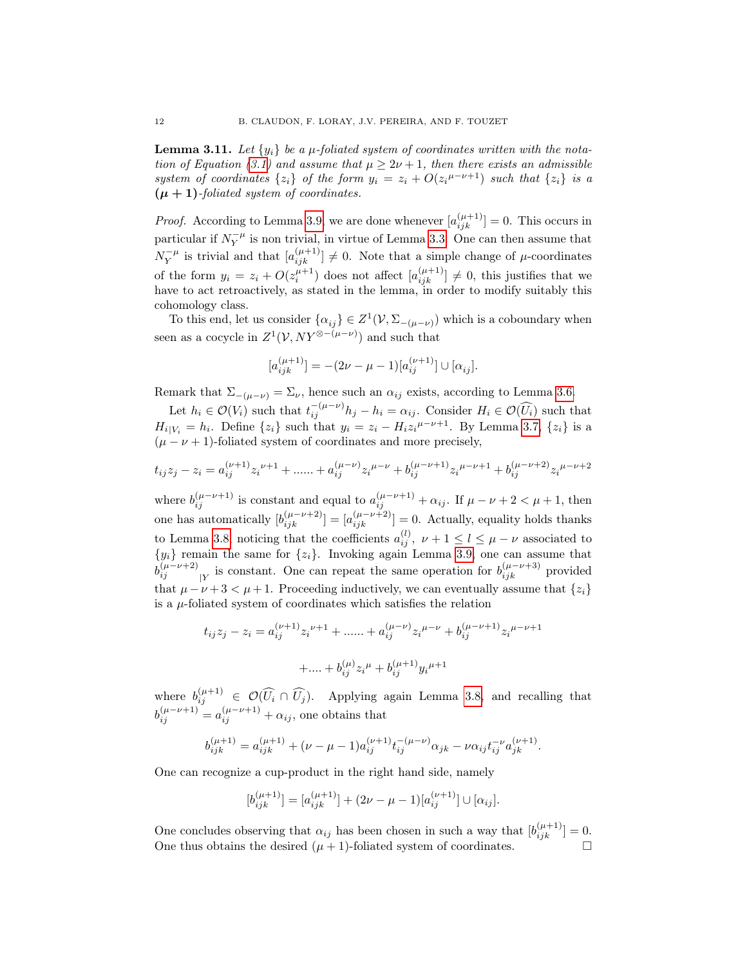<span id="page-11-0"></span>**Lemma 3.11.** Let  $\{y_i\}$  be a  $\mu$ -foliated system of coordinates written with the nota-tion of Equation [\(3.1\)](#page-8-1) and assume that  $\mu \geq 2\nu + 1$ , then there exists an admissible system of coordinates  $\{z_i\}$  of the form  $y_i = z_i + O(z_i^{\mu-\nu+1})$  such that  $\{z_i\}$  is a  $(\mu + 1)$ -foliated system of coordinates.

*Proof.* According to Lemma [3.9,](#page-10-0) we are done whenever  $[a_{ijk}^{(\mu+1)}] = 0$ . This occurs in particular if  $N_Y^{-\mu}$  is non trivial, in virtue of Lemma [3.3.](#page-8-2) One can then assume that  $N_Y^{-\mu}$  is trivial and that  $[a_{ijk}^{(\mu+1)}] \neq 0$ . Note that a simple change of  $\mu$ -coordinates of the form  $y_i = z_i + O(z_i^{\mu+1})$  does not affect  $[a_{ijk}^{(\mu+1)}] \neq 0$ , this justifies that we have to act retroactively, as stated in the lemma, in order to modify suitably this cohomology class.

To this end, let us consider  $\{\alpha_{ij}\}\in Z^1(\mathcal{V}, \Sigma_{-(\mu-\nu)})$  which is a coboundary when seen as a cocycle in  $Z^1(\mathcal{V}, NY^{\otimes -(\mu-\nu)})$  and such that

$$
[a_{ijk}^{(\mu+1)}] = -(2\nu - \mu - 1)[a_{ij}^{(\nu+1)}] \cup [\alpha_{ij}].
$$

Remark that  $\Sigma_{-(\mu-\nu)} = \Sigma_{\nu}$ , hence such an  $\alpha_{ij}$  exists, according to Lemma [3.6.](#page-9-2)

Let  $h_i \in \mathcal{O}(V_i)$  such that  $t_{ij}^{-(\mu-\nu)}h_j - h_i = \alpha_{ij}$ . Consider  $H_i \in \mathcal{O}(\widehat{U_i})$  such that  $H_{i|V_i} = h_i$ . Define  $\{z_i\}$  such that  $y_i = z_i - H_i z_i^{\mu-\nu+1}$ . By Lemma [3.7,](#page-9-0)  $\{z_i\}$  is a  $(\mu - \nu + 1)$ -foliated system of coordinates and more precisely,

$$
t_{ij}z_j - z_i = a_{ij}^{(\nu+1)}z_i^{\nu+1} + \dots + a_{ij}^{(\mu-\nu)}z_i^{\mu-\nu} + b_{ij}^{(\mu-\nu+1)}z_i^{\mu-\nu+1} + b_{ij}^{(\mu-\nu+2)}z_i^{\mu-\nu+2}
$$

where  $b_{ij}^{(\mu-\nu+1)}$  is constant and equal to  $a_{ij}^{(\mu-\nu+1)} + \alpha_{ij}$ . If  $\mu - \nu + 2 < \mu + 1$ , then one has automatically  $[b_{ijk}^{(\mu-\nu+2)}] = [a_{ijk}^{(\mu-\nu+2)}] = 0$ . Actually, equality holds thanks to Lemma [3.8,](#page-9-1) noticing that the coefficients  $a_{ij}^{(l)}$ ,  $\nu + 1 \leq l \leq \mu - \nu$  associated to  ${y_i}$  remain the same for  ${z_i}$ . Invoking again Lemma [3.9,](#page-10-0) one can assume that  $b_{ij}^{(\mu-\nu+2)}$  $\frac{(\mu-\nu+2)}{|Y|}$  is constant. One can repeat the same operation for  $b_{ijk}^{(\mu-\nu+3)}$  provided that  $\mu - \nu + 3 < \mu + 1$ . Proceeding inductively, we can eventually assume that  $\{z_i\}$ is a  $\mu$ -foliated system of coordinates which satisfies the relation

$$
t_{ij}z_j - z_i = a_{ij}^{(\nu+1)} z_i^{\nu+1} + \dots + a_{ij}^{(\mu-\nu)} z_i^{\mu-\nu} + b_{ij}^{(\mu-\nu+1)} z_i^{\mu-\nu+1}
$$

$$
+ \dots + b_{ij}^{(\mu)} z_i^{\mu} + b_{ij}^{(\mu+1)} y_i^{\mu+1}
$$

where  $b_{ij}^{(\mu+1)} \in \mathcal{O}(\widehat{U_i} \cap \widehat{U_j})$ . Applying again Lemma [3.8,](#page-9-1) and recalling that  $b_{ij}^{(\mu-\nu+1)} = a_{ij}^{(\mu-\nu+1)} + \alpha_{ij}$ , one obtains that

$$
b_{ijk}^{(\mu+1)}=a_{ijk}^{(\mu+1)}+(\nu-\mu-1)a_{ij}^{(\nu+1)}t_{ij}^{-(\mu-\nu)}\alpha_{jk}-\nu\alpha_{ij}t_{ij}^{-\nu}a_{jk}^{(\nu+1)}.
$$

One can recognize a cup-product in the right hand side, namely

$$
[b_{ijk}^{(\mu+1)}] = [a_{ijk}^{(\mu+1)}] + (2\nu - \mu - 1)[a_{ij}^{(\nu+1)}] \cup [\alpha_{ij}].
$$

One concludes observing that  $\alpha_{ij}$  has been chosen in such a way that  $[b_{ijk}^{(\mu+1)}] = 0$ . One thus obtains the desired  $(\mu + 1)$ -foliated system of coordinates.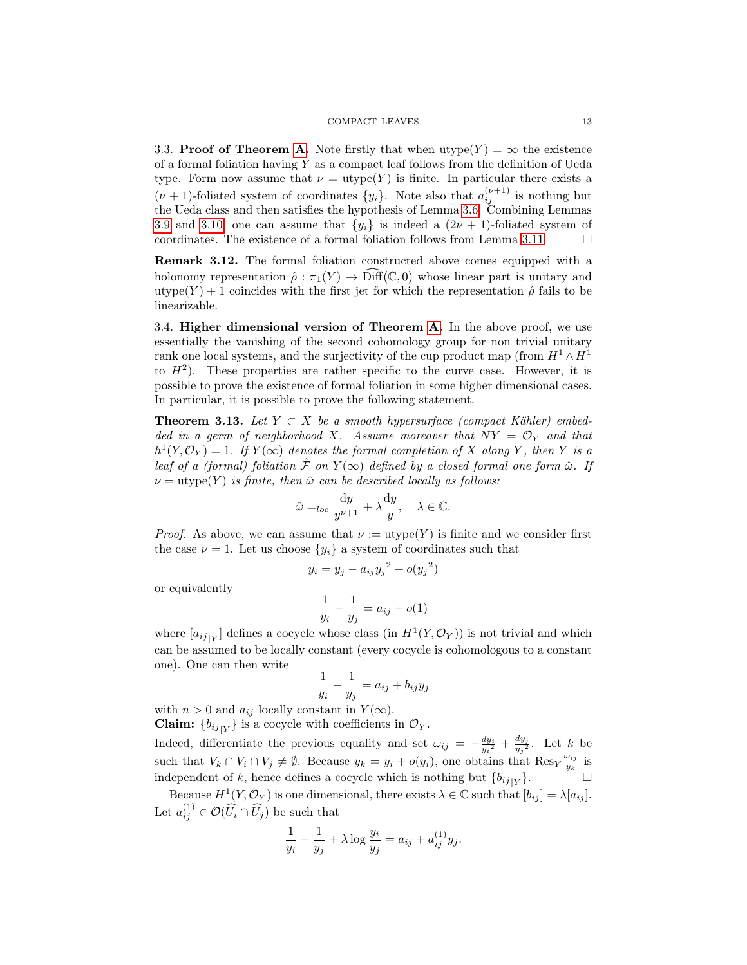#### $\begin{tabular}{c} COMPACT LEAVES \end{tabular} \begin{tabular}{c} \hspace*{\textbf{1}}3 \\ \hspace*{\textbf{2}}43 \end{tabular}$

3.3. **Proof of Theorem [A.](#page-2-3)** Note firstly that when  $\text{utype}(Y) = \infty$  the existence of a formal foliation having  $Y$  as a compact leaf follows from the definition of Ueda type. Form now assume that  $\nu = \text{utype}(Y)$  is finite. In particular there exists a  $(\nu+1)$ -foliated system of coordinates  $\{y_i\}$ . Note also that  $a_{ij}^{(\nu+1)}$  is nothing but the Ueda class and then satisfies the hypothesis of Lemma [3.6.](#page-9-2) Combining Lemmas [3.9](#page-10-0) and [3.10,](#page-10-1) one can assume that  $\{y_i\}$  is indeed a  $(2\nu + 1)$ -foliated system of coordinates. The existence of a formal foliation follows from Lemma [3.11](#page-11-0)  $\Box$ 

Remark 3.12. The formal foliation constructed above comes equipped with a holonomy representation  $\hat{\rho}: \pi_1(Y) \to \text{Diff}(\mathbb{C},0)$  whose linear part is unitary and utype(Y) + 1 coincides with the first jet for which the representation  $\hat{\rho}$  fails to be linearizable.

3.4. Higher dimensional version of Theorem [A.](#page-2-3) In the above proof, we use essentially the vanishing of the second cohomology group for non trivial unitary rank one local systems, and the surjectivity of the cup product map (from  $H^1 \wedge H^1$ to  $H^2$ ). These properties are rather specific to the curve case. However, it is possible to prove the existence of formal foliation in some higher dimensional cases. In particular, it is possible to prove the following statement.

<span id="page-12-0"></span>**Theorem 3.13.** Let  $Y \subset X$  be a smooth hypersurface (compact Kähler) embedded in a germ of neighborhood X. Assume moreover that  $NY = \mathcal{O}_Y$  and that  $h^1(Y, \mathcal{O}_Y) = 1$ . If  $Y(\infty)$  denotes the formal completion of X along Y, then Y is a leaf of a (formal) foliation  $\hat{\mathcal{F}}$  on  $Y(\infty)$  defined by a closed formal one form  $\hat{\omega}$ . If  $\nu = \text{utype}(Y)$  is finite, then  $\hat{\omega}$  can be described locally as follows:

$$
\hat{\omega} =_{loc} \frac{\mathrm{d}y}{y^{\nu+1}} + \lambda \frac{\mathrm{d}y}{y}, \quad \lambda \in \mathbb{C}.
$$

*Proof.* As above, we can assume that  $\nu := \text{utype}(Y)$  is finite and we consider first the case  $\nu = 1$ . Let us choose  $\{y_i\}$  a system of coordinates such that

$$
y_i = y_j - a_{ij}y_j^2 + o(y_j^2)
$$

or equivalently

$$
\frac{1}{y_i} - \frac{1}{y_j} = a_{ij} + o(1)
$$

where  $[a_{ij}|_Y]$  defines a cocycle whose class (in  $H^1(Y, \mathcal{O}_Y)$ ) is not trivial and which can be assumed to be locally constant (every cocycle is cohomologous to a constant one). One can then write

$$
\frac{1}{y_i} - \frac{1}{y_j} = a_{ij} + b_{ij}y_j
$$

with  $n > 0$  and  $a_{ij}$  locally constant in  $Y(\infty)$ .

**Claim:**  ${b_{ij}}_{|Y}$  is a cocycle with coefficients in  $\mathcal{O}_Y$ . Indeed, differentiate the previous equality and set  $\omega_{ij} = -\frac{dy_i}{y_i^2} + \frac{dy_j}{y_j^2}$ 

 $\frac{a y_j}{y_j^2}$ . Let k be such that  $V_k \cap V_i \cap V_j \neq \emptyset$ . Because  $y_k = y_i + o(y_i)$ , one obtains that  $\text{Res}_Y \frac{\omega_{ij}}{y_k}$  $\frac{\omega_{ij}}{y_k}$  is independent of k, hence defines a cocycle which is nothing but  ${b_{ij}}_{|Y}$ .  $\}$ .  $\Box$ 

Because  $H^1(Y, \mathcal{O}_Y)$  is one dimensional, there exists  $\lambda \in \mathbb{C}$  such that  $[b_{ij}] = \lambda[a_{ij}]$ . Let  $a_{ij}^{(1)} \in \mathcal{O}(\widehat{U}_i \cap \widehat{U}_j)$  be such that

$$
\frac{1}{y_i} - \frac{1}{y_j} + \lambda \log \frac{y_i}{y_j} = a_{ij} + a_{ij}^{(1)} y_j.
$$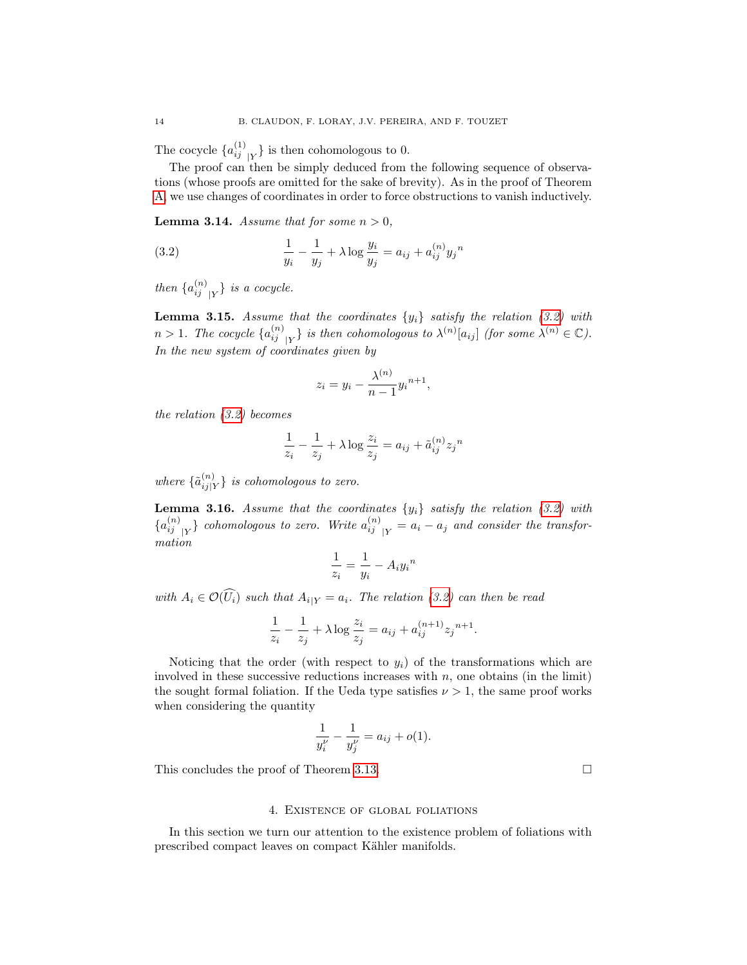The cocycle  $\{a_{ij}^{(1)}_{|Y}\}\$ is then cohomologous to 0.

The proof can then be simply deduced from the following sequence of observations (whose proofs are omitted for the sake of brevity). As in the proof of Theorem [A,](#page-2-3) we use changes of coordinates in order to force obstructions to vanish inductively.

**Lemma 3.14.** Assume that for some  $n > 0$ ,

<span id="page-13-1"></span>(3.2) 
$$
\frac{1}{y_i} - \frac{1}{y_j} + \lambda \log \frac{y_i}{y_j} = a_{ij} + a_{ij}^{(n)} y_j^{n}
$$

then  $\{a_{ij}^{(n)}_{j|Y}\}$  is a cocycle.

**Lemma 3.15.** Assume that the coordinates  $\{y_i\}$  satisfy the relation [\(3.2\)](#page-13-1) with  $n > 1$ . The cocycle  $\{a_{ij}^{(n)}\}_{|Y}$  is then cohomologous to  $\lambda^{(n)}[a_{ij}]$  (for some  $\lambda^{(n)} \in \mathbb{C}$ ). In the new system of coordinates given by

$$
z_i = y_i - \frac{\lambda^{(n)}}{n-1} y_i^{n+1},
$$

the relation [\(3.2\)](#page-13-1) becomes

$$
\frac{1}{z_i} - \frac{1}{z_j} + \lambda \log \frac{z_i}{z_j} = a_{ij} + \tilde{a}_{ij}^{(n)} z_j^{n}
$$

where  $\{\tilde{a}_{i,j}^{(n)}\}$  $\binom{n}{i j|Y}$  is cohomologous to zero.

**Lemma 3.16.** Assume that the coordinates  $\{y_i\}$  satisfy the relation [\(3.2\)](#page-13-1) with  ${a_{ij}^{(n)}}_{|Y}$  cohomologous to zero. Write  $a_{ij}^{(n)}_{|Y} = a_i - a_j$  and consider the transformation

$$
\frac{1}{z_i} = \frac{1}{y_i} - A_i y_i^{\,n}
$$

with  $A_i \in \mathcal{O}(\widehat{U_i})$  such that  $A_{i|Y} = a_i$ . The relation [\(3.2\)](#page-13-1) can then be read

$$
\frac{1}{z_i} - \frac{1}{z_j} + \lambda \log \frac{z_i}{z_j} = a_{ij} + a_{ij}^{(n+1)} z_j^{(n+1)}.
$$

Noticing that the order (with respect to  $y_i$ ) of the transformations which are involved in these successive reductions increases with  $n$ , one obtains (in the limit) the sought formal foliation. If the Ueda type satisfies  $\nu > 1$ , the same proof works when considering the quantity

$$
\frac{1}{y_i^{\nu}} - \frac{1}{y_j^{\nu}} = a_{ij} + o(1).
$$

This concludes the proof of Theorem [3.13.](#page-12-0)

#### 4. Existence of global foliations

<span id="page-13-0"></span>In this section we turn our attention to the existence problem of foliations with prescribed compact leaves on compact Kähler manifolds.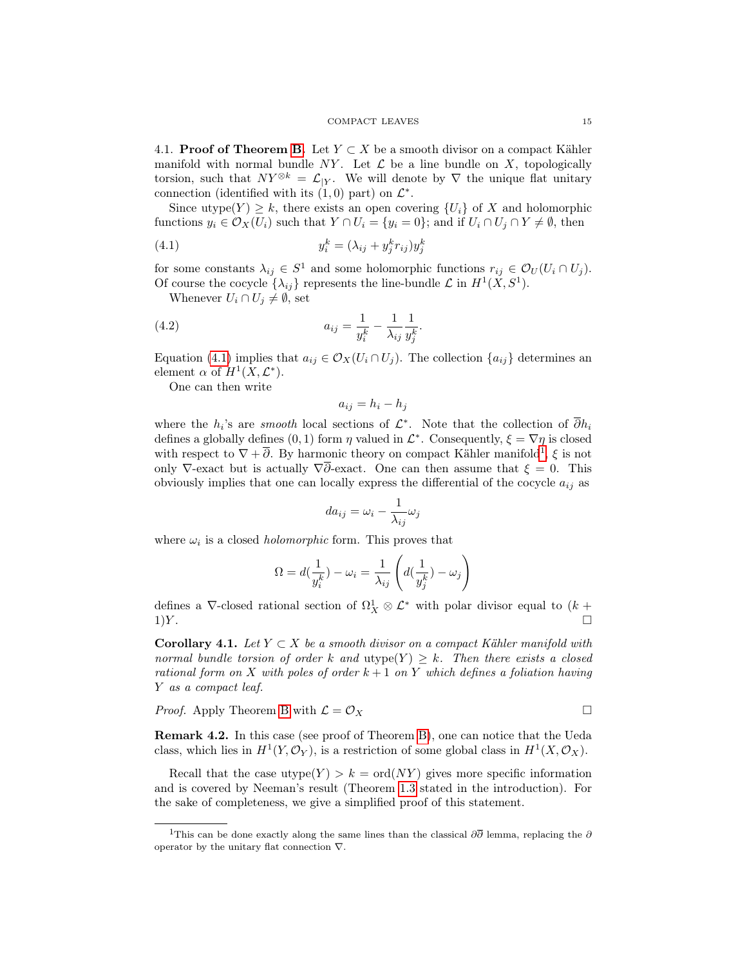4.1. **Proof of Theorem [B.](#page-2-0)** Let  $Y \subset X$  be a smooth divisor on a compact Kähler manifold with normal bundle NY. Let  $\mathcal L$  be a line bundle on X, topologically torsion, such that  $NY^{\otimes k} = \mathcal{L}_{|Y}$ . We will denote by  $\nabla$  the unique flat unitary connection (identified with its  $(1,0)$  part) on  $\mathcal{L}^*$ .

Since utype $(Y) \geq k$ , there exists an open covering  $\{U_i\}$  of X and holomorphic functions  $y_i \in \mathcal{O}_X(U_i)$  such that  $Y \cap U_i = \{y_i = 0\}$ ; and if  $U_i \cap U_j \cap Y \neq \emptyset$ , then

$$
(4.1) \t\t y_i^k = (\lambda_{ij} + y_j^k r_{ij}) y_j^k
$$

for some constants  $\lambda_{ij} \in S^1$  and some holomorphic functions  $r_{ij} \in \mathcal{O}_U(U_i \cap U_j)$ . Of course the cocycle  $\{\lambda_{ij}\}$  represents the line-bundle  $\mathcal L$  in  $H^1(X, S^1)$ .

<span id="page-14-0"></span>Whenever  $U_i \cap U_j \neq \emptyset$ , set

(4.2) 
$$
a_{ij} = \frac{1}{y_i^k} - \frac{1}{\lambda_{ij}} \frac{1}{y_j^k}.
$$

Equation [\(4.1\)](#page-14-0) implies that  $a_{ij} \in \mathcal{O}_X(U_i \cap U_j)$ . The collection  $\{a_{ij}\}\$  determines an element  $\alpha$  of  $H^1(X, \mathcal{L}^*)$ .

One can then write

$$
a_{ij} = h_i - h_j
$$

where the  $h_i$ 's are *smooth* local sections of  $\mathcal{L}^*$ . Note that the collection of  $\overline{\partial} h_i$ defines a globally defines (0, 1) form  $\eta$  valued in  $\mathcal{L}^*$ . Consequently,  $\xi = \nabla \eta$  is closed with respect to  $\nabla + \overline{\partial}$ . By harmonic theory on compact Kähler manifold<sup>[1](#page-14-1)</sup>,  $\xi$  is not only  $\nabla$ -exact but is actually  $\nabla \overline{\partial}$ -exact. One can then assume that  $\xi = 0$ . This obviously implies that one can locally express the differential of the cocycle  $a_{ij}$  as

$$
da_{ij} = \omega_i - \frac{1}{\lambda_{ij}} \omega_j
$$

where  $\omega_i$  is a closed *holomorphic* form. This proves that

$$
\Omega = d(\frac{1}{y_i^k}) - \omega_i = \frac{1}{\lambda_{ij}} \left( d(\frac{1}{y_j^k}) - \omega_j \right)
$$

defines a  $\nabla$ -closed rational section of  $\Omega^1_X \otimes \mathcal{L}^*$  with polar divisor equal to  $(k +$  $1)Y.$ 

**Corollary 4.1.** Let  $Y \subset X$  be a smooth divisor on a compact Kähler manifold with normal bundle torsion of order k and utype $(Y) \geq k$ . Then there exists a closed rational form on X with poles of order  $k + 1$  on Y which defines a foliation having Y as a compact leaf.

*Proof.* Apply Theorem B with 
$$
\mathcal{L} = \mathcal{O}_X
$$

<span id="page-14-2"></span>Remark 4.2. In this case (see proof of Theorem [B\)](#page-2-0), one can notice that the Ueda class, which lies in  $H^1(Y, \mathcal{O}_Y)$ , is a restriction of some global class in  $H^1(X, \mathcal{O}_X)$ .

Recall that the case utype $(Y) > k = \text{ord}(NY)$  gives more specific information and is covered by Neeman's result (Theorem [1.3](#page-2-2) stated in the introduction). For the sake of completeness, we give a simplified proof of this statement.

<span id="page-14-1"></span><sup>&</sup>lt;sup>1</sup>This can be done exactly along the same lines than the classical  $\partial\overline{\partial}$  lemma, replacing the  $\partial$ operator by the unitary flat connection ∇.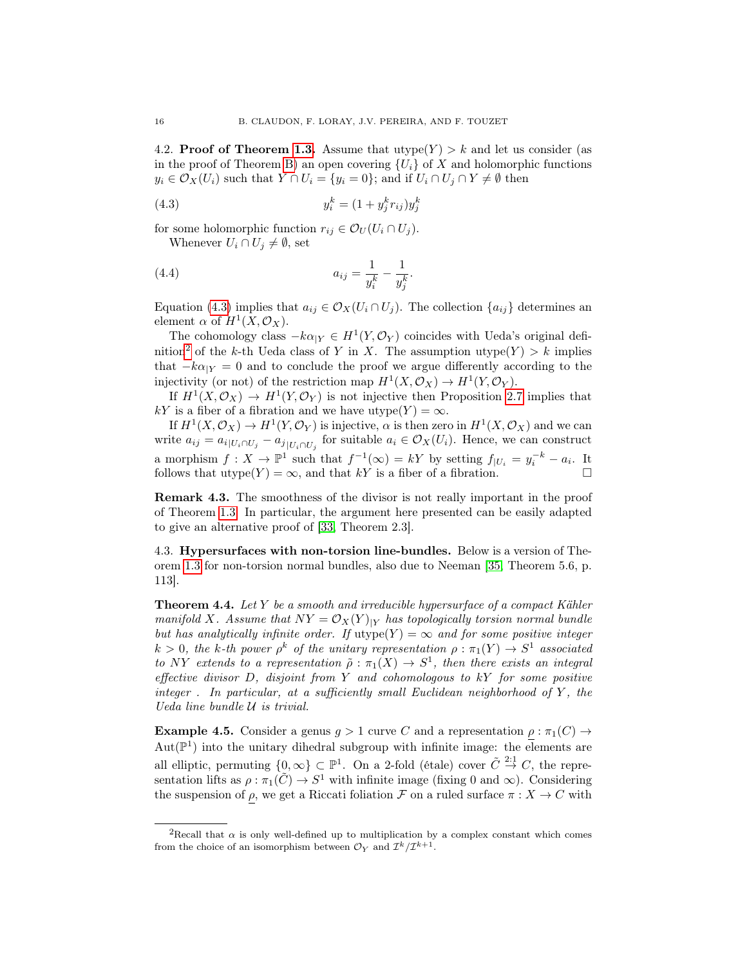4.2. **Proof of Theorem [1.3.](#page-2-2)** Assume that  $\text{utype}(Y) > k$  and let us consider (as in the proof of Theorem [B\)](#page-2-0) an open covering  $\{U_i\}$  of X and holomorphic functions  $y_i \in \mathcal{O}_X(U_i)$  such that  $Y \cap U_i = \{y_i = 0\}$ ; and if  $U_i \cap U_j \cap Y \neq \emptyset$  then

$$
(4.3) \t\t y_i^k = (1 + y_j^k r_{ij}) y_j^k
$$

for some holomorphic function  $r_{ij} \in \mathcal{O}_U(U_i \cap U_j)$ .

<span id="page-15-1"></span>Whenever  $U_i \cap U_j \neq \emptyset$ , set

(4.4) 
$$
a_{ij} = \frac{1}{y_i^k} - \frac{1}{y_j^k}.
$$

Equation [\(4.3\)](#page-15-1) implies that  $a_{ij} \in \mathcal{O}_X(U_i \cap U_j)$ . The collection  $\{a_{ij}\}\$  determines an element  $\alpha$  of  $H^1(X, \mathcal{O}_X)$ .

The cohomology class  $-k\alpha_{|Y} \in H^1(Y, \mathcal{O}_Y)$  coincides with Ueda's original defi-nition<sup>[2](#page-15-2)</sup> of the k-th Ueda class of Y in X. The assumption utype $(Y) > k$  implies that  $-k\alpha_{|Y} = 0$  and to conclude the proof we argue differently according to the injectivity (or not) of the restriction map  $H^1(X, \mathcal{O}_X) \to H^1(Y, \mathcal{O}_Y)$ .

If  $H^1(X, \mathcal{O}_X) \to H^1(Y, \mathcal{O}_Y)$  is not injective then Proposition [2.7](#page-7-0) implies that kY is a fiber of a fibration and we have utype $(Y) = \infty$ .

If  $H^1(X, \mathcal{O}_X) \to H^1(Y, \mathcal{O}_Y)$  is injective,  $\alpha$  is then zero in  $H^1(X, \mathcal{O}_X)$  and we can write  $a_{ij} = a_{i|U_i \cap U_j} - a_{j|U_i \cap U_j}$  for suitable  $a_i \in \mathcal{O}_X(U_i)$ . Hence, we can construct a morphism  $f: X \to \mathbb{P}^1$  such that  $f^{-1}(\infty) = kY$  by setting  $f_{|U_i} = y_i^{-k} - a_i$ . It follows that utype(Y) =  $\infty$ , and that kY is a fiber of a fibration.

Remark 4.3. The smoothness of the divisor is not really important in the proof of Theorem [1.3.](#page-2-2) In particular, the argument here presented can be easily adapted to give an alternative proof of [\[33,](#page-45-10) Theorem 2.3].

4.3. Hypersurfaces with non-torsion line-bundles. Below is a version of Theorem [1.3](#page-2-2) for non-torsion normal bundles, also due to Neeman [\[35,](#page-45-3) Theorem 5.6, p. 113].

<span id="page-15-3"></span>**Theorem 4.4.** Let Y be a smooth and irreducible hypersurface of a compact Kähler manifold X. Assume that  $NY = \mathcal{O}_X(Y)_{|Y}$  has topologically torsion normal bundle but has analytically infinite order. If  $\text{utype}(Y) = \infty$  and for some positive integer  $k > 0$ , the k-th power  $\rho^k$  of the unitary representation  $\rho : \pi_1(Y) \to S^1$  associated to NY extends to a representation  $\tilde{\rho}: \pi_1(X) \to S^1$ , then there exists an integral effective divisor  $D$ , disjoint from  $Y$  and cohomologous to  $kY$  for some positive integer. In particular, at a sufficiently small Euclidean neighborhood of  $Y$ , the Ueda line bundle U is trivial.

<span id="page-15-0"></span>**Example 4.5.** Consider a genus  $g > 1$  curve C and a representation  $\rho : \pi_1(C) \to$  $Aut(\mathbb{P}^1)$  into the unitary dihedral subgroup with infinite image: the elements are all elliptic, permuting  $\{0,\infty\} \subset \mathbb{P}^1$ . On a 2-fold (étale) cover  $\tilde{C} \stackrel{2:1}{\rightarrow} C$ , the representation lifts as  $\rho : \pi_1(\tilde{C}) \to S^1$  with infinite image (fixing 0 and  $\infty$ ). Considering the suspension of  $\rho$ , we get a Riccati foliation  $\mathcal F$  on a ruled surface  $\pi : X \to C$  with

<span id="page-15-2"></span><sup>&</sup>lt;sup>2</sup>Recall that  $\alpha$  is only well-defined up to multiplication by a complex constant which comes from the choice of an isomorphism between  $\mathcal{O}_Y$  and  $\mathcal{I}^k/\mathcal{I}^{k+1}$ .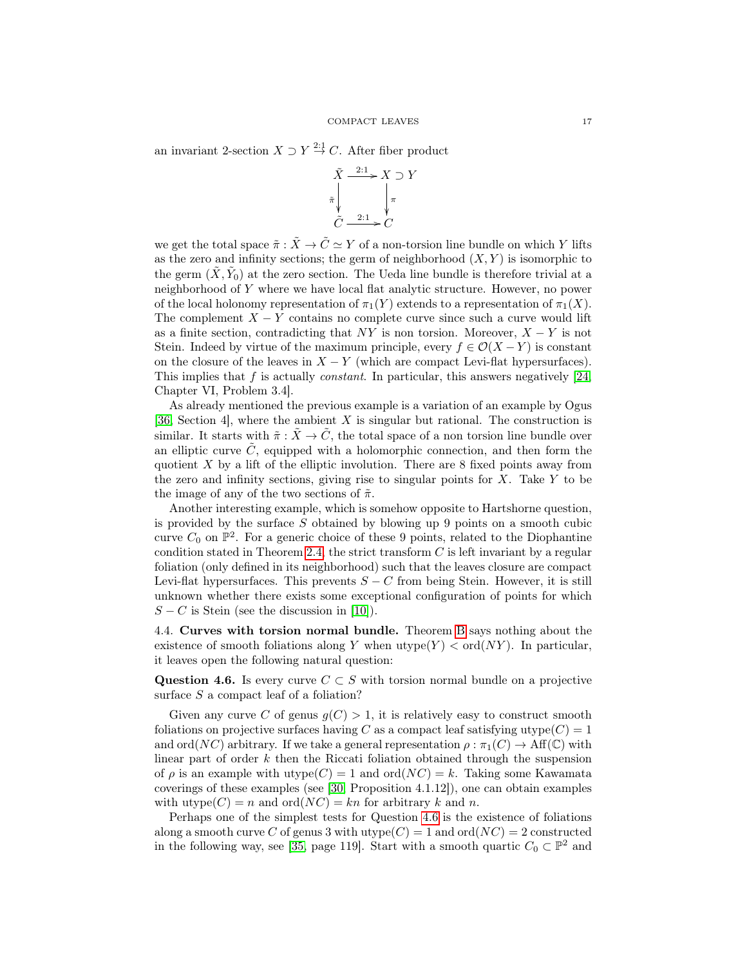an invariant 2-section  $X \supset Y \stackrel{2:1}{\rightarrow} C$ . After fiber product



we get the total space  $\tilde{\pi} : \tilde{X} \to \tilde{C} \simeq Y$  of a non-torsion line bundle on which Y lifts as the zero and infinity sections; the germ of neighborhood  $(X, Y)$  is isomorphic to the germ  $(\tilde{X}, \tilde{Y}_0)$  at the zero section. The Ueda line bundle is therefore trivial at a neighborhood of Y where we have local flat analytic structure. However, no power of the local holonomy representation of  $\pi_1(Y)$  extends to a representation of  $\pi_1(X)$ . The complement  $X - Y$  contains no complete curve since such a curve would lift as a finite section, contradicting that  $NY$  is non torsion. Moreover,  $X - Y$  is not Stein. Indeed by virtue of the maximum principle, every  $f \in \mathcal{O}(X - Y)$  is constant on the closure of the leaves in  $X - Y$  (which are compact Levi-flat hypersurfaces). This implies that f is actually *constant*. In particular, this answers negatively  $[24,$ Chapter VI, Problem 3.4].

As already mentioned the previous example is a variation of an example by Ogus [\[36,](#page-45-2) Section 4], where the ambient  $X$  is singular but rational. The construction is similar. It starts with  $\tilde{\pi} : \tilde{X} \to \tilde{C}$ , the total space of a non torsion line bundle over an elliptic curve  $\tilde{C}$ , equipped with a holomorphic connection, and then form the quotient  $X$  by a lift of the elliptic involution. There are 8 fixed points away from the zero and infinity sections, giving rise to singular points for  $X$ . Take  $Y$  to be the image of any of the two sections of  $\tilde{\pi}$ .

Another interesting example, which is somehow opposite to Hartshorne question, is provided by the surface  $S$  obtained by blowing up 9 points on a smooth cubic curve  $C_0$  on  $\mathbb{P}^2$ . For a generic choice of these 9 points, related to the Diophantine condition stated in Theorem [2.4,](#page-6-0) the strict transform  $C$  is left invariant by a regular foliation (only defined in its neighborhood) such that the leaves closure are compact Levi-flat hypersurfaces. This prevents  $S - C$  from being Stein. However, it is still unknown whether there exists some exceptional configuration of points for which  $S - C$  is Stein (see the discussion in [\[10\]](#page-45-11)).

<span id="page-16-0"></span>4.4. Curves with torsion normal bundle. Theorem [B](#page-2-0) says nothing about the existence of smooth foliations along Y when  $\mathrm{utype}(Y) < \mathrm{ord}(NY)$ . In particular, it leaves open the following natural question:

<span id="page-16-1"></span>Question 4.6. Is every curve  $C \subset S$  with torsion normal bundle on a projective surface S a compact leaf of a foliation?

Given any curve C of genus  $g(C) > 1$ , it is relatively easy to construct smooth foliations on projective surfaces having C as a compact leaf satisfying utype $(C) = 1$ and ord $(NC)$  arbitrary. If we take a general representation  $\rho : \pi_1(C) \to \text{Aff}(\mathbb{C})$  with linear part of order  $k$  then the Riccati foliation obtained through the suspension of  $\rho$  is an example with utype $(C) = 1$  and  $\text{ord}(NC) = k$ . Taking some Kawamata coverings of these examples (see [\[30,](#page-45-12) Proposition 4.1.12]), one can obtain examples with utype $(C) = n$  and ord $(NC) = kn$  for arbitrary k and n.

Perhaps one of the simplest tests for Question [4.6](#page-16-1) is the existence of foliations along a smooth curve C of genus 3 with utype $(C) = 1$  and ord $(NC) = 2$  constructed in the following way, see [\[35,](#page-45-3) page 119]. Start with a smooth quartic  $C_0 \subset \mathbb{P}^2$  and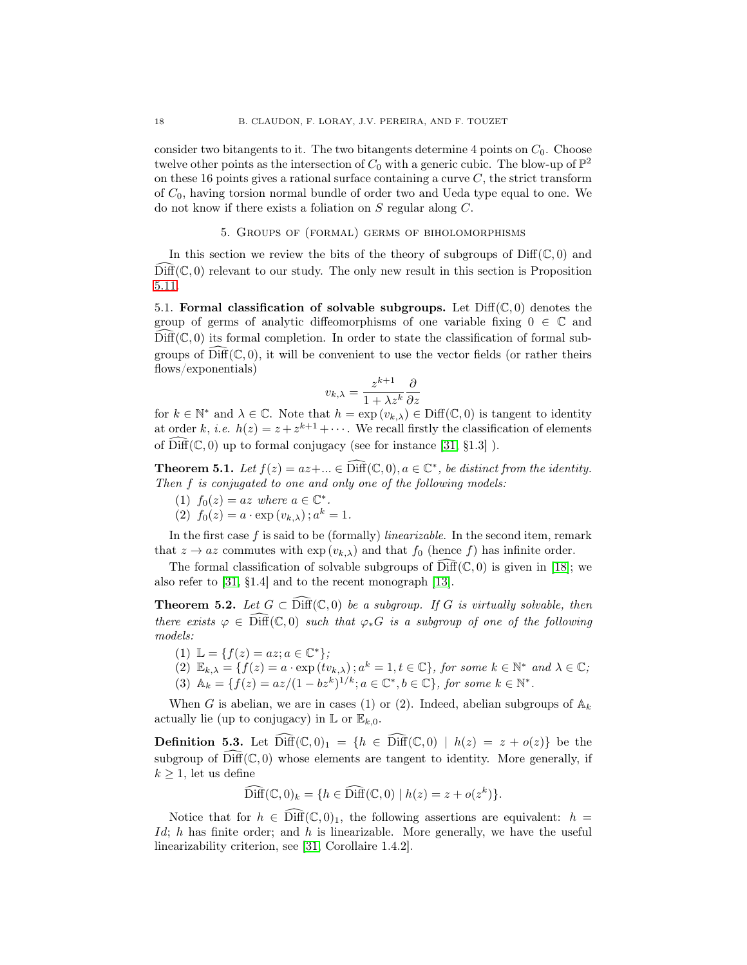consider two bitangents to it. The two bitangents determine 4 points on  $C_0$ . Choose twelve other points as the intersection of  $C_0$  with a generic cubic. The blow-up of  $\mathbb{P}^2$ on these 16 points gives a rational surface containing a curve  $C$ , the strict transform of  $C_0$ , having torsion normal bundle of order two and Ueda type equal to one. We do not know if there exists a foliation on S regular along C.

### 5. Groups of (formal) germs of biholomorphisms

<span id="page-17-0"></span>In this section we review the bits of the theory of subgroups of  $\text{Diff}(\mathbb{C},0)$  and  $Diff(\mathbb{C}, 0)$  relevant to our study. The only new result in this section is Proposition [5.11.](#page-19-0)

<span id="page-17-2"></span>5.1. Formal classification of solvable subgroups. Let  $\text{Diff}(\mathbb{C},0)$  denotes the group of germs of analytic diffeomorphisms of one variable fixing  $0 \in \mathbb{C}$  and  $Diff(\mathbb{C}, 0)$  its formal completion. In order to state the classification of formal subgroups of  $\text{Diff}(\mathbb{C}, 0)$ , it will be convenient to use the vector fields (or rather theirs flows/exponentials)

$$
v_{k,\lambda} = \frac{z^{k+1}}{1 + \lambda z^k} \frac{\partial}{\partial z}
$$

for  $k \in \mathbb{N}^*$  and  $\lambda \in \mathbb{C}$ . Note that  $h = \exp(v_{k,\lambda}) \in \text{Diff}(\mathbb{C},0)$  is tangent to identity at order k, i.e.  $h(z) = z + z^{k+1} + \cdots$ . We recall firstly the classification of elements of  $\text{Diff}(\mathbb{C}, 0)$  up to formal conjugacy (see for instance [\[31,](#page-45-13) §1.3]).

**Theorem 5.1.** Let  $f(z) = az + ... \in \widehat{\text{Diff}}(\mathbb{C}, 0), a \in \mathbb{C}^*$ , be distinct from the identity. Then f is conjugated to one and only one of the following models:

- (1)  $f_0(z) = az$  where  $a \in \mathbb{C}^*$ .
- (2)  $f_0(z) = a \cdot \exp(v_{k,\lambda}); a^k = 1.$

In the first case  $f$  is said to be (formally) *linearizable*. In the second item, remark that  $z \to az$  commutes with  $\exp(v_{k,\lambda})$  and that  $f_0$  (hence f) has infinite order.

The formal classification of solvable subgroups of  $\text{Diff}(\mathbb{C}, 0)$  is given in [\[18\]](#page-45-14); we also refer to [\[31,](#page-45-13) §1.4] and to the recent monograph [\[13\]](#page-45-15).

<span id="page-17-1"></span>**Theorem 5.2.** Let  $G \subset \text{Diff}(\mathbb{C},0)$  be a subgroup. If G is virtually solvable, then there exists  $\varphi \in \text{Diff}(\mathbb{C},0)$  such that  $\varphi_*G$  is a subgroup of one of the following models:

- (1)  $\mathbb{L} = \{f(z) = az; a \in \mathbb{C}^*\};$
- $(2) \mathbb{E}_{k,\lambda} = \{f(z) = a \cdot \exp(tv_{k,\lambda}); a^k = 1, t \in \mathbb{C}\}, \text{ for some } k \in \mathbb{N}^* \text{ and } \lambda \in \mathbb{C};$ (3)  $\mathbb{A}_k = \{f(z) = az/(1-bz^k)^{1/k}; a \in \mathbb{C}^*, b \in \mathbb{C}\}, \text{ for some } k \in \mathbb{N}^*.$

When G is abelian, we are in cases (1) or (2). Indeed, abelian subgroups of  $\mathbb{A}_k$ actually lie (up to conjugacy) in  $\mathbb{L}$  or  $\mathbb{E}_{k,0}$ .

<span id="page-17-3"></span>**Definition 5.3.** Let  $\text{Diff}(\mathbb{C},0)_1 = \{h \in \text{Diff}(\mathbb{C},0) \mid h(z) = z + o(z)\}\)$  be the subgroup of  $\text{Diff}(\mathbb{C}, 0)$  whose elements are tangent to identity. More generally, if  $k \geq 1$ , let us define

$$
\widehat{\text{Diff}}(\mathbb{C},0)_k = \{ h \in \widehat{\text{Diff}}(\mathbb{C},0) \mid h(z) = z + o(z^k) \}.
$$

Notice that for  $h \in \overline{\text{Diff}}(\mathbb{C},0)_1$ , the following assertions are equivalent:  $h =$ Id; h has finite order; and h is linearizable. More generally, we have the useful linearizability criterion, see [\[31,](#page-45-13) Corollaire 1.4.2].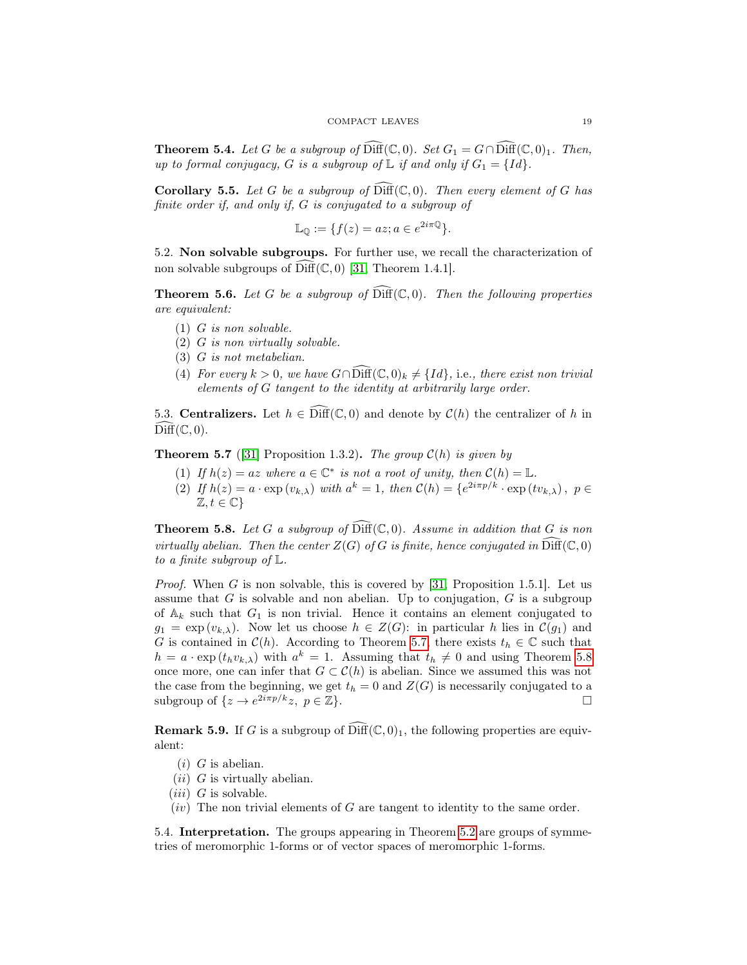<span id="page-18-3"></span>**Theorem 5.4.** Let G be a subgroup of  $\text{Diff}(\mathbb{C}, 0)$ . Set  $G_1 = G \cap \text{Diff}(\mathbb{C}, 0)_1$ . Then, up to formal conjugacy, G is a subgroup of  $\mathbb L$  if and only if  $G_1 = \{Id\}.$ 

<span id="page-18-5"></span>**Corollary 5.5.** Let G be a subgroup of  $\text{Diff}(\mathbb{C}, 0)$ . Then every element of G has finite order if, and only if, G is conjugated to a subgroup of

$$
\mathbb{L}_{\mathbb{O}} := \{ f(z) = az; a \in e^{2i\pi \mathbb{Q}} \}.
$$

5.2. Non solvable subgroups. For further use, we recall the characterization of non solvable subgroups of  $\widehat{\text{Diff}}(\mathbb{C}, 0)$  [\[31,](#page-45-13) Theorem 1.4.1].

**Theorem 5.6.** Let G be a subgroup of  $\widehat{\text{Diff}}(\mathbb{C}, 0)$ . Then the following properties are equivalent:

- (1) G is non solvable.
- (2) G is non virtually solvable.
- (3) G is not metabelian.
- (4) For every  $k > 0$ , we have  $G \cap \widehat{\text{Diff}}(\mathbb{C}, 0)_k \neq \{Id\}$ , i.e., there exist non trivial elements of G tangent to the identity at arbitrarily large order.

5.3. Centralizers. Let  $h \in \text{Diff}(\mathbb{C},0)$  and denote by  $\mathcal{C}(h)$  the centralizer of h in  $\widehat{\mathrm{Diff}}(\mathbb C,0).$ 

<span id="page-18-1"></span>**Theorem 5.7** ([\[31\]](#page-45-13) Proposition 1.3.2). The group  $C(h)$  is given by

- (1) If  $h(z) = az$  where  $a \in \mathbb{C}^*$  is not a root of unity, then  $C(h) = \mathbb{L}$ .
- (2) If  $h(z) = a \cdot \exp(v_{k,\lambda})$  with  $a^k = 1$ , then  $C(h) = \{e^{2i\pi p/k} \cdot \exp(v_{k,\lambda}), p \in$  $\mathbb{Z}, t \in \mathbb{C}\}$

<span id="page-18-2"></span>**Theorem 5.8.** Let G a subgroup of  $\text{Diff}(\mathbb{C}, 0)$ . Assume in addition that G is non virtually abelian. Then the center  $Z(G)$  of G is finite, hence conjugated in  $\widehat{\text{Diff}}(\mathbb C, 0)$ to a finite subgroup of  $\mathbb{L}$ .

*Proof.* When G is non solvable, this is covered by  $[31,$  Proposition 1.5.1. Let us assume that  $G$  is solvable and non abelian. Up to conjugation,  $G$  is a subgroup of  $A_k$  such that  $G_1$  is non trivial. Hence it contains an element conjugated to  $g_1 = \exp(v_{k,\lambda})$ . Now let us choose  $h \in Z(G)$ : in particular h lies in  $\mathcal{C}(g_1)$  and G is contained in  $\mathcal{C}(h)$ . According to Theorem [5.7,](#page-18-1) there exists  $t_h \in \mathbb{C}$  such that  $h = a \cdot \exp(t_h v_{k,\lambda})$  with  $a^k = 1$ . Assuming that  $t_h \neq 0$  and using Theorem [5.8](#page-18-2) once more, one can infer that  $G \subset \mathcal{C}(h)$  is abelian. Since we assumed this was not the case from the beginning, we get  $t_h = 0$  and  $Z(G)$  is necessarily conjugated to a subgroup of  $\{z \to e^{2i\pi p/k}z, p \in \mathbb{Z}\}.$ 

<span id="page-18-4"></span>**Remark 5.9.** If G is a subgroup of  $\widehat{\text{Diff}}(\mathbb{C}, 0)_1$ , the following properties are equivalent:

- $(i)$  G is abelian.
- $(ii)$  G is virtually abelian.
- $(iii)$  G is solvable.
- $(iv)$  The non trivial elements of G are tangent to identity to the same order.

<span id="page-18-0"></span>5.4. Interpretation. The groups appearing in Theorem [5.2](#page-17-1) are groups of symmetries of meromorphic 1-forms or of vector spaces of meromorphic 1-forms.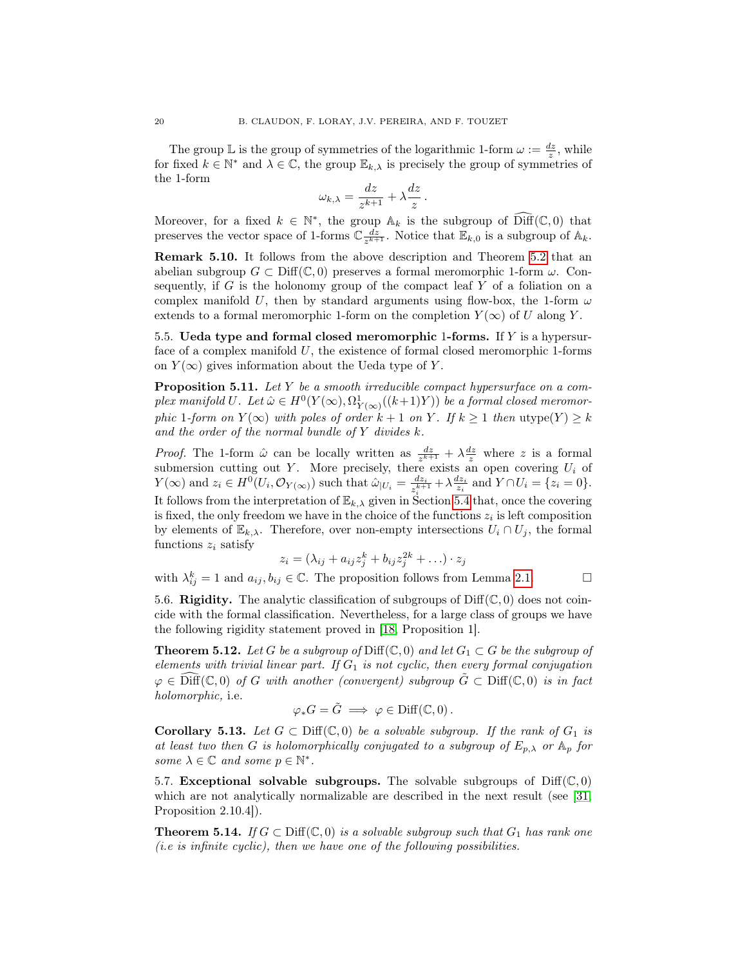The group  $\mathbb L$  is the group of symmetries of the logarithmic 1-form  $\omega := \frac{dz}{z}$ , while for fixed  $k \in \mathbb{N}^*$  and  $\lambda \in \mathbb{C}$ , the group  $\mathbb{E}_{k,\lambda}$  is precisely the group of symmetries of the 1-form

$$
\omega_{k,\lambda} = \frac{dz}{z^{k+1}} + \lambda \frac{dz}{z}
$$

.

Moreover, for a fixed  $k \in \mathbb{N}^*$ , the group  $\mathbb{A}_k$  is the subgroup of  $\widehat{\text{Diff}}(\mathbb{C},0)$  that preserves the vector space of 1-forms  $\mathbb{C} \frac{dz}{z^{k+1}}$ . Notice that  $\mathbb{E}_{k,0}$  is a subgroup of  $\mathbb{A}_k$ .

<span id="page-19-1"></span>Remark 5.10. It follows from the above description and Theorem [5.2](#page-17-1) that an abelian subgroup  $G \subset \text{Diff}(\mathbb{C},0)$  preserves a formal meromorphic 1-form  $\omega$ . Consequently, if  $G$  is the holonomy group of the compact leaf  $Y$  of a foliation on a complex manifold U, then by standard arguments using flow-box, the 1-form  $\omega$ extends to a formal meromorphic 1-form on the completion  $Y(\infty)$  of U along Y.

5.5. Ueda type and formal closed meromorphic 1-forms. If  $Y$  is a hypersurface of a complex manifold  $U$ , the existence of formal closed meromorphic 1-forms on  $Y(\infty)$  gives information about the Ueda type of Y.

<span id="page-19-0"></span>**Proposition 5.11.** Let  $Y$  be a smooth irreducible compact hypersurface on a complex manifold U. Let  $\hat{\omega} \in H^0(Y(\infty), \Omega^1_{Y(\infty)}((k+1)Y))$  be a formal closed meromorphic 1-form on  $Y(\infty)$  with poles of order  $k + 1$  on Y. If  $k \ge 1$  then  $\text{utype}(Y) \ge k$ and the order of the normal bundle of  $Y$  divides  $k$ .

*Proof.* The 1-form  $\hat{\omega}$  can be locally written as  $\frac{dz}{z^{k+1}} + \lambda \frac{dz}{z}$  where z is a formal submersion cutting out Y. More precisely, there exists an open covering  $U_i$  of  $Y(\infty)$  and  $z_i \in H^0(U_i, \mathcal{O}_{Y(\infty)})$  such that  $\hat{\omega}_{|U_i} = \frac{dz_i}{z^{k+1}}$  $\frac{dz_i}{z_i^{k+1}} + \lambda \frac{dz_i}{z_i}$  and  $Y \cap U_i = \{z_i = 0\}.$ It follows from the interpretation of  $\mathbb{E}_{k,\lambda}$  given in Section [5.4](#page-18-0) that, once the covering is fixed, the only freedom we have in the choice of the functions  $z_i$  is left composition by elements of  $\mathbb{E}_{k,\lambda}$ . Therefore, over non-empty intersections  $U_i \cap U_j$ , the formal functions  $z_i$  satisfy

$$
z_i = (\lambda_{ij} + a_{ij}z_j^k + b_{ij}z_j^{2k} + \ldots) \cdot z_j
$$

with  $\lambda_{ij}^k = 1$  and  $a_{ij}, b_{ij} \in \mathbb{C}$ . The proposition follows from Lemma [2.1.](#page-5-0)

5.6. Rigidity. The analytic classification of subgroups of  $\text{Diff}(\mathbb{C},0)$  does not coincide with the formal classification. Nevertheless, for a large class of groups we have the following rigidity statement proved in [\[18,](#page-45-14) Proposition 1].

**Theorem 5.12.** Let G be a subgroup of Diff( $\mathbb{C}, 0$ ) and let  $G_1 \subset G$  be the subgroup of elements with trivial linear part. If  $G_1$  is not cyclic, then every formal conjugation  $\varphi \in \widehat{\text{Diff}}(\mathbb{C},0)$  of G with another (convergent) subgroup  $\tilde{G} \subset \text{Diff}(\mathbb{C},0)$  is in fact holomorphic, i.e.

$$
\varphi_*G=\tilde{G} \implies \varphi \in \text{Diff}(\mathbb{C},0).
$$

<span id="page-19-2"></span>**Corollary 5.13.** Let  $G \subset \text{Diff}(\mathbb{C},0)$  be a solvable subgroup. If the rank of  $G_1$  is at least two then G is holomorphically conjugated to a subgroup of  $E_{p,\lambda}$  or  $\mathbb{A}_p$  for some  $\lambda \in \mathbb{C}$  and some  $p \in \mathbb{N}^*$ .

<span id="page-19-4"></span>5.7. Exceptional solvable subgroups. The solvable subgroups of  $\text{Diff}(\mathbb{C}, 0)$ which are not analytically normalizable are described in the next result (see [\[31,](#page-45-13) Proposition 2.10.4]).

<span id="page-19-3"></span>**Theorem 5.14.** If  $G \subset \text{Diff}(\mathbb{C}, 0)$  is a solvable subgroup such that  $G_1$  has rank one  $(i.e. is infinite cyclic), then we have one of the following possibilities.$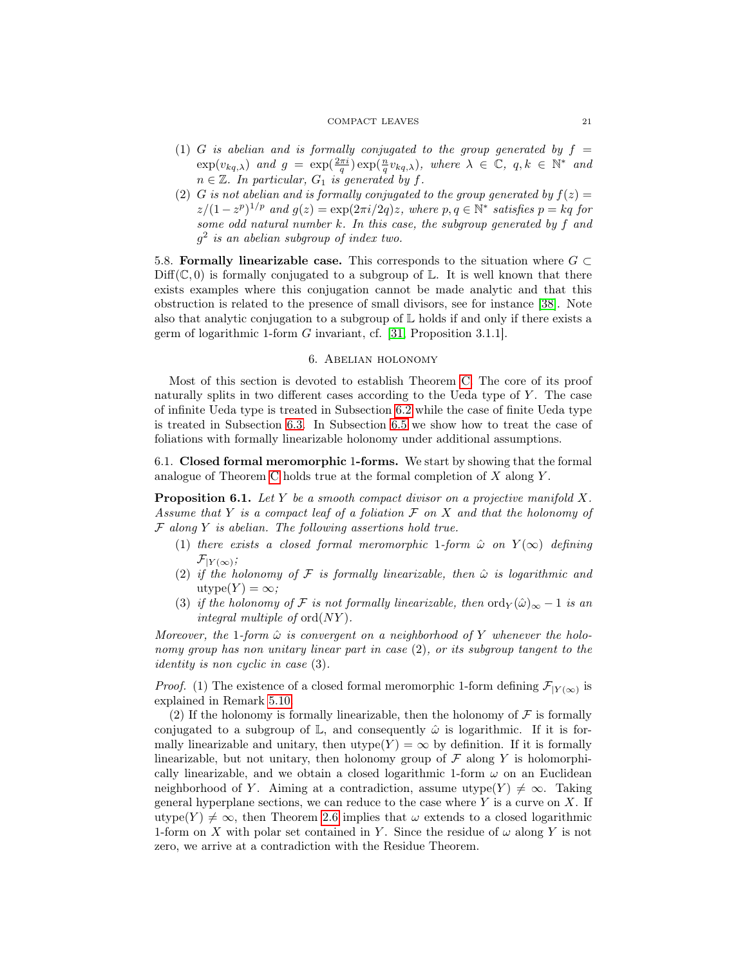#### COMPACT LEAVES 21

- (1) G is abelian and is formally conjugated to the group generated by  $f =$  $\exp(v_{kq,\lambda})$  and  $g = \exp(\frac{2\pi i}{q}v_{kq,\lambda})$ , where  $\lambda \in \mathbb{C}$ ,  $q, k \in \mathbb{N}^*$  and  $n \in \mathbb{Z}$ . In particular,  $G_1$  is generated by f.
- (2) G is not abelian and is formally conjugated to the group generated by  $f(z) =$  $z/(1-z^p)^{1/p}$  and  $g(z) = \exp(2\pi i/2q)z$ , where  $p, q \in \mathbb{N}^*$  satisfies  $p = kq$  for some odd natural number k. In this case, the subgroup generated by f and  $g^2$  is an abelian subgroup of index two.

5.8. Formally linearizable case. This corresponds to the situation where  $G \subset$  $Diff(\mathbb{C}, 0)$  is formally conjugated to a subgroup of  $\mathbb{L}$ . It is well known that there exists examples where this conjugation cannot be made analytic and that this obstruction is related to the presence of small divisors, see for instance [\[38\]](#page-46-5). Note also that analytic conjugation to a subgroup of  $\mathbb L$  holds if and only if there exists a germ of logarithmic 1-form G invariant, cf. [\[31,](#page-45-13) Proposition 3.1.1].

#### 6. Abelian holonomy

<span id="page-20-0"></span>Most of this section is devoted to establish Theorem [C.](#page-2-1) The core of its proof naturally splits in two different cases according to the Ueda type of  $Y$ . The case of infinite Ueda type is treated in Subsection [6.2](#page-21-0) while the case of finite Ueda type is treated in Subsection [6.3.](#page-22-0) In Subsection [6.5](#page-25-0) we show how to treat the case of foliations with formally linearizable holonomy under additional assumptions.

6.1. Closed formal meromorphic 1-forms. We start by showing that the formal analogue of Theorem [C](#page-2-1) holds true at the formal completion of  $X$  along  $Y$ .

<span id="page-20-1"></span>**Proposition 6.1.** Let Y be a smooth compact divisor on a projective manifold X. Assume that Y is a compact leaf of a foliation  $\mathcal F$  on X and that the holonomy of  $F$  along  $Y$  is abelian. The following assertions hold true.

- (1) there exists a closed formal meromorphic 1-form  $\hat{\omega}$  on  $Y(\infty)$  defining  $\mathcal{F}_{|Y(\infty)}$ ;
- (2) if the holonomy of  $\mathcal F$  is formally linearizable, then  $\hat\omega$  is logarithmic and utype $(Y) = \infty$ ;
- (3) if the holonomy of F is not formally linearizable, then  $\text{ord}_{Y}(\hat{\omega})_{\infty} 1$  is an integral multiple of  $\text{ord}(NY)$ .

Moreover, the 1-form  $\hat{\omega}$  is convergent on a neighborhood of Y whenever the holonomy group has non unitary linear part in case (2), or its subgroup tangent to the identity is non cyclic in case (3).

*Proof.* (1) The existence of a closed formal meromorphic 1-form defining  $\mathcal{F}_{|Y(\infty)}$  is explained in Remark [5.10.](#page-19-1)

(2) If the holonomy is formally linearizable, then the holonomy of  $\mathcal F$  is formally conjugated to a subgroup of  $\mathbb{L}$ , and consequently  $\hat{\omega}$  is logarithmic. If it is formally linearizable and unitary, then utype(Y) =  $\infty$  by definition. If it is formally linearizable, but not unitary, then holonomy group of  $\mathcal F$  along Y is holomorphically linearizable, and we obtain a closed logarithmic 1-form  $\omega$  on an Euclidean neighborhood of Y. Aiming at a contradiction, assume utype $(Y) \neq \infty$ . Taking general hyperplane sections, we can reduce to the case where  $Y$  is a curve on  $X$ . If utype(Y)  $\neq \infty$ , then Theorem [2.6](#page-7-1) implies that  $\omega$  extends to a closed logarithmic 1-form on X with polar set contained in Y. Since the residue of  $\omega$  along Y is not zero, we arrive at a contradiction with the Residue Theorem.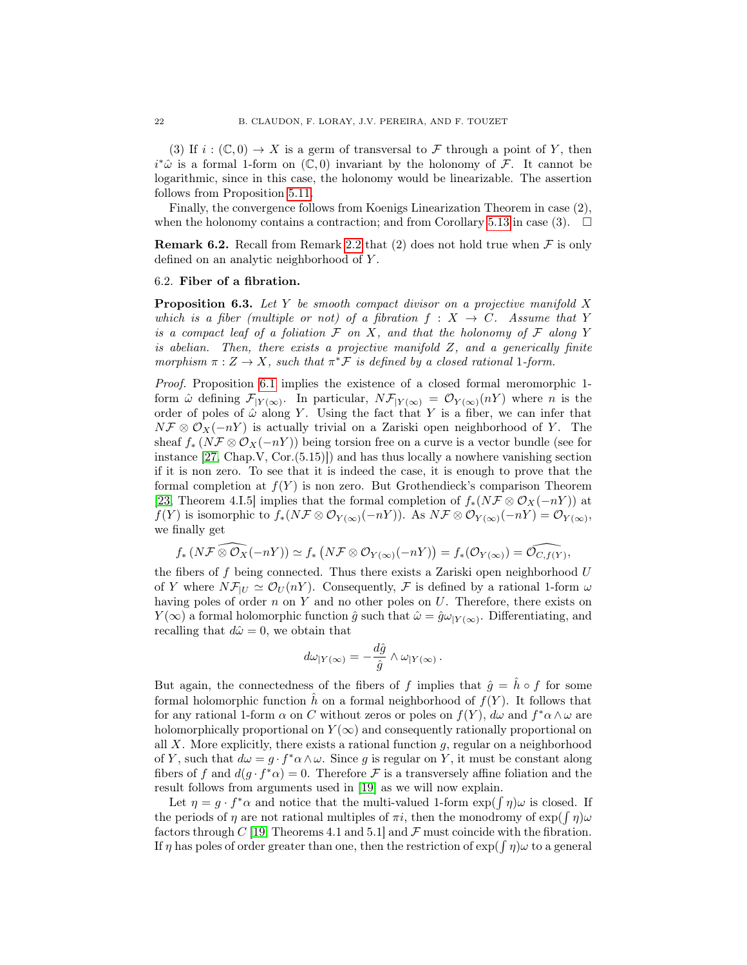(3) If  $i : (\mathbb{C}, 0) \to X$  is a germ of transversal to F through a point of Y, then  $i^*\hat{\omega}$  is a formal 1-form on  $(\mathbb{C},0)$  invariant by the holonomy of F. It cannot be logarithmic, since in this case, the holonomy would be linearizable. The assertion follows from Proposition [5.11.](#page-19-0)

Finally, the convergence follows from Koenigs Linearization Theorem in case (2), when the holonomy contains a contraction; and from Corollary [5.13](#page-19-2) in case (3).  $\Box$ 

**Remark 6.2.** Recall from Remark [2.2](#page-5-1) that (2) does not hold true when  $\mathcal F$  is only defined on an analytic neighborhood of Y.

## <span id="page-21-0"></span>6.2. Fiber of a fibration.

<span id="page-21-1"></span>**Proposition 6.3.** Let Y be smooth compact divisor on a projective manifold X which is a fiber (multiple or not) of a fibration  $f: X \to C$ . Assume that Y is a compact leaf of a foliation  $\mathcal F$  on X, and that the holonomy of  $\mathcal F$  along Y is abelian. Then, there exists a projective manifold  $Z$ , and a generically finite morphism  $\pi : Z \to X$ , such that  $\pi^* \mathcal{F}$  is defined by a closed rational 1-form.

Proof. Proposition [6.1](#page-20-1) implies the existence of a closed formal meromorphic 1 form  $\hat{\omega}$  defining  $\mathcal{F}_{|Y(\infty)}$ . In particular,  $N\mathcal{F}_{|Y(\infty)} = \mathcal{O}_{Y(\infty)}(nY)$  where *n* is the order of poles of  $\hat{\omega}$  along Y. Using the fact that Y is a fiber, we can infer that  $N\mathcal{F}\otimes\mathcal{O}_X(-nY)$  is actually trivial on a Zariski open neighborhood of Y. The sheaf  $f_*(N\mathcal{F}\otimes\mathcal{O}_X(-nY))$  being torsion free on a curve is a vector bundle (see for instance [\[27,](#page-45-16) Chap.V, Cor.(5.15)]) and has thus locally a nowhere vanishing section if it is non zero. To see that it is indeed the case, it is enough to prove that the formal completion at  $f(Y)$  is non zero. But Grothendieck's comparison Theorem [\[23,](#page-45-17) Theorem 4.I.5] implies that the formal completion of  $f_*(N\mathcal{F} \otimes \mathcal{O}_X(-nY))$  at  $f(Y)$  is isomorphic to  $f_*(N\mathcal{F} \otimes \mathcal{O}_{Y(\infty)}(-nY))$ . As  $N\mathcal{F} \otimes \mathcal{O}_{Y(\infty)}(-nY) = \mathcal{O}_{Y(\infty)}$ , we finally get

$$
f_*\left(N{\mathcal F} \operatorname{\widehat{\otimes}} {\mathcal O}_X(-nY)\right)\simeq f_*\left(N{\mathcal F} \otimes {\mathcal O}_{Y(\infty)}(-nY)\right)=f_*({\mathcal O}_{Y(\infty)})={\widehat{{\mathcal O}_{C,f(Y)}}},
$$

the fibers of f being connected. Thus there exists a Zariski open neighborhood  $U$ of Y where  $N\mathcal{F}_{|U} \simeq \mathcal{O}_U(nY)$ . Consequently, F is defined by a rational 1-form  $\omega$ having poles of order  $n$  on  $Y$  and no other poles on  $U$ . Therefore, there exists on  $Y(\infty)$  a formal holomorphic function  $\hat{g}$  such that  $\hat{\omega} = \hat{g}\omega_{|Y(\infty)}$ . Differentiating, and recalling that  $d\hat{\omega} = 0$ , we obtain that

$$
d\omega_{|Y(\infty)} = -\frac{d\hat{g}}{\hat{g}} \wedge \omega_{|Y(\infty)}.
$$

But again, the connectedness of the fibers of f implies that  $\hat{g} = \hat{h} \circ f$  for some formal holomorphic function h on a formal neighborhood of  $f(Y)$ . It follows that for any rational 1-form  $\alpha$  on C without zeros or poles on  $f(Y)$ ,  $d\omega$  and  $f^*\alpha \wedge \omega$  are holomorphically proportional on  $Y(\infty)$  and consequently rationally proportional on all  $X$ . More explicitly, there exists a rational function  $g$ , regular on a neighborhood of Y, such that  $d\omega = g \cdot f^* \alpha \wedge \omega$ . Since g is regular on Y, it must be constant along fibers of f and  $d(g \cdot f^* \alpha) = 0$ . Therefore F is a transversely affine foliation and the result follows from arguments used in [\[19\]](#page-45-4) as we will now explain.

Let  $\eta = g \cdot f^* \alpha$  and notice that the multi-valued 1-form  $\exp(\int \eta) \omega$  is closed. If the periods of  $\eta$  are not rational multiples of  $\pi i$ , then the monodromy of  $\exp(\int \eta)\omega$ factors through C [\[19,](#page-45-4) Theorems 4.1 and 5.1] and  $\mathcal F$  must coincide with the fibration. If  $\eta$  has poles of order greater than one, then the restriction of  $\exp(\int \eta)\omega$  to a general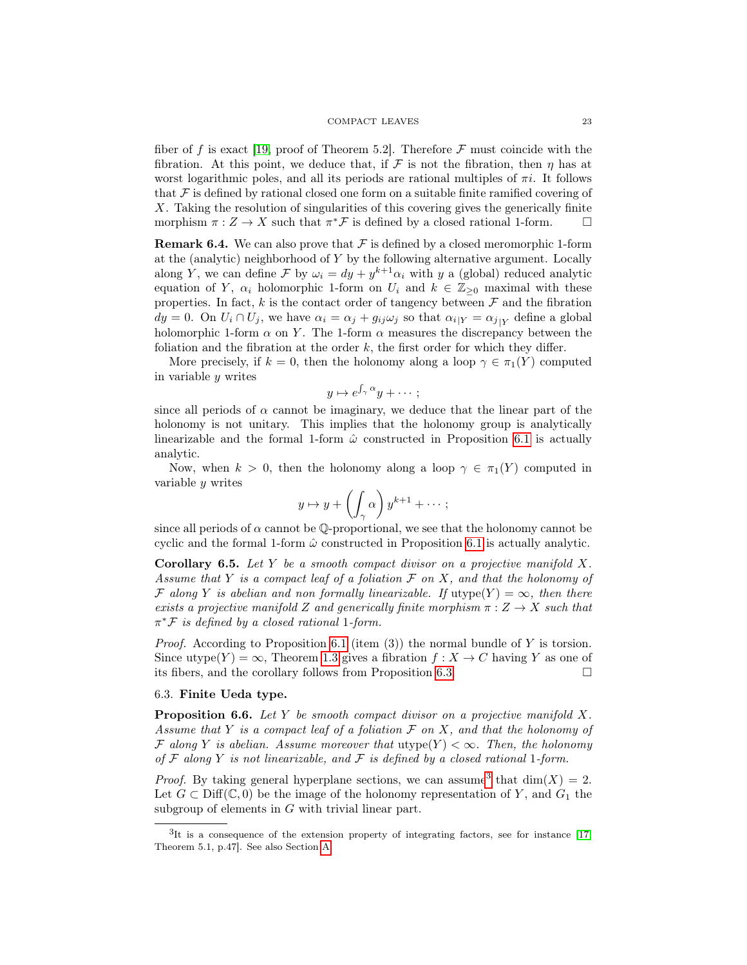fiber of f is exact [\[19,](#page-45-4) proof of Theorem 5.2]. Therefore  $\mathcal F$  must coincide with the fibration. At this point, we deduce that, if F is not the fibration, then  $\eta$  has at worst logarithmic poles, and all its periods are rational multiples of  $\pi i$ . It follows that  $\mathcal F$  is defined by rational closed one form on a suitable finite ramified covering of X. Taking the resolution of singularities of this covering gives the generically finite morphism  $\pi: Z \to X$  such that  $\pi^* \mathcal{F}$  is defined by a closed rational 1-form.  $\square$ 

<span id="page-22-3"></span>**Remark 6.4.** We can also prove that  $\mathcal F$  is defined by a closed meromorphic 1-form at the (analytic) neighborhood of Y by the following alternative argument. Locally along Y, we can define F by  $\omega_i = dy + y^{k+1}\alpha_i$  with y a (global) reduced analytic equation of Y,  $\alpha_i$  holomorphic 1-form on  $U_i$  and  $k \in \mathbb{Z}_{\geq 0}$  maximal with these properties. In fact,  $k$  is the contact order of tangency between  $\mathcal F$  and the fibration  $dy = 0$ . On  $U_i \cap U_j$ , we have  $\alpha_i = \alpha_j + g_{ij}\omega_j$  so that  $\alpha_{i|Y} = \alpha_{j|Y}$  define a global holomorphic 1-form  $\alpha$  on Y. The 1-form  $\alpha$  measures the discrepancy between the foliation and the fibration at the order  $k$ , the first order for which they differ.

More precisely, if  $k = 0$ , then the holonomy along a loop  $\gamma \in \pi_1(Y)$  computed in variable y writes

$$
y \mapsto e^{\int_{\gamma} \alpha} y + \cdots;
$$

since all periods of  $\alpha$  cannot be imaginary, we deduce that the linear part of the holonomy is not unitary. This implies that the holonomy group is analytically linearizable and the formal 1-form  $\hat{\omega}$  constructed in Proposition [6.1](#page-20-1) is actually analytic.

Now, when  $k > 0$ , then the holonomy along a loop  $\gamma \in \pi_1(Y)$  computed in variable y writes

$$
y \mapsto y + \left(\int_{\gamma} \alpha\right) y^{k+1} + \cdots ;
$$

since all periods of  $\alpha$  cannot be Q-proportional, we see that the holonomy cannot be cyclic and the formal 1-form  $\hat{\omega}$  constructed in Proposition [6.1](#page-20-1) is actually analytic.

<span id="page-22-4"></span>**Corollary 6.5.** Let Y be a smooth compact divisor on a projective manifold X. Assume that Y is a compact leaf of a foliation  $\mathcal F$  on X, and that the holonomy of F along Y is abelian and non formally linearizable. If  $\text{utype}(Y) = \infty$ , then there exists a projective manifold Z and generically finite morphism  $\pi: Z \to X$  such that  $\pi^*$ F is defined by a closed rational 1-form.

*Proof.* According to Proposition [6.1](#page-20-1) (item (3)) the normal bundle of Y is torsion. Since utype(Y) =  $\infty$ , Theorem [1.3](#page-2-2) gives a fibration  $f: X \to C$  having Y as one of its fibers, and the corollary follows from Proposition [6.3.](#page-21-1)

### <span id="page-22-0"></span>6.3. Finite Ueda type.

<span id="page-22-2"></span>**Proposition 6.6.** Let  $Y$  be smooth compact divisor on a projective manifold  $X$ . Assume that Y is a compact leaf of a foliation  $\mathcal F$  on X, and that the holonomy of F along Y is abelian. Assume moreover that  $\text{utype}(Y) < \infty$ . Then, the holonomy of  $\mathcal F$  along  $Y$  is not linearizable, and  $\mathcal F$  is defined by a closed rational 1-form.

*Proof.* By taking general hyperplane sections, we can assume<sup>[3](#page-22-1)</sup> that  $dim(X) = 2$ . Let  $G \subset \text{Diff}(\mathbb{C},0)$  be the image of the holonomy representation of Y, and  $G_1$  the subgroup of elements in  $G$  with trivial linear part.

<span id="page-22-1"></span><sup>&</sup>lt;sup>3</sup>It is a consequence of the extension property of integrating factors, see for instance [\[17,](#page-45-18) Theorem 5.1, p.47]. See also Section [A.](#page-42-0)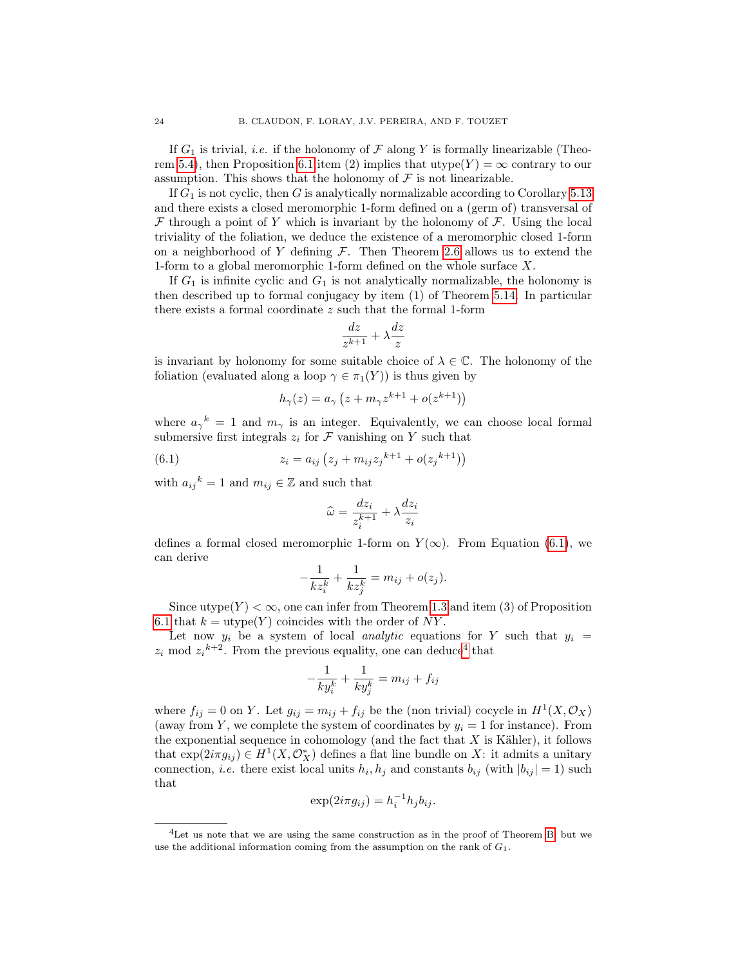If  $G_1$  is trivial, *i.e.* if the holonomy of  $\mathcal F$  along Y is formally linearizable (Theo-rem [5.4\)](#page-18-3), then Proposition [6.1](#page-20-1) item (2) implies that utype( $Y$ ) =  $\infty$  contrary to our assumption. This shows that the holonomy of  $\mathcal F$  is not linearizable.

If  $G_1$  is not cyclic, then G is analytically normalizable according to Corollary [5.13](#page-19-2) and there exists a closed meromorphic 1-form defined on a (germ of) transversal of  $\mathcal F$  through a point of Y which is invariant by the holonomy of  $\mathcal F$ . Using the local triviality of the foliation, we deduce the existence of a meromorphic closed 1-form on a neighborhood of Y defining  $\mathcal{F}$ . Then Theorem [2.6](#page-7-1) allows us to extend the 1-form to a global meromorphic 1-form defined on the whole surface X.

If  $G_1$  is infinite cyclic and  $G_1$  is not analytically normalizable, the holonomy is then described up to formal conjugacy by item (1) of Theorem [5.14.](#page-19-3) In particular there exists a formal coordinate z such that the formal 1-form

$$
\frac{dz}{z^{k+1}}+\lambda\frac{dz}{z}
$$

is invariant by holonomy for some suitable choice of  $\lambda \in \mathbb{C}$ . The holonomy of the foliation (evaluated along a loop  $\gamma \in \pi_1(Y)$ ) is thus given by

<span id="page-23-0"></span>
$$
h_{\gamma}(z) = a_{\gamma} \left( z + m_{\gamma} z^{k+1} + o(z^{k+1}) \right)
$$

where  $a_{\gamma}{}^k = 1$  and  $m_{\gamma}$  is an integer. Equivalently, we can choose local formal submersive first integrals  $z_i$  for  $\mathcal F$  vanishing on Y such that

(6.1) 
$$
z_i = a_{ij} \left( z_j + m_{ij} z_j^{k+1} + o(z_j^{k+1}) \right)
$$

with  $a_{ij}{}^k = 1$  and  $m_{ij} \in \mathbb{Z}$  and such that

$$
\widehat{\omega} = \frac{dz_i}{z_i^{k+1}} + \lambda \frac{dz_i}{z_i}
$$

defines a formal closed meromorphic 1-form on  $Y(\infty)$ . From Equation [\(6.1\)](#page-23-0), we can derive

$$
-\frac{1}{k z_i^k} + \frac{1}{k z_j^k} = m_{ij} + o(z_j).
$$

Since utype $(Y) < \infty$ , one can infer from Theorem [1.3](#page-2-2) and item (3) of Proposition [6.1](#page-20-1) that  $k = \text{utype}(Y)$  coincides with the order of NY.

Let now  $y_i$  be a system of local *analytic* equations for Y such that  $y_i =$  $z_i$  mod  $z_i^{k+2}$ . From the previous equality, one can deduce<sup>[4](#page-23-1)</sup> that

$$
-\frac{1}{ky_i^k} + \frac{1}{ky_j^k} = m_{ij} + f_{ij}
$$

where  $f_{ij} = 0$  on Y. Let  $g_{ij} = m_{ij} + f_{ij}$  be the (non trivial) cocycle in  $H^1(X, \mathcal{O}_X)$ (away from Y, we complete the system of coordinates by  $y_i = 1$  for instance). From the exponential sequence in cohomology (and the fact that  $X$  is Kähler), it follows that  $\exp(2i\pi g_{ij}) \in H^1(X, \mathcal{O}_X^*)$  defines a flat line bundle on X: it admits a unitary connection, *i.e.* there exist local units  $h_i, h_j$  and constants  $b_{ij}$  (with  $|b_{ij}| = 1$ ) such that

$$
\exp(2i\pi g_{ij}) = h_i^{-1}h_jb_{ij}.
$$

<span id="page-23-1"></span><sup>4</sup>Let us note that we are using the same construction as in the proof of Theorem [B,](#page-2-0) but we use the additional information coming from the assumption on the rank of  $G_1$ .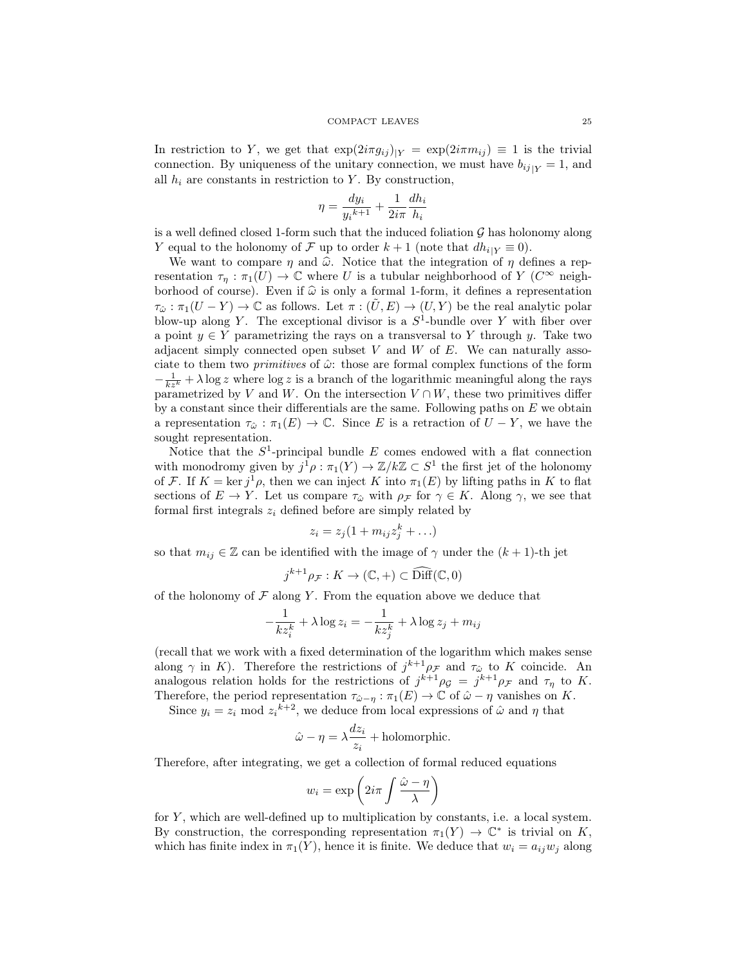In restriction to Y, we get that  $\exp(2i\pi g_{ij})|_Y = \exp(2i\pi m_{ij}) \equiv 1$  is the trivial connection. By uniqueness of the unitary connection, we must have  $b_{ij}|_Y = 1$ , and all  $h_i$  are constants in restriction to Y. By construction,

$$
\eta = \frac{dy_i}{y_i^{k+1}} + \frac{1}{2i\pi} \frac{dh_i}{h_i}
$$

is a well defined closed 1-form such that the induced foliation  $\mathcal G$  has holonomy along Y equal to the holonomy of F up to order  $k + 1$  (note that  $dh_{i|Y} \equiv 0$ ).

We want to compare  $\eta$  and  $\hat{\omega}$ . Notice that the integration of  $\eta$  defines a representation  $\tau_{\eta} : \pi_1(U) \to \mathbb{C}$  where U is a tubular neighborhood of Y ( $C^{\infty}$  neighborhood of course). Even if  $\hat{\omega}$  is only a formal 1-form, it defines a representation  $\tau_{\hat{\omega}} : \pi_1(U - Y) \to \mathbb{C}$  as follows. Let  $\pi : (\tilde{U}, E) \to (U, Y)$  be the real analytic polar blow-up along Y. The exceptional divisor is a  $S^1$ -bundle over Y with fiber over a point  $y \in Y$  parametrizing the rays on a transversal to Y through y. Take two adjacent simply connected open subset V and W of  $E$ . We can naturally associate to them two *primitives* of  $\hat{\omega}$ : those are formal complex functions of the form  $-\frac{1}{kz^k} + \lambda \log z$  where  $\log z$  is a branch of the logarithmic meaningful along the rays parametrized by V and W. On the intersection  $V \cap W$ , these two primitives differ by a constant since their differentials are the same. Following paths on  $E$  we obtain a representation  $\tau_{\hat{\omega}} : \pi_1(E) \to \mathbb{C}$ . Since E is a retraction of  $U - Y$ , we have the sought representation.

Notice that the  $S^1$ -principal bundle  $E$  comes endowed with a flat connection with monodromy given by  $j^1 \rho : \pi_1(Y) \to \mathbb{Z}/k\mathbb{Z} \subset S^1$  the first jet of the holonomy of F. If  $K = \ker j^1 \rho$ , then we can inject K into  $\pi_1(E)$  by lifting paths in K to flat sections of  $E \to Y$ . Let us compare  $\tau_{\hat{\omega}}$  with  $\rho_{\mathcal{F}}$  for  $\gamma \in K$ . Along  $\gamma$ , we see that formal first integrals  $z_i$  defined before are simply related by

$$
z_i = z_j(1 + m_{ij}z_j^k + \ldots)
$$

so that  $m_{ij} \in \mathbb{Z}$  can be identified with the image of  $\gamma$  under the  $(k + 1)$ -th jet

$$
j^{k+1}\rho_{\mathcal{F}}: K \to (\mathbb{C}, +) \subset \widehat{\text{Diff}}(\mathbb{C}, 0)
$$

of the holonomy of  $\mathcal F$  along Y. From the equation above we deduce that

$$
-\frac{1}{kz_i^k} + \lambda \log z_i = -\frac{1}{kz_j^k} + \lambda \log z_j + m_{ij}
$$

(recall that we work with a fixed determination of the logarithm which makes sense along  $\gamma$  in K). Therefore the restrictions of  $j^{k+1}\rho_{\mathcal{F}}$  and  $\tau_{\hat{\omega}}$  to K coincide. An analogous relation holds for the restrictions of  $j^{k+1}\rho_{\mathcal{G}} = j^{k+1}\rho_{\mathcal{F}}$  and  $\tau_{\eta}$  to K. Therefore, the period representation  $\tau_{\hat{\omega}-\eta} : \pi_1(E) \to \mathbb{C}$  of  $\hat{\omega} - \eta$  vanishes on K.

Since  $y_i = z_i \mod z_i^{k+2}$ , we deduce from local expressions of  $\hat{\omega}$  and  $\eta$  that

$$
\hat{\omega} - \eta = \lambda \frac{dz_i}{z_i} + \text{holomorphic}.
$$

Therefore, after integrating, we get a collection of formal reduced equations

$$
w_i = \exp\left(2i\pi \int \frac{\hat{\omega} - \eta}{\lambda}\right)
$$

for  $Y$ , which are well-defined up to multiplication by constants, i.e. a local system. By construction, the corresponding representation  $\pi_1(Y) \to \mathbb{C}^*$  is trivial on K, which has finite index in  $\pi_1(Y)$ , hence it is finite. We deduce that  $w_i = a_{ij}w_j$  along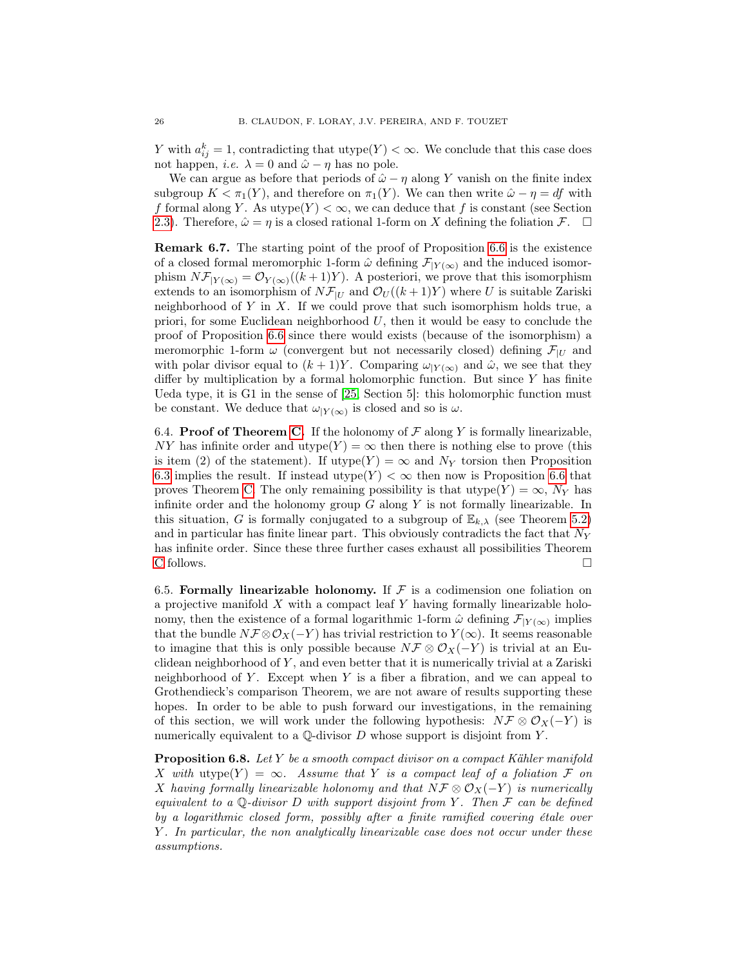Y with  $a_{ij}^k = 1$ , contradicting that utype $(Y) < \infty$ . We conclude that this case does not happen, *i.e.*  $\lambda = 0$  and  $\hat{\omega} - \eta$  has no pole.

We can argue as before that periods of  $\hat{\omega} - \eta$  along Y vanish on the finite index subgroup  $K < \pi_1(Y)$ , and therefore on  $\pi_1(Y)$ . We can then write  $\hat{\omega} - \eta = df$  with f formal along Y. As utype $(Y) < \infty$ , we can deduce that f is constant (see Section [2.3\)](#page-7-2). Therefore,  $\hat{\omega} = \eta$  is a closed rational 1-form on X defining the foliation  $\mathcal{F}$ .  $\Box$ 

Remark 6.7. The starting point of the proof of Proposition [6.6](#page-22-2) is the existence of a closed formal meromorphic 1-form  $\hat{\omega}$  defining  $\mathcal{F}_{|Y(\infty)}$  and the induced isomorphism  $N\mathcal{F}_{|Y(\infty)} = \mathcal{O}_{Y(\infty)}((k+1)Y)$ . A posteriori, we prove that this isomorphism extends to an isomorphism of  $N\mathcal{F}_{|U}$  and  $\mathcal{O}_U((k+1)Y)$  where U is suitable Zariski neighborhood of  $Y$  in  $X$ . If we could prove that such isomorphism holds true, a priori, for some Euclidean neighborhood  $U$ , then it would be easy to conclude the proof of Proposition [6.6](#page-22-2) since there would exists (because of the isomorphism) a meromorphic 1-form  $\omega$  (convergent but not necessarily closed) defining  $\mathcal{F}_{|U|}$  and with polar divisor equal to  $(k+1)Y$ . Comparing  $\omega_{|Y(\infty)}$  and  $\hat{\omega}$ , we see that they differ by multiplication by a formal holomorphic function. But since  $Y$  has finite Ueda type, it is G1 in the sense of [\[25,](#page-45-8) Section 5]: this holomorphic function must be constant. We deduce that  $\omega_{|Y(\infty)}$  is closed and so is  $\omega$ .

6.4. **Proof of Theorem [C.](#page-2-1)** If the holonomy of  $\mathcal F$  along Y is formally linearizable, NY has infinite order and utype(Y) =  $\infty$  then there is nothing else to prove (this is item (2) of the statement). If utype(Y) =  $\infty$  and N<sub>Y</sub> torsion then Proposition [6.3](#page-21-1) implies the result. If instead utype $(Y) < \infty$  then now is Proposition [6.6](#page-22-2) that proves Theorem [C.](#page-2-1) The only remaining possibility is that  $\text{utype}(Y) = \infty$ ,  $N_Y$  has infinite order and the holonomy group  $G$  along  $Y$  is not formally linearizable. In this situation, G is formally conjugated to a subgroup of  $\mathbb{E}_{k,\lambda}$  (see Theorem [5.2\)](#page-17-1) and in particular has finite linear part. This obviously contradicts the fact that  $N_Y$ has infinite order. Since these three further cases exhaust all possibilities Theorem [C](#page-2-1) follows.  $\Box$ 

<span id="page-25-0"></span>6.5. Formally linearizable holonomy. If  $\mathcal F$  is a codimension one foliation on a projective manifold  $X$  with a compact leaf  $Y$  having formally linearizable holonomy, then the existence of a formal logarithmic 1-form  $\hat{\omega}$  defining  $\mathcal{F}_{|Y(\infty)}$  implies that the bundle  $N\mathcal{F}\otimes\mathcal{O}_X(-Y)$  has trivial restriction to  $Y(\infty)$ . It seems reasonable to imagine that this is only possible because  $N\mathcal{F} \otimes \mathcal{O}_X(-Y)$  is trivial at an Euclidean neighborhood of  $Y$ , and even better that it is numerically trivial at a Zariski neighborhood of  $Y$ . Except when  $Y$  is a fiber a fibration, and we can appeal to Grothendieck's comparison Theorem, we are not aware of results supporting these hopes. In order to be able to push forward our investigations, in the remaining of this section, we will work under the following hypothesis:  $N\mathcal{F} \otimes \mathcal{O}_X(-Y)$  is numerically equivalent to a  $\mathbb Q$ -divisor  $D$  whose support is disjoint from  $Y$ .

<span id="page-25-1"></span>**Proposition 6.8.** Let Y be a smooth compact divisor on a compact Kähler manifold X with utype(Y) =  $\infty$ . Assume that Y is a compact leaf of a foliation F on X having formally linearizable holonomy and that  $N\mathcal{F} \otimes \mathcal{O}_X(-Y)$  is numerically equivalent to a  $\mathbb Q$ -divisor D with support disjoint from Y. Then  $\mathcal F$  can be defined by a logarithmic closed form, possibly after a finite ramified covering étale over Y . In particular, the non analytically linearizable case does not occur under these assumptions.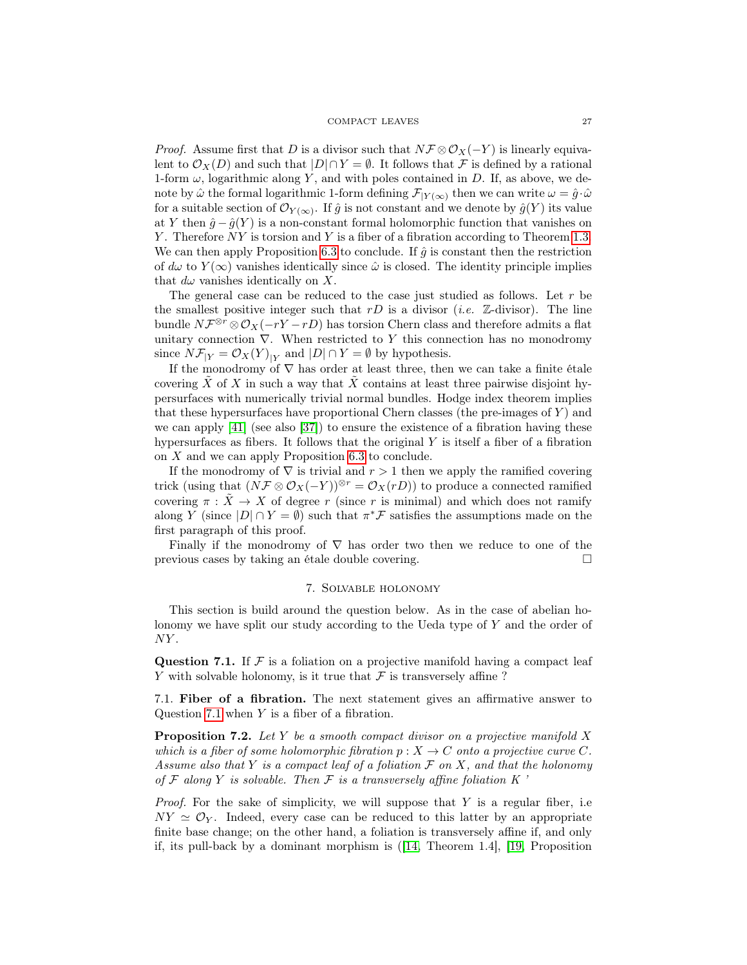*Proof.* Assume first that D is a divisor such that  $N\mathcal{F}\otimes\mathcal{O}_X(-Y)$  is linearly equivalent to  $\mathcal{O}_X(D)$  and such that  $|D| \cap Y = \emptyset$ . It follows that F is defined by a rational 1-form  $\omega$ , logarithmic along Y, and with poles contained in D. If, as above, we denote by  $\hat{\omega}$  the formal logarithmic 1-form defining  $\mathcal{F}_{|Y(\infty)}$  then we can write  $\omega = \hat{g} \cdot \hat{\omega}$ for a suitable section of  $\mathcal{O}_{Y(\infty)}$ . If  $\hat{g}$  is not constant and we denote by  $\hat{g}(Y)$  its value at Y then  $\hat{g} - \hat{g}(Y)$  is a non-constant formal holomorphic function that vanishes on Y. Therefore NY is torsion and Y is a fiber of a fibration according to Theorem [1.3.](#page-2-2) We can then apply Proposition [6.3](#page-21-1) to conclude. If  $\hat{g}$  is constant then the restriction of  $d\omega$  to  $Y(\infty)$  vanishes identically since  $\hat{\omega}$  is closed. The identity principle implies that  $d\omega$  vanishes identically on X.

The general case can be reduced to the case just studied as follows. Let  $r$  be the smallest positive integer such that  $rD$  is a divisor (*i.e.*  $\mathbb{Z}$ -divisor). The line bundle  $N\mathcal{F}^{\otimes r}\otimes \mathcal{O}_X(-rY-rD)$  has torsion Chern class and therefore admits a flat unitary connection  $\nabla$ . When restricted to Y this connection has no monodromy since  $N\mathcal{F}_{|Y} = \mathcal{O}_X(Y)_{|Y}$  and  $|D| \cap Y = \emptyset$  by hypothesis.

If the monodromy of  $\nabla$  has order at least three, then we can take a finite étale covering  $\overline{X}$  of X in such a way that  $\overline{X}$  contains at least three pairwise disjoint hypersurfaces with numerically trivial normal bundles. Hodge index theorem implies that these hypersurfaces have proportional Chern classes (the pre-images of  $Y$ ) and we can apply  $[41]$  (see also  $[37]$ ) to ensure the existence of a fibration having these hypersurfaces as fibers. It follows that the original  $Y$  is itself a fiber of a fibration on X and we can apply Proposition [6.3](#page-21-1) to conclude.

If the monodromy of  $\nabla$  is trivial and  $r > 1$  then we apply the ramified covering trick (using that  $(N\mathcal{F}\otimes\mathcal{O}_X(-Y))^{\otimes r}=\mathcal{O}_X(rD)$ ) to produce a connected ramified covering  $\pi : \tilde{X} \to X$  of degree r (since r is minimal) and which does not ramify along Y (since  $|D| \cap Y = \emptyset$ ) such that  $\pi^* \mathcal{F}$  satisfies the assumptions made on the first paragraph of this proof.

Finally if the monodromy of  $\nabla$  has order two then we reduce to one of the previous cases by taking an étale double covering.

#### 7. Solvable holonomy

<span id="page-26-0"></span>This section is build around the question below. As in the case of abelian holonomy we have split our study according to the Ueda type of Y and the order of  $NY$ .

<span id="page-26-1"></span>Question 7.1. If  $\mathcal F$  is a foliation on a projective manifold having a compact leaf Y with solvable holonomy, is it true that  $\mathcal F$  is transversely affine ?

7.1. Fiber of a fibration. The next statement gives an affirmative answer to Question [7.1](#page-26-1) when Y is a fiber of a fibration.

<span id="page-26-2"></span>**Proposition 7.2.** Let Y be a smooth compact divisor on a projective manifold X which is a fiber of some holomorphic fibration  $p: X \to C$  onto a projective curve C. Assume also that Y is a compact leaf of a foliation  $\mathcal F$  on X, and that the holonomy of  $\mathcal F$  along  $Y$  is solvable. Then  $\mathcal F$  is a transversely affine foliation  $K$ 

*Proof.* For the sake of simplicity, we will suppose that  $Y$  is a regular fiber, i.e.  $NY \simeq \mathcal{O}_Y$ . Indeed, every case can be reduced to this latter by an appropriate finite base change; on the other hand, a foliation is transversely affine if, and only if, its pull-back by a dominant morphism is  $([14,$  $([14,$  Theorem 1.4], [\[19,](#page-45-4) Proposition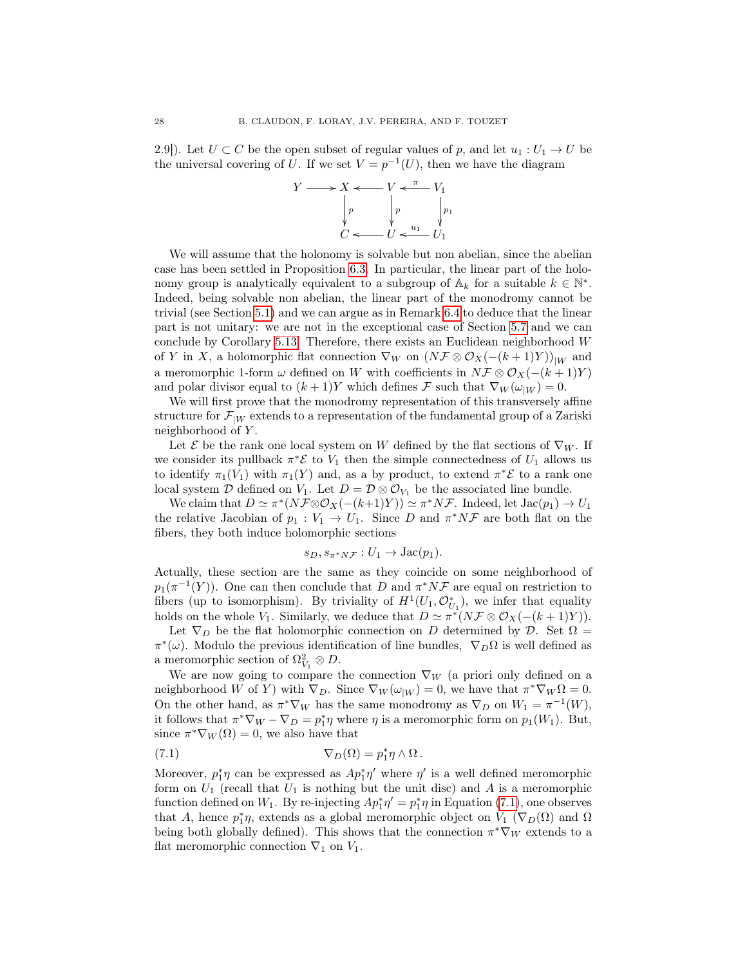2.9]). Let  $U \subset C$  be the open subset of regular values of p, and let  $u_1 : U_1 \to U$  be the universal covering of U. If we set  $V = p^{-1}(U)$ , then we have the diagram



We will assume that the holonomy is solvable but non abelian, since the abelian case has been settled in Proposition [6.3.](#page-21-1) In particular, the linear part of the holonomy group is analytically equivalent to a subgroup of  $\mathbb{A}_k$  for a suitable  $k \in \mathbb{N}^*$ . Indeed, being solvable non abelian, the linear part of the monodromy cannot be trivial (see Section [5.1\)](#page-17-2) and we can argue as in Remark [6.4](#page-22-3) to deduce that the linear part is not unitary: we are not in the exceptional case of Section [5.7](#page-19-4) and we can conclude by Corollary [5.13.](#page-19-2) Therefore, there exists an Euclidean neighborhood  $W$ of Y in X, a holomorphic flat connection  $\nabla_W$  on  $(N\mathcal{F}\otimes\mathcal{O}_X(-(k+1)Y))_{|W}$  and a meromorphic 1-form  $\omega$  defined on W with coefficients in  $N\mathcal{F} \otimes \mathcal{O}_X(-(k+1)Y)$ and polar divisor equal to  $(k+1)Y$  which defines F such that  $\nabla_W(\omega_{|W})=0$ .

We will first prove that the monodromy representation of this transversely affine structure for  $\mathcal{F}_{|W}$  extends to a representation of the fundamental group of a Zariski neighborhood of Y .

Let  $\mathcal E$  be the rank one local system on W defined by the flat sections of  $\nabla_W$ . If we consider its pullback  $\pi^* \mathcal{E}$  to  $V_1$  then the simple connectedness of  $U_1$  allows us to identify  $\pi_1(V_1)$  with  $\pi_1(Y)$  and, as a by product, to extend  $\pi^*\mathcal{E}$  to a rank one local system  $\mathcal D$  defined on  $V_1$ . Let  $D = \mathcal D \otimes \mathcal O_{V_1}$  be the associated line bundle.

We claim that  $D \simeq \pi^*(N \mathcal{F} \otimes \mathcal{O}_X(-k+1)Y)) \simeq \pi^* N \mathcal{F}$ . Indeed, let  $Jac(p_1) \to U_1$ the relative Jacobian of  $p_1 : V_1 \to U_1$ . Since D and  $\pi^* N \mathcal{F}$  are both flat on the fibers, they both induce holomorphic sections

$$
s_D, s_{\pi^*N\mathcal{F}} : U_1 \to \text{Jac}(p_1).
$$

Actually, these section are the same as they coincide on some neighborhood of  $p_1(\pi^{-1}(Y))$ . One can then conclude that D and  $\pi^* N \mathcal{F}$  are equal on restriction to fibers (up to isomorphism). By triviality of  $H^1(U_1, \mathcal{O}_{U_1}^*)$ , we infer that equality holds on the whole  $V_1$ . Similarly, we deduce that  $D \simeq \pi^*(N \mathcal{F} \otimes \mathcal{O}_X(-(k+1)Y)).$ 

Let  $\nabla_D$  be the flat holomorphic connection on D determined by D. Set  $\Omega =$  $\pi^*(\omega)$ . Modulo the previous identification of line bundles,  $\nabla_D\Omega$  is well defined as a meromorphic section of  $\Omega_{V_1}^2 \otimes D$ .

We are now going to compare the connection  $\nabla_W$  (a priori only defined on a neighborhood W of Y) with  $\nabla_D$ . Since  $\nabla_W(\omega_{|W}) = 0$ , we have that  $\pi^* \nabla_W \Omega = 0$ . On the other hand, as  $\pi^* \nabla_W$  has the same monodromy as  $\nabla_D$  on  $W_1 = \pi^{-1}(W)$ , it follows that  $\pi^* \nabla_W - \nabla_D = p_1^* \eta$  where  $\eta$  is a meromorphic form on  $p_1(W_1)$ . But, since  $\pi^* \nabla_W(\Omega) = 0$ , we also have that

<span id="page-27-0"></span>(7.1) 
$$
\nabla_D(\Omega) = p_1^* \eta \wedge \Omega.
$$

Moreover,  $p_1^*\eta$  can be expressed as  $Ap_1^*\eta'$  where  $\eta'$  is a well defined meromorphic form on  $U_1$  (recall that  $U_1$  is nothing but the unit disc) and A is a meromorphic function defined on  $W_1$ . By re-injecting  $Ap_1^* \eta' = p_1^* \eta$  in Equation [\(7.1\)](#page-27-0), one observes that A, hence  $p_1^*\eta$ , extends as a global meromorphic object on  $V_1$  ( $\nabla_D(\Omega)$ ) and  $\Omega$ being both globally defined). This shows that the connection  $\pi^* \nabla_W$  extends to a flat meromorphic connection  $\nabla_1$  on  $V_1$ .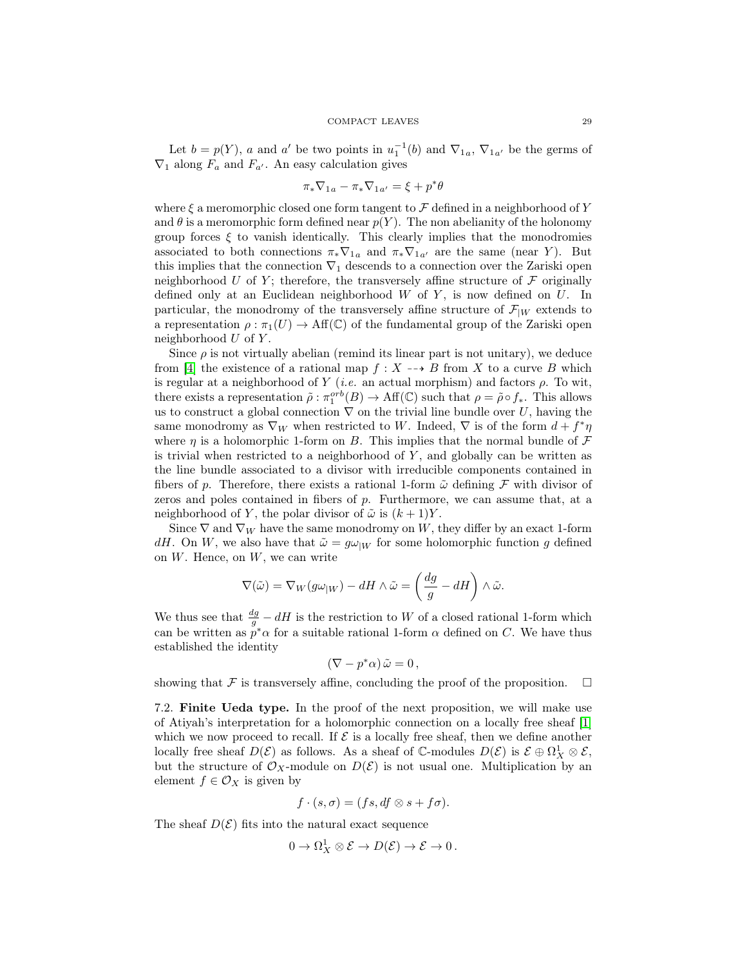Let  $b = p(Y)$ , a and a' be two points in  $u_1^{-1}(b)$  and  $\nabla_{1a}$ ,  $\nabla_{1a'}$  be the germs of  $\nabla_1$  along  $F_a$  and  $F_{a'}$ . An easy calculation gives

$$
\pi_*\nabla_{1a}-\pi_*\nabla_{1a'}=\xi+p^*\theta
$$

where  $\xi$  a meromorphic closed one form tangent to  $\mathcal F$  defined in a neighborhood of Y and  $\theta$  is a meromorphic form defined near  $p(Y)$ . The non abelianity of the holonomy group forces  $\xi$  to vanish identically. This clearly implies that the monodromies associated to both connections  $\pi_* \nabla_{1a}$  and  $\pi_* \nabla_{1a'}$  are the same (near Y). But this implies that the connection  $\nabla_1$  descends to a connection over the Zariski open neighborhood U of Y; therefore, the transversely affine structure of  $\mathcal F$  originally defined only at an Euclidean neighborhood  $W$  of  $Y$ , is now defined on  $U$ . In particular, the monodromy of the transversely affine structure of  $\mathcal{F}_{|W}$  extends to a representation  $\rho : \pi_1(U) \to \text{Aff}(\mathbb{C})$  of the fundamental group of the Zariski open neighborhood  $U$  of  $Y$ .

Since  $\rho$  is not virtually abelian (remind its linear part is not unitary), we deduce from [\[4\]](#page-44-4) the existence of a rational map  $f : X \dashrightarrow B$  from X to a curve B which is regular at a neighborhood of Y (i.e. an actual morphism) and factors  $\rho$ . To wit, there exists a representation  $\tilde{\rho}: \pi_1^{orb}(B) \to \text{Aff}(\mathbb{C})$  such that  $\rho = \tilde{\rho} \circ f_*$ . This allows us to construct a global connection  $\nabla$  on the trivial line bundle over U, having the same monodromy as  $\nabla_W$  when restricted to W. Indeed,  $\nabla$  is of the form  $d + f^* \eta$ where  $\eta$  is a holomorphic 1-form on B. This implies that the normal bundle of  $\mathcal F$ is trivial when restricted to a neighborhood of  $Y$ , and globally can be written as the line bundle associated to a divisor with irreducible components contained in fibers of p. Therefore, there exists a rational 1-form  $\tilde{\omega}$  defining F with divisor of zeros and poles contained in fibers of p. Furthermore, we can assume that, at a neighborhood of Y, the polar divisor of  $\tilde{\omega}$  is  $(k+1)Y$ .

Since  $\nabla$  and  $\nabla_W$  have the same monodromy on W, they differ by an exact 1-form dH. On W, we also have that  $\tilde{\omega} = g\omega_{|W|}$  for some holomorphic function g defined on  $W$ . Hence, on  $W$ , we can write

$$
\nabla(\tilde{\omega}) = \nabla_W(g\omega_{|W}) - dH \wedge \tilde{\omega} = \left(\frac{dg}{g} - dH\right) \wedge \tilde{\omega}.
$$

We thus see that  $\frac{dg}{g} - dH$  is the restriction to W of a closed rational 1-form which can be written as  $p^*\alpha$  for a suitable rational 1-form  $\alpha$  defined on C. We have thus established the identity

$$
(\nabla - p^*\alpha)\,\tilde{\omega} = 0\,,
$$

showing that  $\mathcal F$  is transversely affine, concluding the proof of the proposition.  $\Box$ 

7.2. Finite Ueda type. In the proof of the next proposition, we will make use of Atiyah's interpretation for a holomorphic connection on a locally free sheaf [\[1\]](#page-44-5) which we now proceed to recall. If  $\mathcal E$  is a locally free sheaf, then we define another locally free sheaf  $D(\mathcal{E})$  as follows. As a sheaf of  $\mathbb{C}$ -modules  $D(\mathcal{E})$  is  $\mathcal{E} \oplus \Omega^1_X \otimes \mathcal{E}$ , but the structure of  $\mathcal{O}_X$ -module on  $D(\mathcal{E})$  is not usual one. Multiplication by an element  $f \in \mathcal{O}_X$  is given by

$$
f \cdot (s, \sigma) = (fs, df \otimes s + f\sigma).
$$

The sheaf  $D(\mathcal{E})$  fits into the natural exact sequence

$$
0 \to \Omega^1_X \otimes \mathcal{E} \to D(\mathcal{E}) \to \mathcal{E} \to 0 \, .
$$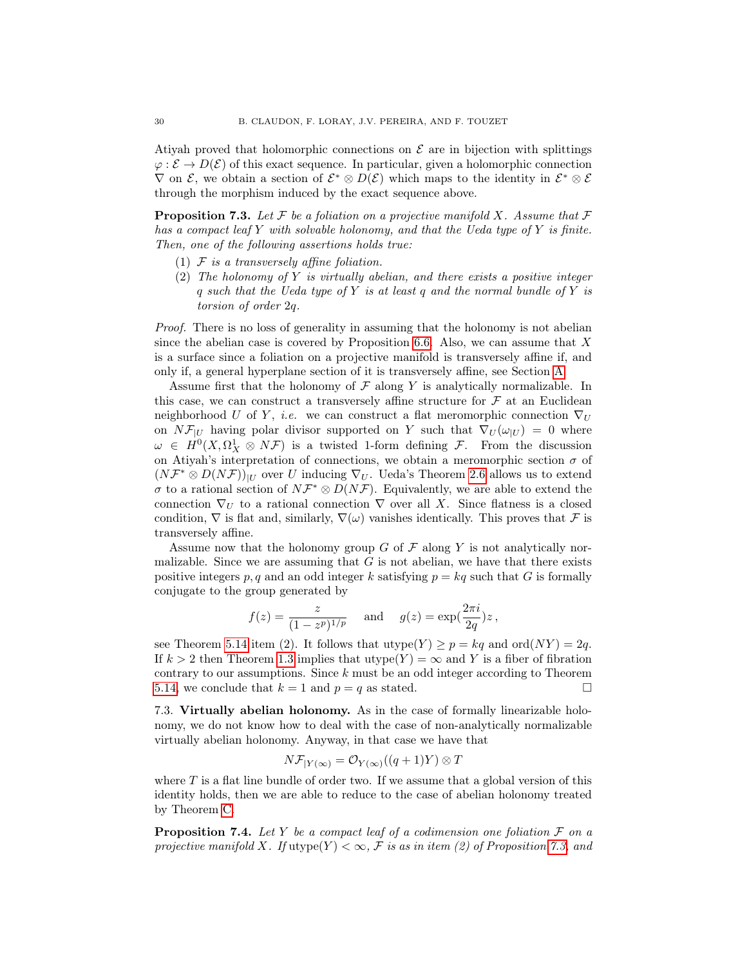Atiyah proved that holomorphic connections on  $\mathcal E$  are in bijection with splittings  $\varphi : \mathcal{E} \to D(\mathcal{E})$  of this exact sequence. In particular, given a holomorphic connection  $\nabla$  on  $\mathcal{E}$ , we obtain a section of  $\mathcal{E}^* \otimes D(\mathcal{E})$  which maps to the identity in  $\mathcal{E}^* \otimes \mathcal{E}$ through the morphism induced by the exact sequence above.

<span id="page-29-0"></span>**Proposition 7.3.** Let F be a foliation on a projective manifold X. Assume that F has a compact leaf Y with solvable holonomy, and that the Ueda type of Y is finite. Then, one of the following assertions holds true:

- (1)  $F$  is a transversely affine foliation.
- (2) The holonomy of Y is virtually abelian, and there exists a positive integer q such that the Ueda type of Y is at least q and the normal bundle of Y is torsion of order 2q.

Proof. There is no loss of generality in assuming that the holonomy is not abelian since the abelian case is covered by Proposition  $6.6$ . Also, we can assume that X is a surface since a foliation on a projective manifold is transversely affine if, and only if, a general hyperplane section of it is transversely affine, see Section [A.](#page-42-0)

Assume first that the holonomy of  $\mathcal F$  along Y is analytically normalizable. In this case, we can construct a transversely affine structure for  $\mathcal F$  at an Euclidean neighborhood U of Y, i.e. we can construct a flat meromorphic connection  $\nabla_U$ on  $N\mathcal{F}_{|U}$  having polar divisor supported on Y such that  $\nabla_U(\omega_{|U}) = 0$  where  $\omega \in H^0(X, \Omega^1_X \otimes N\mathcal{F})$  is a twisted 1-form defining  $\mathcal{F}$ . From the discussion on Atiyah's interpretation of connections, we obtain a meromorphic section  $\sigma$  of  $(N\mathcal{F}^* \otimes D(N\mathcal{F}))_{|U}$  over U inducing  $\nabla_U$ . Ueda's Theorem [2.6](#page-7-1) allows us to extend  $\sigma$  to a rational section of  $N\mathcal{F}^*\otimes D(N\mathcal{F})$ . Equivalently, we are able to extend the connection  $\nabla_U$  to a rational connection  $\nabla$  over all X. Since flatness is a closed condition,  $\nabla$  is flat and, similarly,  $\nabla(\omega)$  vanishes identically. This proves that F is transversely affine.

Assume now that the holonomy group  $G$  of  $\mathcal F$  along  $Y$  is not analytically normalizable. Since we are assuming that  $G$  is not abelian, we have that there exists positive integers p, q and an odd integer k satisfying  $p = kq$  such that G is formally conjugate to the group generated by

$$
f(z) = \frac{z}{(1 - z^p)^{1/p}}
$$
 and  $g(z) = \exp(\frac{2\pi i}{2q})z$ ,

see Theorem [5.14](#page-19-3) item (2). It follows that utype(Y)  $\geq p = kq$  and ord(NY) = 2q. If  $k > 2$  then Theorem [1.3](#page-2-2) implies that utype(Y) =  $\infty$  and Y is a fiber of fibration contrary to our assumptions. Since  $k$  must be an odd integer according to Theorem [5.14,](#page-19-3) we conclude that  $k = 1$  and  $p = q$  as stated.

<span id="page-29-2"></span>7.3. Virtually abelian holonomy. As in the case of formally linearizable holonomy, we do not know how to deal with the case of non-analytically normalizable virtually abelian holonomy. Anyway, in that case we have that

$$
N\mathcal{F}_{|Y(\infty)} = \mathcal{O}_{Y(\infty)}((q+1)Y) \otimes T
$$

where  $T$  is a flat line bundle of order two. If we assume that a global version of this identity holds, then we are able to reduce to the case of abelian holonomy treated by Theorem [C.](#page-2-1)

<span id="page-29-1"></span>**Proposition 7.4.** Let Y be a compact leaf of a codimension one foliation  $\mathcal F$  on a projective manifold X. If utype(Y)  $<\infty$ , F is as in item (2) of Proposition [7.3,](#page-29-0) and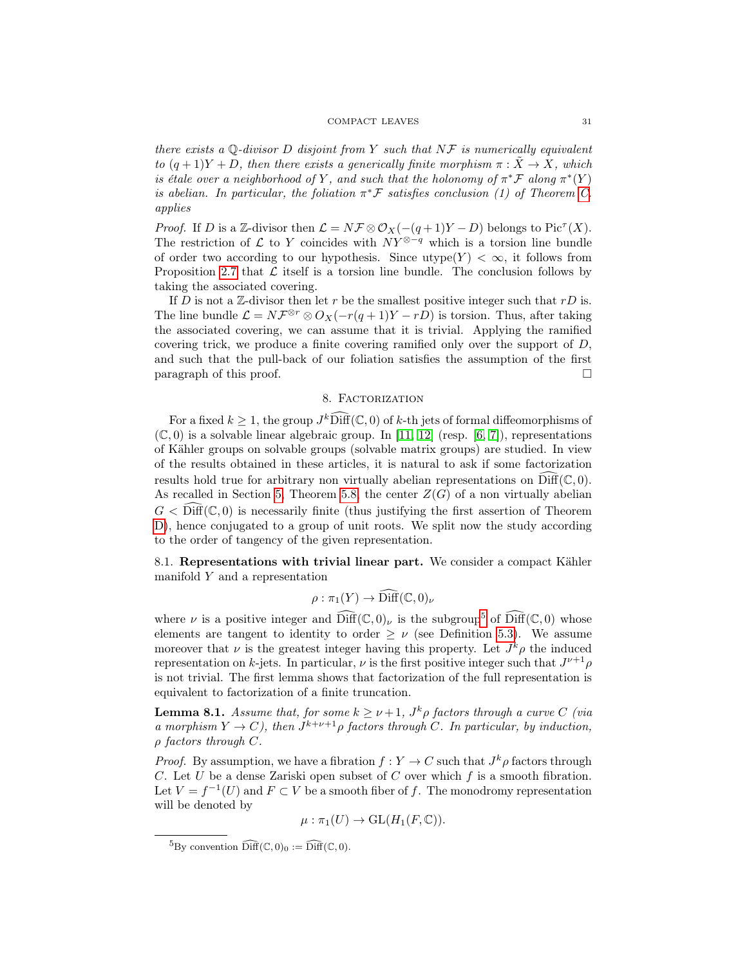#### COMPACT LEAVES 31

there exists a Q-divisor D disjoint from Y such that  $N\mathcal{F}$  is numerically equivalent to  $(q+1)Y+D$ , then there exists a generically finite morphism  $\pi : \tilde{X} \to X$ , which is étale over a neighborhood of Y, and such that the holonomy of  $\pi^* \mathcal{F}$  along  $\pi^* (Y)$ is abelian. In particular, the foliation  $\pi^* \mathcal{F}$  satisfies conclusion (1) of Theorem [C.](#page-2-1) applies

*Proof.* If D is a Z-divisor then  $\mathcal{L} = N \mathcal{F} \otimes \mathcal{O}_X(- (q+1)Y - D)$  belongs to Pic<sup> $\tau$ </sup>(X). The restriction of  $\mathcal L$  to Y coincides with  $NY^{\otimes-q}$  which is a torsion line bundle of order two according to our hypothesis. Since utype $(Y) < \infty$ , it follows from Proposition [2.7](#page-7-0) that  $\mathcal L$  itself is a torsion line bundle. The conclusion follows by taking the associated covering.

If D is not a  $\mathbb Z$ -divisor then let r be the smallest positive integer such that rD is. The line bundle  $\mathcal{L} = N\mathcal{F}^{\otimes r} \otimes O_X(-r(q+1)Y - rD)$  is torsion. Thus, after taking the associated covering, we can assume that it is trivial. Applying the ramified covering trick, we produce a finite covering ramified only over the support of D, and such that the pull-back of our foliation satisfies the assumption of the first  $\Box$  paragraph of this proof.

#### 8. FACTORIZATION

<span id="page-30-0"></span>For a fixed  $k \geq 1$ , the group  $J^k\widehat{\text{Diff}}(\mathbb{C},0)$  of k-th jets of formal diffeomorphisms of  $(\mathbb{C}, 0)$  is a solvable linear algebraic group. In [\[11,](#page-45-20) [12\]](#page-45-21) (resp. [\[6,](#page-44-6) [7\]](#page-44-7)), representations of Kähler groups on solvable groups (solvable matrix groups) are studied. In view of the results obtained in these articles, it is natural to ask if some factorization results hold true for arbitrary non virtually abelian representations on  $\text{Diff}(\mathbb{C}, 0)$ . As recalled in Section [5,](#page-17-0) Theorem [5.8,](#page-18-2) the center  $Z(G)$  of a non virtually abelian  $G <$  Diff( $\mathbb{C}, 0$ ) is necessarily finite (thus justifying the first assertion of Theorem [D\)](#page-3-0), hence conjugated to a group of unit roots. We split now the study according to the order of tangency of the given representation.

8.1. Representations with trivial linear part. We consider a compact Kähler manifold  $Y$  and a representation

$$
\rho : \pi_1(Y) \to \widehat{\text{Diff}}(\mathbb{C},0)_\nu
$$

where  $\nu$  is a positive integer and  $\widehat{\text{Diff}}(\mathbb{C},0)_{\nu}$  is the subgroup<sup>[5](#page-30-1)</sup> of  $\widehat{\text{Diff}}(\mathbb{C},0)$  whose elements are tangent to identity to order  $\geq \nu$  (see Definition [5.3\)](#page-17-3). We assume moreover that  $\nu$  is the greatest integer having this property. Let  $J^k \rho$  the induced representation on k-jets. In particular,  $\nu$  is the first positive integer such that  $J^{\nu+1}\rho$ is not trivial. The first lemma shows that factorization of the full representation is equivalent to factorization of a finite truncation.

<span id="page-30-2"></span>**Lemma 8.1.** Assume that, for some  $k \geq \nu+1$ ,  $J^k \rho$  factors through a curve C (via a morphism  $Y \to C$ ), then  $J^{k+\nu+1}\rho$  factors through C. In particular, by induction,  $\rho$  factors through  $C$ .

*Proof.* By assumption, we have a fibration  $f: Y \to C$  such that  $J^k \rho$  factors through C. Let U be a dense Zariski open subset of C over which  $f$  is a smooth fibration. Let  $V = f^{-1}(U)$  and  $F \subset V$  be a smooth fiber of f. The monodromy representation will be denoted by

$$
\mu : \pi_1(U) \to \mathrm{GL}(H_1(F, \mathbb{C})).
$$

<span id="page-30-1"></span> ${}^{5}$ By convention  $\widehat{\text{Diff}}(\mathbb C, 0)_0 := \widehat{\text{Diff}}(\mathbb C, 0)$ .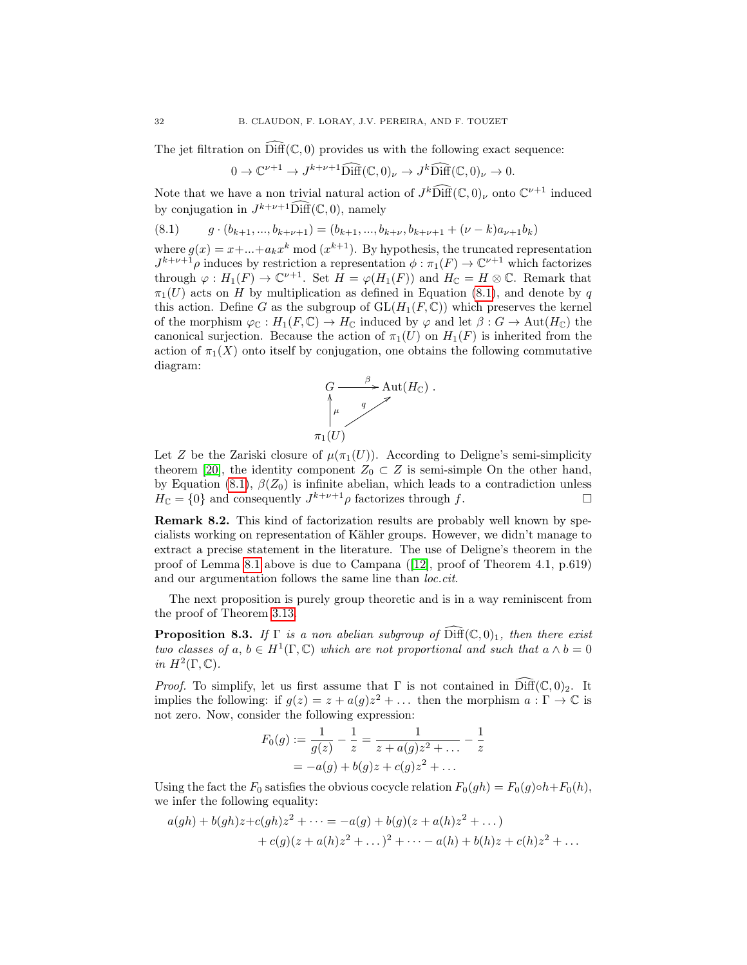The jet filtration on  $\widehat{\text{Diff}}(\mathbb C,0)$  provides us with the following exact sequence:

$$
0 \to \mathbb{C}^{\nu+1} \to J^{k+\nu+1} \widehat{\text{Diff}}(\mathbb{C},0)_{\nu} \to J^k \widehat{\text{Diff}}(\mathbb{C},0)_{\nu} \to 0.
$$

Note that we have a non trivial natural action of  $J^k\widehat{\text{Diff}}(\mathbb C,0)_\nu$  onto  $\mathbb C^{\nu+1}$  induced by conjugation in  $J^{k+\nu+1}$   $\widehat{\text{Diff}}(\mathbb{C},0)$ , namely

<span id="page-31-0"></span>
$$
(8.1) \t g \cdot (b_{k+1},...,b_{k+\nu+1}) = (b_{k+1},...,b_{k+\nu},b_{k+\nu+1} + (\nu-k)a_{\nu+1}b_k)
$$

where  $g(x) = x + ... + a_k x^k \mod (x^{k+1})$ . By hypothesis, the truncated representation  $J^{k+\nu+1}\rho$  induces by restriction a representation  $\phi : \pi_1(F) \to \mathbb{C}^{\nu+1}$  which factorizes through  $\varphi: H_1(F) \to \mathbb{C}^{\nu+1}$ . Set  $H = \varphi(H_1(F))$  and  $H_{\mathbb{C}} = H \otimes \mathbb{C}$ . Remark that  $\pi_1(U)$  acts on H by multiplication as defined in Equation [\(8.1\)](#page-31-0), and denote by q this action. Define G as the subgroup of  $GL(H_1(F,\mathbb{C}))$  which preserves the kernel of the morphism  $\varphi_{\mathbb{C}} : H_1(F, \mathbb{C}) \to H_{\mathbb{C}}$  induced by  $\varphi$  and let  $\beta : G \to \text{Aut}(H_{\mathbb{C}})$  the canonical surjection. Because the action of  $\pi_1(U)$  on  $H_1(F)$  is inherited from the action of  $\pi_1(X)$  onto itself by conjugation, one obtains the following commutative diagram:



Let Z be the Zariski closure of  $\mu(\pi_1(U))$ . According to Deligne's semi-simplicity theorem [\[20\]](#page-45-22), the identity component  $Z_0 \subset Z$  is semi-simple On the other hand, by Equation [\(8.1\)](#page-31-0),  $\beta(Z_0)$  is infinite abelian, which leads to a contradiction unless  $H_{\mathbb{C}} = \{0\}$  and consequently  $J^{k+\nu+1}\rho$  factorizes through f.

Remark 8.2. This kind of factorization results are probably well known by specialists working on representation of Kähler groups. However, we didn't manage to extract a precise statement in the literature. The use of Deligne's theorem in the proof of Lemma [8.1](#page-30-2) above is due to Campana ([\[12\]](#page-45-21), proof of Theorem 4.1, p.619) and our argumentation follows the same line than loc.cit.

The next proposition is purely group theoretic and is in a way reminiscent from the proof of Theorem [3.13.](#page-12-0)

<span id="page-31-1"></span>**Proposition 8.3.** If  $\Gamma$  is a non abelian subgroup of  $\widehat{\text{Diff}}(\mathbb{C},0)_1$ , then there exist two classes of  $a, b \in H^1(\Gamma, \mathbb{C})$  which are not proportional and such that  $a \wedge b = 0$ in  $H^2(\Gamma,\mathbb{C})$ .

*Proof.* To simplify, let us first assume that  $\Gamma$  is not contained in  $\widehat{\text{Diff}}(\mathbb{C},0)_2$ . It implies the following: if  $g(z) = z + a(g)z^2 + \dots$  then the morphism  $a : \Gamma \to \mathbb{C}$  is not zero. Now, consider the following expression:

$$
F_0(g) := \frac{1}{g(z)} - \frac{1}{z} = \frac{1}{z + a(g)z^2 + \dots} - \frac{1}{z}
$$
  
= -a(g) + b(g)z + c(g)z^2 + \dots

Using the fact the  $F_0$  satisfies the obvious cocycle relation  $F_0(qh) = F_0(q) \circ h + F_0(h)$ , we infer the following equality:

$$
a(gh) + b(gh)z + c(gh)z^{2} + \dots = -a(g) + b(g)(z + a(h)z^{2} + \dots)
$$
  
+ 
$$
c(g)(z + a(h)z^{2} + \dots)^{2} + \dots - a(h) + b(h)z + c(h)z^{2} + \dots
$$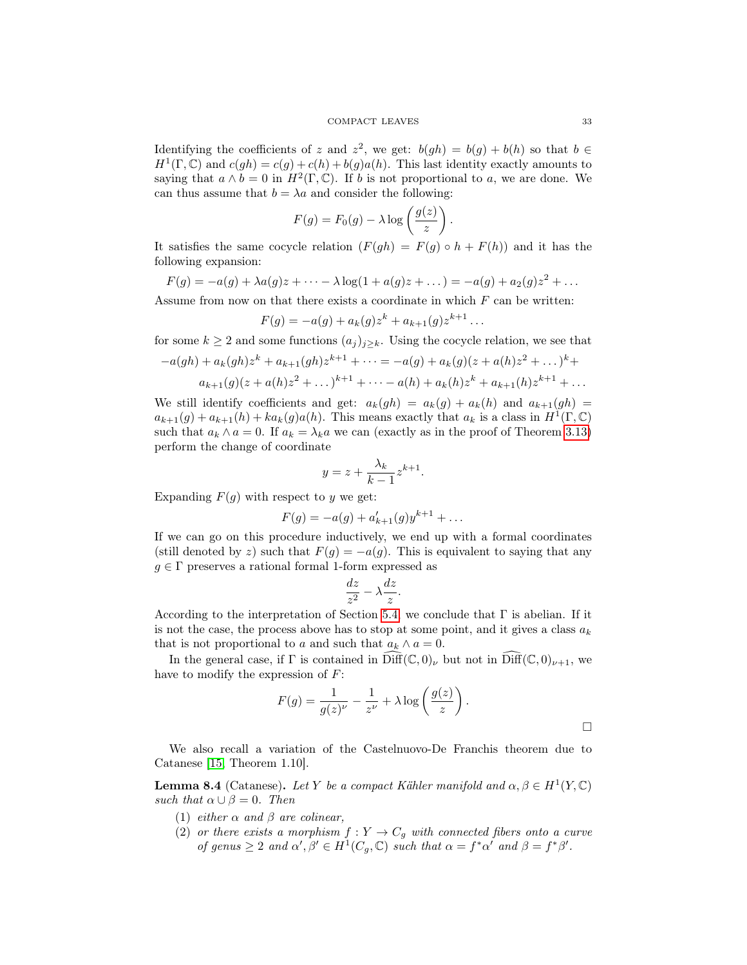Identifying the coefficients of z and  $z^2$ , we get:  $b(gh) = b(g) + b(h)$  so that  $b \in$  $H^1(\Gamma, \mathbb{C})$  and  $c(gh) = c(g) + c(h) + b(g)a(h)$ . This last identity exactly amounts to saying that  $a \wedge b = 0$  in  $H^2(\Gamma, \mathbb{C})$ . If b is not proportional to a, we are done. We can thus assume that  $b = \lambda a$  and consider the following:

$$
F(g) = F_0(g) - \lambda \log \left( \frac{g(z)}{z} \right).
$$

It satisfies the same cocycle relation  $(F(gh) = F(q) \circ h + F(h))$  and it has the following expansion:

$$
F(g) = -a(g) + \lambda a(g)z + \cdots - \lambda \log(1 + a(g)z + \dots) = -a(g) + a_2(g)z^2 + \dots
$$

Assume from now on that there exists a coordinate in which  $F$  can be written:

$$
F(g) = -a(g) + a_k(g)z^k + a_{k+1}(g)z^{k+1} \dots
$$

for some  $k \geq 2$  and some functions  $(a_j)_{j\geq k}$ . Using the cocycle relation, we see that

$$
-a(gh) + a_k(gh)z^k + a_{k+1}(gh)z^{k+1} + \dots = -a(g) + a_k(g)(z + a(h)z^2 + \dots)^k + a_{k+1}(g)(z + a(h)z^2 + \dots)^{k+1} + \dots - a(h) + a_k(h)z^k + a_{k+1}(h)z^{k+1} + \dots
$$

We still identify coefficients and get:  $a_k(gh) = a_k(g) + a_k(h)$  and  $a_{k+1}(gh) =$  $a_{k+1}(g) + a_{k+1}(h) + ka_k(g)a(h)$ . This means exactly that  $a_k$  is a class in  $H^1(\Gamma, \mathbb{C})$ such that  $a_k \wedge a = 0$ . If  $a_k = \lambda_k a$  we can (exactly as in the proof of Theorem [3.13\)](#page-12-0) perform the change of coordinate

$$
y = z + \frac{\lambda_k}{k-1} z^{k+1}.
$$

Expanding  $F(g)$  with respect to y we get:

$$
F(g) = -a(g) + a'_{k+1}(g)y^{k+1} + \dots
$$

If we can go on this procedure inductively, we end up with a formal coordinates (still denoted by z) such that  $F(g) = -a(g)$ . This is equivalent to saying that any  $q \in \Gamma$  preserves a rational formal 1-form expressed as

$$
\frac{dz}{z^2} - \lambda \frac{dz}{z}.
$$

According to the interpretation of Section [5.4,](#page-18-0) we conclude that  $\Gamma$  is abelian. If it is not the case, the process above has to stop at some point, and it gives a class  $a_k$ that is not proportional to a and such that  $a_k \wedge a = 0$ .

In the general case, if  $\Gamma$  is contained in  $\widehat{\text{Diff}}(\mathbb{C},0)_{\nu}$  but not in  $\widehat{\text{Diff}}(\mathbb{C},0)_{\nu+1}$ , we have to modify the expression of  $F$ :

$$
F(g) = \frac{1}{g(z)^{\nu}} - \frac{1}{z^{\nu}} + \lambda \log\left(\frac{g(z)}{z}\right).
$$

We also recall a variation of the Castelnuovo-De Franchis theorem due to Catanese [\[15,](#page-45-23) Theorem 1.10].

<span id="page-32-0"></span>**Lemma 8.4** (Catanese). Let Y be a compact Kähler manifold and  $\alpha, \beta \in H^1(Y, \mathbb{C})$ such that  $\alpha \cup \beta = 0$ . Then

- (1) either  $\alpha$  and  $\beta$  are colinear,
- (2) or there exists a morphism  $f : Y \to C_g$  with connected fibers onto a curve of genus  $\geq 2$  and  $\alpha', \beta' \in H^1(C_g, \mathbb{C})$  such that  $\alpha = f^* \alpha'$  and  $\beta = f^* \beta'$ .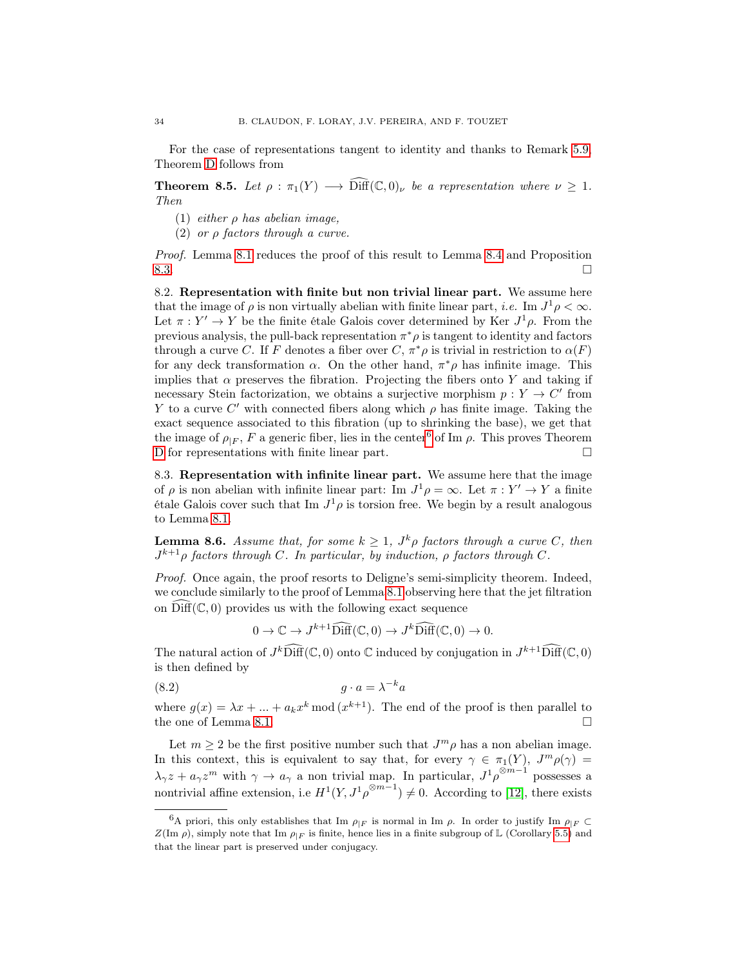For the case of representations tangent to identity and thanks to Remark [5.9,](#page-18-4) Theorem [D](#page-3-0) follows from

**Theorem 8.5.** Let  $\rho : \pi_1(Y) \longrightarrow \widehat{\text{Diff}}(\mathbb{C},0)_\nu$  be a representation where  $\nu \geq 1$ . Then

- (1) either  $\rho$  has abelian image,
- (2) or  $\rho$  factors through a curve.

Proof. Lemma [8.1](#page-30-2) reduces the proof of this result to Lemma [8.4](#page-32-0) and Proposition  $8.3.$ 

<span id="page-33-1"></span>8.2. Representation with finite but non trivial linear part. We assume here that the image of  $\rho$  is non virtually abelian with finite linear part, *i.e.* Im  $J^1 \rho < \infty$ . Let  $\pi : Y' \to Y$  be the finite étale Galois cover determined by Ker  $J^1 \rho$ . From the previous analysis, the pull-back representation  $\pi^*\rho$  is tangent to identity and factors through a curve C. If F denotes a fiber over  $C, \pi^*\rho$  is trivial in restriction to  $\alpha(F)$ for any deck transformation  $\alpha$ . On the other hand,  $\pi^*\rho$  has infinite image. This implies that  $\alpha$  preserves the fibration. Projecting the fibers onto Y and taking if necessary Stein factorization, we obtains a surjective morphism  $p: Y \to C'$  from Y to a curve C' with connected fibers along which  $\rho$  has finite image. Taking the exact sequence associated to this fibration (up to shrinking the base), we get that the image of  $\rho_{|F}$ , F a generic fiber, lies in the center<sup>[6](#page-33-0)</sup> of Im  $\rho$ . This proves Theorem [D](#page-3-0) for representations with finite linear part.

8.3. Representation with infinite linear part. We assume here that the image of  $\rho$  is non abelian with infinite linear part: Im  $J^1 \rho = \infty$ . Let  $\pi : Y' \to Y$  a finite étale Galois cover such that Im  $J^1 \rho$  is torsion free. We begin by a result analogous to Lemma [8.1.](#page-30-2)

**Lemma 8.6.** Assume that, for some  $k \geq 1$ ,  $J^k \rho$  factors through a curve C, then  $J^{k+1}\rho$  factors through C. In particular, by induction,  $\rho$  factors through C.

Proof. Once again, the proof resorts to Deligne's semi-simplicity theorem. Indeed, we conclude similarly to the proof of Lemma [8.1](#page-30-2) observing here that the jet filtration on  $\text{Diff}(\mathbb{C}, 0)$  provides us with the following exact sequence

 $0 \to \mathbb{C} \to J^{k+1} \widehat{\text{Diff}}(\mathbb{C},0) \to J^k \widehat{\text{Diff}}(\mathbb{C},0) \to 0.$ 

The natural action of  $J^k\widehat{\text{Diff}}(\mathbb C,0)$  onto  $\mathbb C$  induced by conjugation in  $J^{k+1}\widehat{\text{Diff}}(\mathbb C,0)$ is then defined by

$$
(8.2) \t\t g \cdot a = \lambda^{-k} a
$$

where  $g(x) = \lambda x + ... + a_k x^k \mod (x^{k+1})$ . The end of the proof is then parallel to the one of Lemma [8.1.](#page-30-2)

Let  $m \geq 2$  be the first positive number such that  $J^m \rho$  has a non abelian image. In this context, this is equivalent to say that, for every  $\gamma \in \pi_1(Y)$ ,  $J^m \rho(\gamma) =$  $\lambda_{\gamma}z + a_{\gamma}z^m$  with  $\gamma \to a_{\gamma}$  a non trivial map. In particular,  $J^1\rho^{\otimes m-1}$  possesses a nontrivial affine extension, i.e  $H^1(Y, J^1 \rho^{\otimes m-1}) \neq 0$ . According to [\[12\]](#page-45-21), there exists

<span id="page-33-0"></span><sup>&</sup>lt;sup>6</sup>A priori, this only establishes that Im  $\rho_{|F}$  is normal in Im  $\rho$ . In order to justify Im  $\rho_{|F} \subset$  $Z(\text{Im }\rho)$ , simply note that Im  $\rho_{|F}$  is finite, hence lies in a finite subgroup of L (Corollary [5.5\)](#page-18-5) and that the linear part is preserved under conjugacy.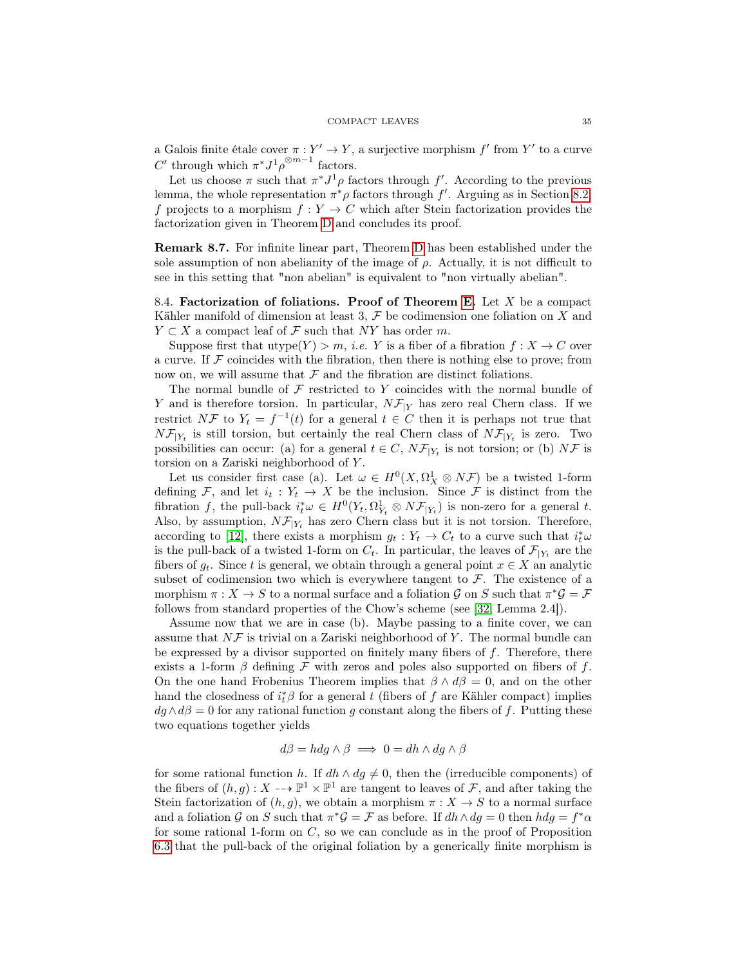a Galois finite étale cover  $\pi : Y' \to Y$ , a surjective morphism f' from Y' to a curve C' through which  $\pi^* J^1 \rho^{\otimes m-1}$  factors.

Let us choose  $\pi$  such that  $\pi^* J^1 \rho$  factors through f'. According to the previous lemma, the whole representation  $\pi^*\rho$  factors through  $f'$ . Arguing as in Section [8.2,](#page-33-1) f projects to a morphism  $f: Y \to C$  which after Stein factorization provides the factorization given in Theorem [D](#page-3-0) and concludes its proof.

<span id="page-34-0"></span>Remark 8.7. For infinite linear part, Theorem [D](#page-3-0) has been established under the sole assumption of non abelianity of the image of  $\rho$ . Actually, it is not difficult to see in this setting that "non abelian" is equivalent to "non virtually abelian".

8.4. Factorization of foliations. Proof of Theorem [E.](#page-3-1) Let  $X$  be a compact Kähler manifold of dimension at least 3,  $\mathcal F$  be codimension one foliation on X and  $Y \subset X$  a compact leaf of  $\mathcal F$  such that NY has order m.

Suppose first that utype $(Y) > m$ , *i.e.* Y is a fiber of a fibration  $f: X \to C$  over a curve. If  $\mathcal F$  coincides with the fibration, then there is nothing else to prove; from now on, we will assume that  $\mathcal F$  and the fibration are distinct foliations.

The normal bundle of  $\mathcal F$  restricted to Y coincides with the normal bundle of Y and is therefore torsion. In particular,  $N\mathcal{F}_{|Y}$  has zero real Chern class. If we restrict NF to  $Y_t = f^{-1}(t)$  for a general  $t \in C$  then it is perhaps not true that  $N\mathcal{F}_{Y_t}$  is still torsion, but certainly the real Chern class of  $N\mathcal{F}_{Y_t}$  is zero. Two possibilities can occur: (a) for a general  $t \in C$ ,  $N\mathcal{F}_{Y_t}$  is not torsion; or (b)  $N\mathcal{F}$  is torsion on a Zariski neighborhood of Y .

Let us consider first case (a). Let  $\omega \in H^0(X, \Omega_X^1 \otimes N\mathcal{F})$  be a twisted 1-form defining F, and let  $i_t : Y_t \to X$  be the inclusion. Since F is distinct from the fibration f, the pull-back  $i_t^* \omega \in H^0(Y_t, \Omega_{Y_t}^1 \otimes N\mathcal{F}_{|Y_t})$  is non-zero for a general t. Also, by assumption,  $N\mathcal{F}_{Y_t}$  has zero Chern class but it is not torsion. Therefore, according to [\[12\]](#page-45-21), there exists a morphism  $g_t: Y_t \to C_t$  to a curve such that  $i_t^* \omega$ is the pull-back of a twisted 1-form on  $C_t$ . In particular, the leaves of  $\mathcal{F}_{|Y_t}$  are the fibers of  $g_t$ . Since t is general, we obtain through a general point  $x \in X$  an analytic subset of codimension two which is everywhere tangent to  $\mathcal F$ . The existence of a morphism  $\pi: X \to S$  to a normal surface and a foliation G on S such that  $\pi^* \mathcal{G} = \mathcal{F}$ follows from standard properties of the Chow's scheme (see [\[32,](#page-45-24) Lemma 2.4]).

Assume now that we are in case (b). Maybe passing to a finite cover, we can assume that  $N\mathcal{F}$  is trivial on a Zariski neighborhood of Y. The normal bundle can be expressed by a divisor supported on finitely many fibers of f. Therefore, there exists a 1-form  $\beta$  defining  $\mathcal F$  with zeros and poles also supported on fibers of f. On the one hand Frobenius Theorem implies that  $\beta \wedge d\beta = 0$ , and on the other hand the closedness of  $i_t^* \beta$  for a general t (fibers of f are Kähler compact) implies  $dg \wedge d\beta = 0$  for any rational function g constant along the fibers of f. Putting these two equations together yields

$$
d\beta = h dg \wedge \beta \implies 0 = dh \wedge dg \wedge \beta
$$

for some rational function h. If  $dh \wedge dg \neq 0$ , then the (irreducible components) of the fibers of  $(h, g) : X \dashrightarrow \mathbb{P}^1 \times \mathbb{P}^1$  are tangent to leaves of F, and after taking the Stein factorization of  $(h, g)$ , we obtain a morphism  $\pi : X \to S$  to a normal surface and a foliation G on S such that  $\pi^* \mathcal{G} = \mathcal{F}$  as before. If  $dh \wedge dg = 0$  then  $hdg = f^* \alpha$ for some rational 1-form on  $C$ , so we can conclude as in the proof of Proposition [6.3](#page-21-1) that the pull-back of the original foliation by a generically finite morphism is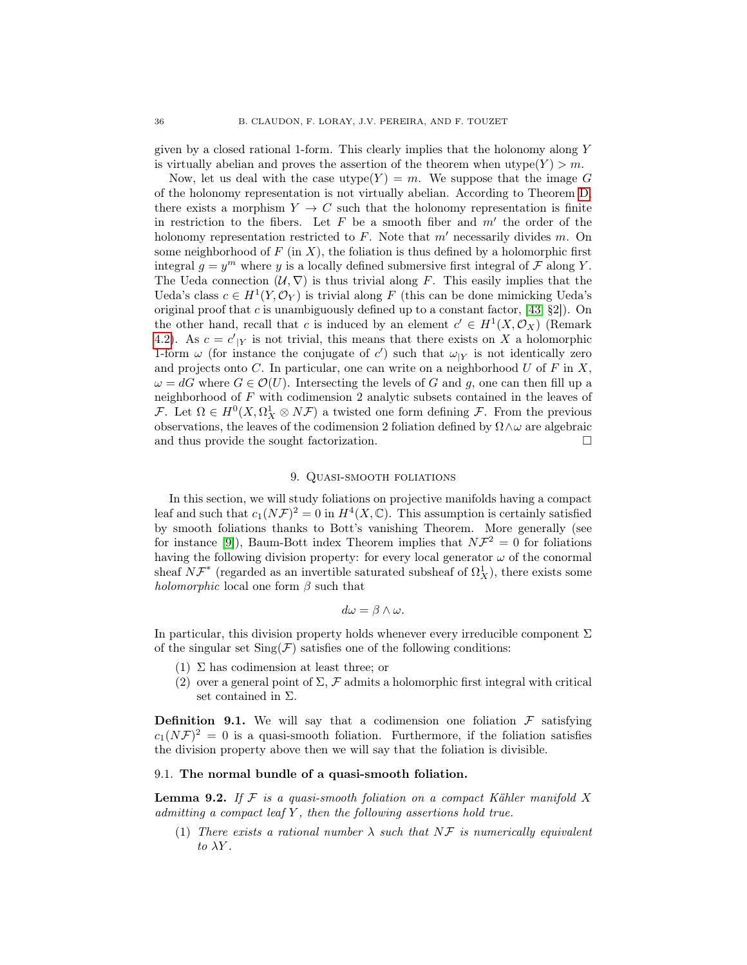given by a closed rational 1-form. This clearly implies that the holonomy along Y is virtually abelian and proves the assertion of the theorem when  $\text{utype}(Y) > m$ .

Now, let us deal with the case utype $(Y) = m$ . We suppose that the image G of the holonomy representation is not virtually abelian. According to Theorem [D,](#page-3-0) there exists a morphism  $Y \to C$  such that the holonomy representation is finite in restriction to the fibers. Let  $F$  be a smooth fiber and  $m'$  the order of the holonomy representation restricted to  $F$ . Note that m' necessarily divides m. On some neighborhood of  $F$  (in X), the foliation is thus defined by a holomorphic first integral  $g = y^m$  where y is a locally defined submersive first integral of F along Y. The Ueda connection  $(U, \nabla)$  is thus trivial along F. This easily implies that the Ueda's class  $c \in H^1(Y, \mathcal{O}_Y)$  is trivial along F (this can be done mimicking Ueda's original proof that c is unambiguously defined up to a constant factor,  $[43, \S2]$  $[43, \S2]$ ). On the other hand, recall that c is induced by an element  $c' \in H^1(X, \mathcal{O}_X)$  (Remark [4.2\)](#page-14-2). As  $c = c'|_Y$  is not trivial, this means that there exists on X a holomorphic 1-form  $\omega$  (for instance the conjugate of c') such that  $\omega_{|Y}$  is not identically zero and projects onto C. In particular, one can write on a neighborhood  $U$  of  $F$  in  $X$ ,  $\omega = dG$  where  $G \in \mathcal{O}(U)$ . Intersecting the levels of G and g, one can then fill up a neighborhood of F with codimension 2 analytic subsets contained in the leaves of F. Let  $\Omega \in H^0(X, \Omega^1_X \otimes N\mathcal{F})$  a twisted one form defining F. From the previous observations, the leaves of the codimension 2 foliation defined by  $\Omega \wedge \omega$  are algebraic and thus provide the sought factorization.  $\Box$ 

## 9. Quasi-smooth foliations

<span id="page-35-0"></span>In this section, we will study foliations on projective manifolds having a compact leaf and such that  $c_1(N\mathcal{F})^2 = 0$  in  $H^4(X,\mathbb{C})$ . This assumption is certainly satisfied by smooth foliations thanks to Bott's vanishing Theorem. More generally (see for instance [\[9\]](#page-45-25)), Baum-Bott index Theorem implies that  $N\mathcal{F}^2 = 0$  for foliations having the following division property: for every local generator  $\omega$  of the conormal sheaf  $N\mathcal{F}^*$  (regarded as an invertible saturated subsheaf of  $\Omega_X^1$ ), there exists some *holomorphic* local one form  $\beta$  such that

$$
d\omega = \beta \wedge \omega.
$$

In particular, this division property holds whenever every irreducible component  $\Sigma$ of the singular set  $\text{Sing}(\mathcal{F})$  satisfies one of the following conditions:

- $(1)$  Σ has codimension at least three; or
- (2) over a general point of  $\Sigma$ ,  $\mathcal F$  admits a holomorphic first integral with critical set contained in  $\Sigma$ .

**Definition 9.1.** We will say that a codimension one foliation  $\mathcal F$  satisfying  $c_1(N\mathcal{F})^2 = 0$  is a quasi-smooth foliation. Furthermore, if the foliation satisfies the division property above then we will say that the foliation is divisible.

### 9.1. The normal bundle of a quasi-smooth foliation.

<span id="page-35-1"></span>**Lemma 9.2.** If  $F$  is a quasi-smooth foliation on a compact Kähler manifold X admitting a compact leaf  $Y$ , then the following assertions hold true.

(1) There exists a rational number  $\lambda$  such that NF is numerically equivalent to  $\lambda Y$ .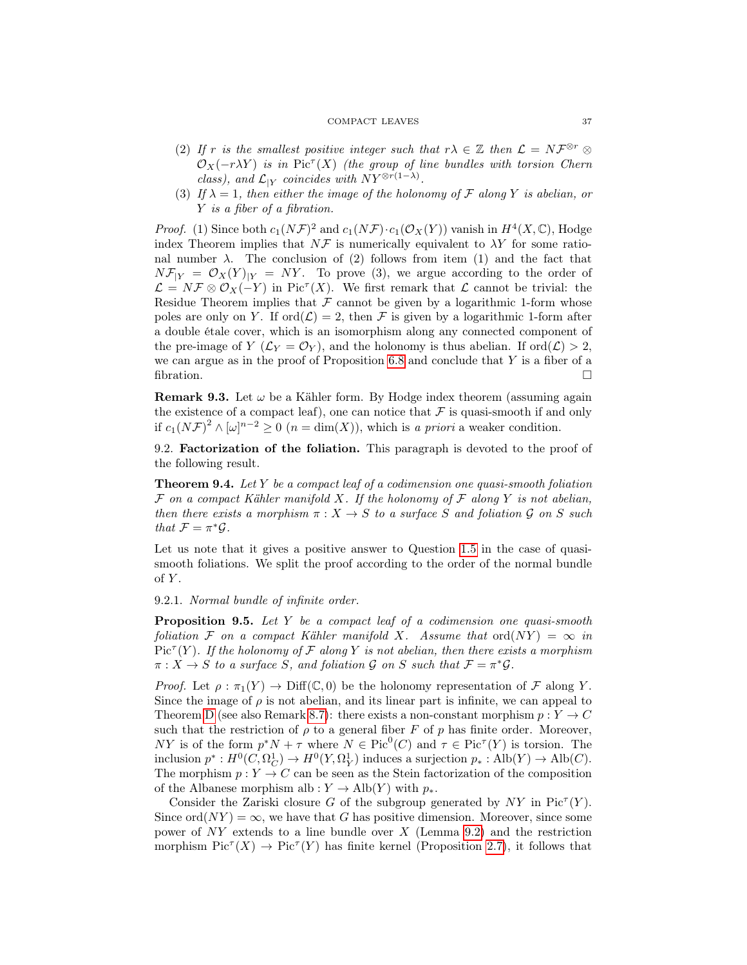#### COMPACT LEAVES 37

- (2) If r is the smallest positive integer such that  $r\lambda \in \mathbb{Z}$  then  $\mathcal{L} = N\mathcal{F}^{\otimes r} \otimes$  $\mathcal{O}_X(-r\lambda Y)$  is in Pic<sup> $\tau$ </sup>(X) (the group of line bundles with torsion Chern class), and  $\mathcal{L}_{|Y}$  coincides with  $NY^{\otimes r(1-\lambda)}$ .
- (3) If  $\lambda = 1$ , then either the image of the holonomy of F along Y is abelian, or Y is a fiber of a fibration.

*Proof.* (1) Since both  $c_1(N\mathcal{F})^2$  and  $c_1(N\mathcal{F}) \cdot c_1(\mathcal{O}_X(Y))$  vanish in  $H^4(X, \mathbb{C})$ , Hodge index Theorem implies that  $N\mathcal{F}$  is numerically equivalent to  $\lambda Y$  for some rational number  $\lambda$ . The conclusion of (2) follows from item (1) and the fact that  $N\mathcal{F}_{|Y} = \mathcal{O}_X(Y)|_Y = NY$ . To prove (3), we argue according to the order of  $\mathcal{L} = N \mathcal{F} \otimes \mathcal{O}_X(-Y)$  in Pic<sup> $\tau$ </sup>(X). We first remark that  $\mathcal{L}$  cannot be trivial: the Residue Theorem implies that  $\mathcal F$  cannot be given by a logarithmic 1-form whose poles are only on Y. If  $\text{ord}(\mathcal{L}) = 2$ , then F is given by a logarithmic 1-form after a double étale cover, which is an isomorphism along any connected component of the pre-image of  $Y(\mathcal{L}_Y = \mathcal{O}_Y)$ , and the holonomy is thus abelian. If  $\text{ord}(\mathcal{L}) > 2$ , we can argue as in the proof of Proposition  $6.8$  and conclude that Y is a fiber of a fibration.  $\Box$ 

**Remark 9.3.** Let  $\omega$  be a Kähler form. By Hodge index theorem (assuming again the existence of a compact leaf), one can notice that  $\mathcal F$  is quasi-smooth if and only if  $c_1(N\mathcal{F})^2 \wedge [\omega]^{n-2} \geq 0$   $(n = \dim(X))$ , which is a priori a weaker condition.

9.2. Factorization of the foliation. This paragraph is devoted to the proof of the following result.

**Theorem 9.4.** Let Y be a compact leaf of a codimension one quasi-smooth foliation  $\mathcal F$  on a compact Kähler manifold X. If the holonomy of  $\mathcal F$  along Y is not abelian, then there exists a morphism  $\pi : X \to S$  to a surface S and foliation G on S such that  $\mathcal{F} = \pi^* \mathcal{G}$ .

Let us note that it gives a positive answer to Question [1.5](#page-3-2) in the case of quasismooth foliations. We split the proof according to the order of the normal bundle  $of Y.$ 

9.2.1. Normal bundle of infinite order.

**Proposition 9.5.** Let  $Y$  be a compact leaf of a codimension one quasi-smooth foliation F on a compact Kähler manifold X. Assume that  $\text{ord}(NY) = \infty$  in  $Pic<sup>\tau</sup>(Y)$ . If the holonomy of F along Y is not abelian, then there exists a morphism  $\pi: X \to S$  to a surface S, and foliation G on S such that  $\mathcal{F} = \pi^* \mathcal{G}$ .

*Proof.* Let  $\rho : \pi_1(Y) \to \text{Diff}(\mathbb{C},0)$  be the holonomy representation of F along Y. Since the image of  $\rho$  is not abelian, and its linear part is infinite, we can appeal to Theorem [D](#page-3-0) (see also Remark [8.7\)](#page-34-0): there exists a non-constant morphism  $p: Y \to C$ such that the restriction of  $\rho$  to a general fiber F of p has finite order. Moreover, NY is of the form  $p^*N + \tau$  where  $N \in Pic^0(C)$  and  $\tau \in Pic^{\tau}(Y)$  is torsion. The inclusion  $p^*: H^0(C, \Omega_C^1) \to H^0(Y, \Omega_Y^1)$  induces a surjection  $p_*: Alb(Y) \to Alb(C)$ . The morphism  $p: Y \to C$  can be seen as the Stein factorization of the composition of the Albanese morphism alb :  $Y \to Alb(Y)$  with  $p_*$ .

Consider the Zariski closure G of the subgroup generated by  $NY$  in  $Pic^{+}(Y)$ . Since ord $(NY) = \infty$ , we have that G has positive dimension. Moreover, since some power of  $NY$  extends to a line bundle over X (Lemma [9.2\)](#page-35-1) and the restriction morphism  $Pic^{T}(X) \to Pic^{T}(Y)$  has finite kernel (Proposition [2.7\)](#page-7-0), it follows that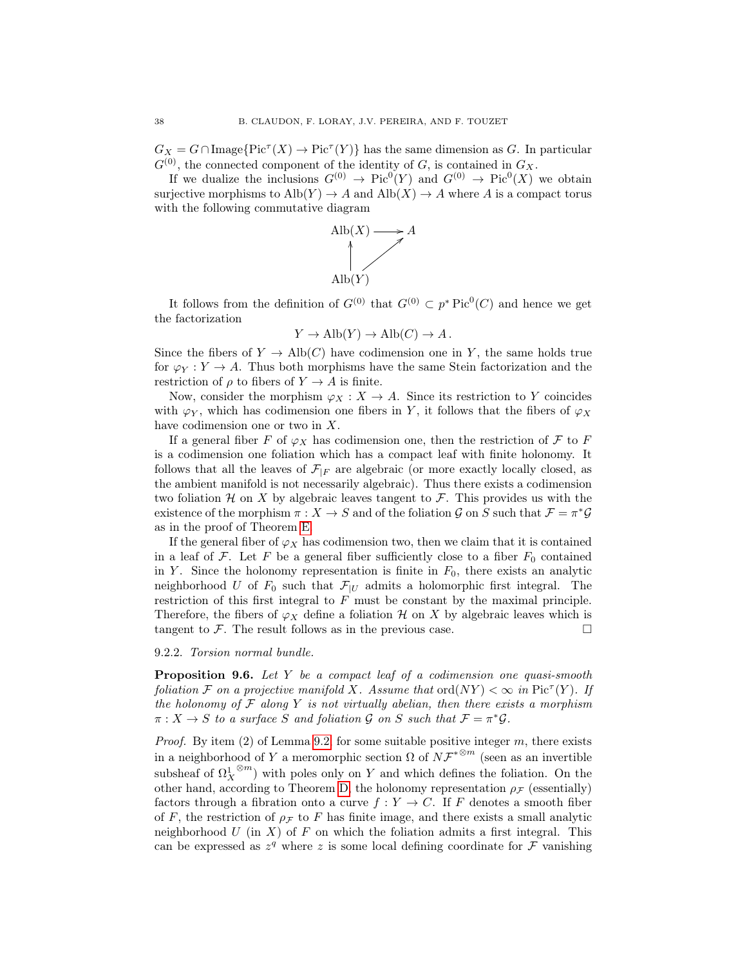$G_X = G \cap \text{Image} \{ \text{Pic}^{\tau}(X) \to \text{Pic}^{\tau}(Y) \}$  has the same dimension as G. In particular  $G^{(0)}$ , the connected component of the identity of G, is contained in  $G_X$ .

If we dualize the inclusions  $G^{(0)} \to Pic^0(Y)$  and  $G^{(0)} \to Pic^0(X)$  we obtain surjective morphisms to  $\text{Alb}(Y) \rightarrow A$  and  $\text{Alb}(X) \rightarrow A$  where A is a compact torus with the following commutative diagram



It follows from the definition of  $G^{(0)}$  that  $G^{(0)} \subset p^*$  Pic<sup>0</sup>(C) and hence we get the factorization

$$
Y \to Alb(Y) \to Alb(C) \to A.
$$

Since the fibers of  $Y \to \text{Alb}(C)$  have codimension one in Y, the same holds true for  $\varphi_Y : Y \to A$ . Thus both morphisms have the same Stein factorization and the restriction of  $\rho$  to fibers of  $Y \to A$  is finite.

Now, consider the morphism  $\varphi_X : X \to A$ . Since its restriction to Y coincides with  $\varphi_Y$ , which has codimension one fibers in Y, it follows that the fibers of  $\varphi_X$ have codimension one or two in X.

If a general fiber F of  $\varphi_X$  has codimension one, then the restriction of F to F is a codimension one foliation which has a compact leaf with finite holonomy. It follows that all the leaves of  $\mathcal{F}_{|F}$  are algebraic (or more exactly locally closed, as the ambient manifold is not necessarily algebraic). Thus there exists a codimension two foliation H on X by algebraic leaves tangent to  $\mathcal F$ . This provides us with the existence of the morphism  $\pi: X \to S$  and of the foliation G on S such that  $\mathcal{F} = \pi^* \mathcal{G}$ as in the proof of Theorem [E.](#page-3-1)

If the general fiber of  $\varphi_X$  has codimension two, then we claim that it is contained in a leaf of F. Let F be a general fiber sufficiently close to a fiber  $F_0$  contained in Y. Since the holonomy representation is finite in  $F_0$ , there exists an analytic neighborhood U of  $F_0$  such that  $\mathcal{F}_{|U}$  admits a holomorphic first integral. The restriction of this first integral to F must be constant by the maximal principle. Therefore, the fibers of  $\varphi_X$  define a foliation H on X by algebraic leaves which is tangent to  $\mathcal F$ . The result follows as in the previous case.

### 9.2.2. Torsion normal bundle.

**Proposition 9.6.** Let Y be a compact leaf of a codimension one quasi-smooth foliation F on a projective manifold X. Assume that  $\text{ord}(NY) < \infty$  in  $\text{Pic}^{\tau}(Y)$ . If the holonomy of  $\mathcal F$  along  $Y$  is not virtually abelian, then there exists a morphism  $\pi: X \to S$  to a surface S and foliation G on S such that  $\mathcal{F} = \pi^* \mathcal{G}$ .

*Proof.* By item  $(2)$  of Lemma [9.2,](#page-35-1) for some suitable positive integer m, there exists in a neighborhood of Y a meromorphic section  $\Omega$  of  $N\mathcal{F}^{*^{\otimes m}}$  (seen as an invertible subsheaf of  $\Omega^1_X$  $^{\otimes m}$ ) with poles only on Y and which defines the foliation. On the other hand, according to Theorem [D,](#page-3-0) the holonomy representation  $\rho_{\mathcal{F}}$  (essentially) factors through a fibration onto a curve  $f: Y \to C$ . If F denotes a smooth fiber of F, the restriction of  $\rho$ <sub>F</sub> to F has finite image, and there exists a small analytic neighborhood U (in X) of F on which the foliation admits a first integral. This can be expressed as  $z^q$  where z is some local defining coordinate for  $\mathcal F$  vanishing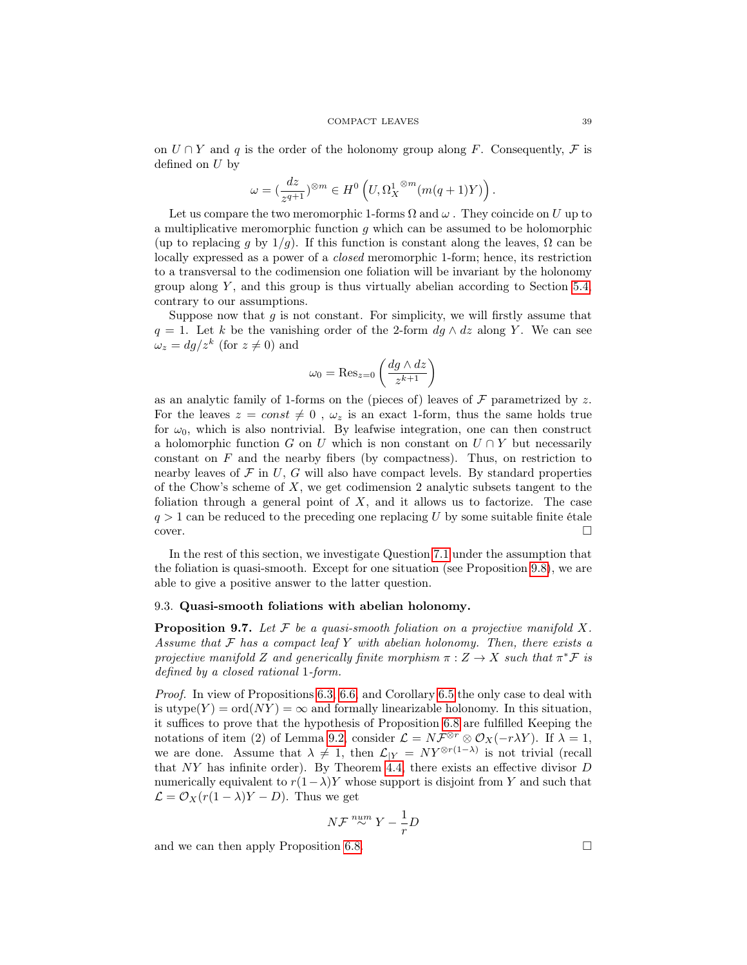on  $U \cap Y$  and q is the order of the holonomy group along F. Consequently, F is defined on U by

$$
\omega=(\frac{dz}{z^{q+1}})^{\otimes m}\in H^0\left(U,\Omega_X^{1\!\!\!\!\;\otimes m}(m(q+1)Y)\right).
$$

Let us compare the two meromorphic 1-forms  $\Omega$  and  $\omega$ . They coincide on U up to a multiplicative meromorphic function  $q$  which can be assumed to be holomorphic (up to replacing q by  $1/q$ ). If this function is constant along the leaves,  $\Omega$  can be locally expressed as a power of a closed meromorphic 1-form; hence, its restriction to a transversal to the codimension one foliation will be invariant by the holonomy group along  $Y$ , and this group is thus virtually abelian according to Section [5.4,](#page-18-0) contrary to our assumptions.

Suppose now that  $g$  is not constant. For simplicity, we will firstly assume that  $q = 1$ . Let k be the vanishing order of the 2-form  $dg \wedge dz$  along Y. We can see  $\omega_z = dg/z^k$  (for  $z \neq 0$ ) and

$$
\omega_0 = \text{Res}_{z=0} \left( \frac{dg \wedge dz}{z^{k+1}} \right)
$$

as an analytic family of 1-forms on the (pieces of) leaves of  $\mathcal F$  parametrized by z. For the leaves  $z = const \neq 0$ ,  $\omega_z$  is an exact 1-form, thus the same holds true for  $\omega_0$ , which is also nontrivial. By leafwise integration, one can then construct a holomorphic function G on U which is non constant on  $U \cap Y$  but necessarily constant on  $F$  and the nearby fibers (by compactness). Thus, on restriction to nearby leaves of  $\mathcal F$  in U, G will also have compact levels. By standard properties of the Chow's scheme of  $X$ , we get codimension 2 analytic subsets tangent to the foliation through a general point of  $X$ , and it allows us to factorize. The case  $q > 1$  can be reduced to the preceding one replacing U by some suitable finite étale  $\Box$ cover.

In the rest of this section, we investigate Question [7.1](#page-26-1) under the assumption that the foliation is quasi-smooth. Except for one situation (see Proposition [9.8\)](#page-39-0), we are able to give a positive answer to the latter question.

### 9.3. Quasi-smooth foliations with abelian holonomy.

<span id="page-38-0"></span>**Proposition 9.7.** Let  $\mathcal F$  be a quasi-smooth foliation on a projective manifold X. Assume that  $\mathcal F$  has a compact leaf  $Y$  with abelian holonomy. Then, there exists a projective manifold Z and generically finite morphism  $\pi: Z \to X$  such that  $\pi^* \mathcal{F}$  is defined by a closed rational 1-form.

Proof. In view of Propositions [6.3,](#page-21-1) [6.6,](#page-22-2) and Corollary [6.5](#page-22-4) the only case to deal with is utype(Y) = ord(NY) =  $\infty$  and formally linearizable holonomy. In this situation, it suffices to prove that the hypothesis of Proposition [6.8](#page-25-1) are fulfilled Keeping the notations of item (2) of Lemma [9.2,](#page-35-1) consider  $\mathcal{L} = N\mathcal{F}^{\otimes r} \otimes \mathcal{O}_X(-r\lambda Y)$ . If  $\lambda = 1$ , we are done. Assume that  $\lambda \neq 1$ , then  $\mathcal{L}_{|Y} = NY^{\otimes r(1-\lambda)}$  is not trivial (recall that NY has infinite order). By Theorem [4.4,](#page-15-3) there exists an effective divisor D numerically equivalent to  $r(1-\lambda)Y$  whose support is disjoint from Y and such that  $\mathcal{L} = \mathcal{O}_X(r(1-\lambda)Y - D)$ . Thus we get

$$
N\mathcal{F}\stackrel{num}{\sim}Y-\frac{1}{r}D
$$

and we can then apply Proposition [6.8.](#page-25-1)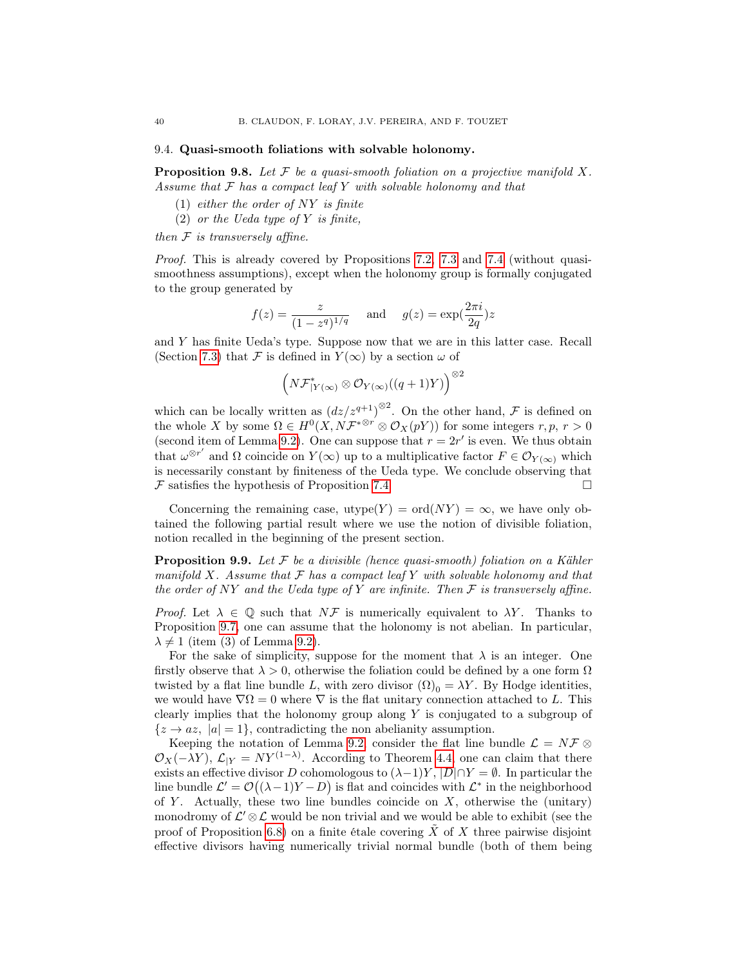#### 9.4. Quasi-smooth foliations with solvable holonomy.

<span id="page-39-0"></span>**Proposition 9.8.** Let  $\mathcal F$  be a quasi-smooth foliation on a projective manifold  $X$ . Assume that  $F$  has a compact leaf  $Y$  with solvable holonomy and that

- (1) either the order of  $NY$  is finite
- (2) or the Ueda type of Y is finite,

then  $F$  is transversely affine.

Proof. This is already covered by Propositions [7.2,](#page-26-2) [7.3](#page-29-0) and [7.4](#page-29-1) (without quasismoothness assumptions), except when the holonomy group is formally conjugated to the group generated by

$$
f(z) = \frac{z}{(1 - z^q)^{1/q}} \quad \text{and} \quad g(z) = \exp(\frac{2\pi i}{2q})z
$$

and Y has finite Ueda's type. Suppose now that we are in this latter case. Recall (Section [7.3\)](#page-29-2) that F is defined in  $Y(\infty)$  by a section  $\omega$  of

$$
\left( N\mathcal{F}^*_{|Y(\infty)} \otimes \mathcal{O}_{Y(\infty)}((q+1)Y) \right)^{\otimes 2}
$$

which can be locally written as  $\left(\frac{dz}{z^{q+1}}\right)^{\otimes 2}$ . On the other hand,  $\mathcal F$  is defined on the whole X by some  $\Omega \in H^0(X, N\mathcal{F}^{*\otimes r} \otimes \mathcal{O}_X(pY))$  for some integers  $r, p, r > 0$ (second item of Lemma [9.2\)](#page-35-1). One can suppose that  $r = 2r'$  is even. We thus obtain that  $\omega^{\otimes r'}$  and  $\Omega$  coincide on  $Y(\infty)$  up to a multiplicative factor  $F \in \mathcal{O}_{Y(\infty)}$  which is necessarily constant by finiteness of the Ueda type. We conclude observing that  $\mathcal F$  satisfies the hypothesis of Proposition [7.4.](#page-29-1)

Concerning the remaining case, utype $(Y) = \text{ord}(NY) = \infty$ , we have only obtained the following partial result where we use the notion of divisible foliation, notion recalled in the beginning of the present section.

<span id="page-39-1"></span>**Proposition 9.9.** Let  $\mathcal F$  be a divisible (hence quasi-smooth) foliation on a Kähler manifold X. Assume that  $\mathcal F$  has a compact leaf Y with solvable holonomy and that the order of NY and the Ueda type of Y are infinite. Then  $\mathcal F$  is transversely affine.

*Proof.* Let  $\lambda \in \mathbb{Q}$  such that  $N\mathcal{F}$  is numerically equivalent to  $\lambda Y$ . Thanks to Proposition [9.7,](#page-38-0) one can assume that the holonomy is not abelian. In particular,  $\lambda \neq 1$  (item (3) of Lemma [9.2\)](#page-35-1).

For the sake of simplicity, suppose for the moment that  $\lambda$  is an integer. One firstly observe that  $\lambda > 0$ , otherwise the foliation could be defined by a one form  $\Omega$ twisted by a flat line bundle L, with zero divisor  $(\Omega)_0 = \lambda Y$ . By Hodge identities, we would have  $\nabla \Omega = 0$  where  $\nabla$  is the flat unitary connection attached to L. This clearly implies that the holonomy group along  $Y$  is conjugated to a subgroup of  ${z \rightarrow az, |a|=1}$ , contradicting the non abelianity assumption.

Keeping the notation of Lemma [9.2,](#page-35-1) consider the flat line bundle  $\mathcal{L} = N\mathcal{F} \otimes$  $\mathcal{O}_X(-\lambda Y)$ ,  $\mathcal{L}_{|Y} = N Y^{(1-\lambda)}$ . According to Theorem [4.4,](#page-15-3) one can claim that there exists an effective divisor D cohomologous to  $(\lambda-1)Y$ ,  $|D| \cap Y = \emptyset$ . In particular the line bundle  $\mathcal{L}' = \mathcal{O}((\lambda - 1)Y - D)$  is flat and coincides with  $\mathcal{L}^*$  in the neighborhood of Y. Actually, these two line bundles coincide on  $X$ , otherwise the (unitary) monodromy of  $\mathcal{L}' \otimes \mathcal{L}$  would be non trivial and we would be able to exhibit (see the proof of Proposition [6.8\)](#page-25-1) on a finite étale covering  $\ddot{X}$  of X three pairwise disjoint effective divisors having numerically trivial normal bundle (both of them being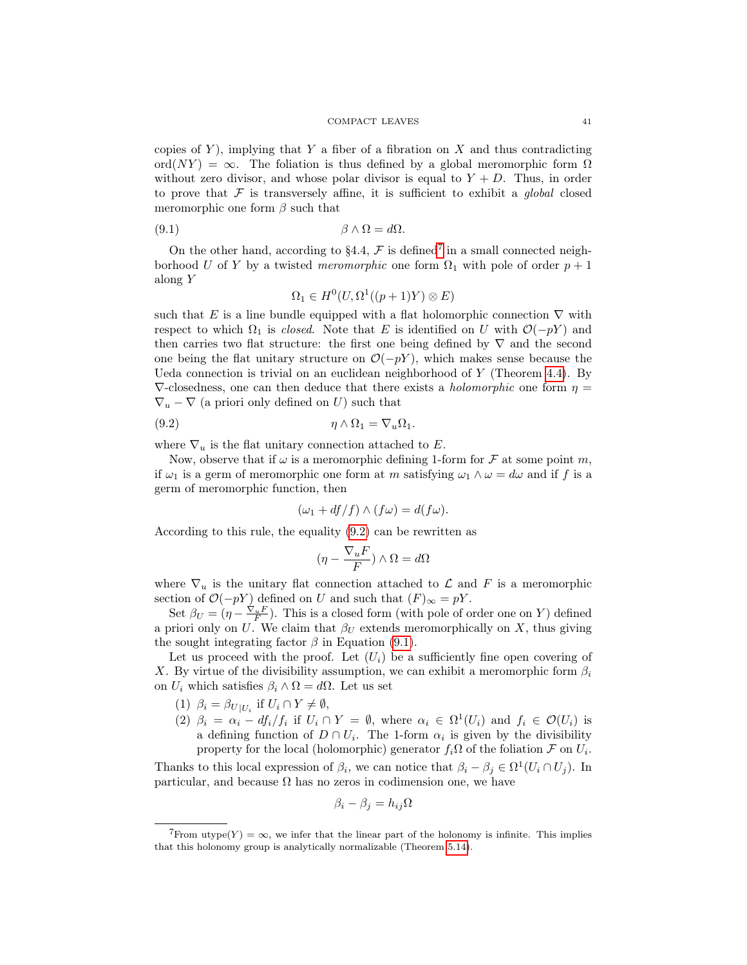copies of Y), implying that Y a fiber of a fibration on X and thus contradicting ord( $NY$ ) =  $\infty$ . The foliation is thus defined by a global meromorphic form  $\Omega$ without zero divisor, and whose polar divisor is equal to  $Y + D$ . Thus, in order to prove that  $\mathcal F$  is transversely affine, it is sufficient to exhibit a *global* closed meromorphic one form  $\beta$  such that

(9.1) β ∧ Ω = dΩ.

On the other hand, according to §4.4,  $\mathcal F$  is defined<sup>[7](#page-40-0)</sup> in a small connected neighborhood U of Y by a twisted meromorphic one form  $\Omega_1$  with pole of order  $p + 1$ along Y

<span id="page-40-2"></span>
$$
\Omega_1 \in H^0(U, \Omega^1((p+1)Y) \otimes E)
$$

such that E is a line bundle equipped with a flat holomorphic connection  $\nabla$  with respect to which  $\Omega_1$  is *closed.* Note that E is identified on U with  $\mathcal{O}(-pY)$  and then carries two flat structure: the first one being defined by  $\nabla$  and the second one being the flat unitary structure on  $\mathcal{O}(-pY)$ , which makes sense because the Ueda connection is trivial on an euclidean neighborhood of Y (Theorem [4.4\)](#page-15-3). By  $\nabla$ -closedness, one can then deduce that there exists a *holomorphic* one form  $\eta$  $\nabla_u - \nabla$  (a priori only defined on U) such that

$$
(9.2) \t\t \eta \wedge \Omega_1 = \nabla_u \Omega_1.
$$

where  $\nabla_u$  is the flat unitary connection attached to E.

Now, observe that if  $\omega$  is a meromorphic defining 1-form for  $\mathcal F$  at some point m, if  $\omega_1$  is a germ of meromorphic one form at m satisfying  $\omega_1 \wedge \omega = d\omega$  and if f is a germ of meromorphic function, then

<span id="page-40-1"></span>
$$
(\omega_1 + df/f) \wedge (f\omega) = d(f\omega).
$$

According to this rule, the equality [\(9.2\)](#page-40-1) can be rewritten as

$$
(\eta - \frac{\nabla_u F}{F}) \wedge \Omega = d\Omega
$$

where  $\nabla_u$  is the unitary flat connection attached to  $\mathcal L$  and F is a meromorphic section of  $\mathcal{O}(-pY)$  defined on U and such that  $(F)_{\infty} = pY$ .

Set  $\beta_U = (\eta - \frac{\nabla_u F}{F})$ . This is a closed form (with pole of order one on Y) defined a priori only on U. We claim that  $\beta_U$  extends meromorphically on X, thus giving the sought integrating factor  $\beta$  in Equation [\(9.1\)](#page-40-2).

Let us proceed with the proof. Let  $(U_i)$  be a sufficiently fine open covering of X. By virtue of the divisibility assumption, we can exhibit a meromorphic form  $\beta_i$ on  $U_i$  which satisfies  $\beta_i \wedge \Omega = d\Omega$ . Let us set

- (1)  $\beta_i = \beta_{U|U_i}$  if  $U_i \cap Y \neq \emptyset$ ,
- (2)  $\beta_i = \alpha_i df_i / f_i$  if  $U_i \cap Y = \emptyset$ , where  $\alpha_i \in \Omega^1(U_i)$  and  $f_i \in \mathcal{O}(U_i)$  is a defining function of  $D \cap U_i$ . The 1-form  $\alpha_i$  is given by the divisibility property for the local (holomorphic) generator  $f_i\Omega$  of the foliation  $\mathcal F$  on  $U_i$ .

Thanks to this local expression of  $\beta_i$ , we can notice that  $\beta_i - \beta_j \in \Omega^1(U_i \cap U_j)$ . In particular, and because  $\Omega$  has no zeros in codimension one, we have

$$
\beta_i - \beta_j = h_{ij}\Omega
$$

<span id="page-40-0"></span> ${}^{7}$ From utype(Y) =  $\infty$ , we infer that the linear part of the holonomy is infinite. This implies that this holonomy group is analytically normalizable (Theorem [5.14\)](#page-19-3).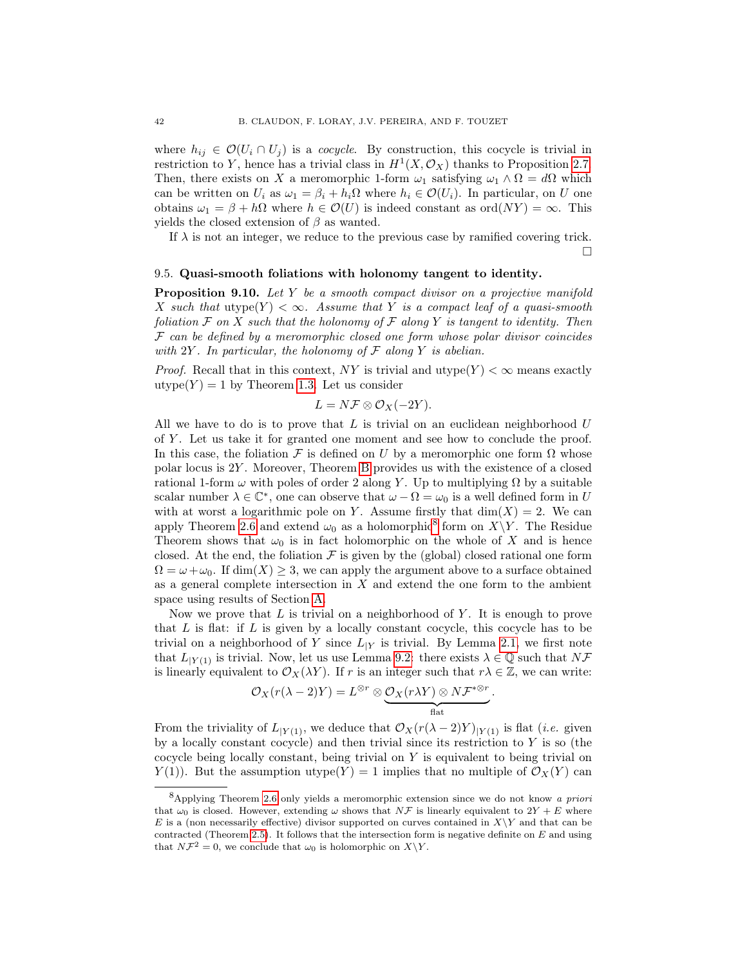where  $h_{ij} \in \mathcal{O}(U_i \cap U_j)$  is a *cocycle*. By construction, this cocycle is trivial in restriction to Y, hence has a trivial class in  $H^1(X, \mathcal{O}_X)$  thanks to Proposition [2.7.](#page-7-0) Then, there exists on X a meromorphic 1-form  $\omega_1$  satisfying  $\omega_1 \wedge \Omega = d\Omega$  which can be written on  $U_i$  as  $\omega_1 = \beta_i + h_i \Omega$  where  $h_i \in \mathcal{O}(U_i)$ . In particular, on U one obtains  $\omega_1 = \beta + h\Omega$  where  $h \in \mathcal{O}(U)$  is indeed constant as ord $(NY) = \infty$ . This yields the closed extension of  $\beta$  as wanted.

If  $\lambda$  is not an integer, we reduce to the previous case by ramified covering trick.  $\Box$ 

### 9.5. Quasi-smooth foliations with holonomy tangent to identity.

<span id="page-41-1"></span>**Proposition 9.10.** Let Y be a smooth compact divisor on a projective manifold X such that utype $(Y) < \infty$ . Assume that Y is a compact leaf of a quasi-smooth foliation  $\mathcal F$  on  $X$  such that the holonomy of  $\mathcal F$  along  $Y$  is tangent to identity. Then  $F$  can be defined by a meromorphic closed one form whose polar divisor coincides with  $2Y$ . In particular, the holonomy of  $\mathcal F$  along  $Y$  is abelian.

*Proof.* Recall that in this context, NY is trivial and utype $(Y) < \infty$  means exactly utype $(Y) = 1$  by Theorem [1.3.](#page-2-2) Let us consider

$$
L = N\mathcal{F} \otimes \mathcal{O}_X(-2Y).
$$

All we have to do is to prove that  $L$  is trivial on an euclidean neighborhood  $U$ of Y . Let us take it for granted one moment and see how to conclude the proof. In this case, the foliation  $\mathcal F$  is defined on U by a meromorphic one form  $\Omega$  whose polar locus is 2Y . Moreover, Theorem [B](#page-2-0) provides us with the existence of a closed rational 1-form  $\omega$  with poles of order 2 along Y. Up to multiplying  $\Omega$  by a suitable scalar number  $\lambda \in \mathbb{C}^*$ , one can observe that  $\omega - \Omega = \omega_0$  is a well defined form in U with at worst a logarithmic pole on Y. Assume firstly that  $\dim(X) = 2$ . We can apply Theorem [2.6](#page-7-1) and extend  $\omega_0$  as a holomorphic<sup>[8](#page-41-0)</sup> form on  $X\Y$ . The Residue Theorem shows that  $\omega_0$  is in fact holomorphic on the whole of X and is hence closed. At the end, the foliation  $\mathcal F$  is given by the (global) closed rational one form  $\Omega = \omega + \omega_0$ . If  $\dim(X) \geq 3$ , we can apply the argument above to a surface obtained as a general complete intersection in  $X$  and extend the one form to the ambient space using results of Section [A.](#page-42-0)

Now we prove that  $L$  is trivial on a neighborhood of  $Y$ . It is enough to prove that  $L$  is flat: if  $L$  is given by a locally constant cocycle, this cocycle has to be trivial on a neighborhood of Y since  $L_{|Y}$  is trivial. By Lemma [2.1,](#page-5-0) we first note that  $L_{|Y(1)}$  is trivial. Now, let us use Lemma [9.2:](#page-35-1) there exists  $\lambda \in \mathbb{Q}$  such that  $N\mathcal{F}$ is linearly equivalent to  $\mathcal{O}_X(\lambda Y)$ . If r is an integer such that  $r\lambda \in \mathbb{Z}$ , we can write:

$$
\mathcal{O}_X(r(\lambda-2)Y)=L^{\otimes r}\otimes \underbrace{\mathcal{O}_X(r\lambda Y)\otimes N\mathcal{F}^{*\otimes r}}_{\text{flat}}.
$$

From the triviality of  $L_{|Y(1)}$ , we deduce that  $\mathcal{O}_X(r(\lambda-2)Y)_{|Y(1)}$  is flat (*i.e.* given by a locally constant cocycle) and then trivial since its restriction to Y is so (the cocycle being locally constant, being trivial on Y is equivalent to being trivial on  $Y(1)$ ). But the assumption utype(Y) = 1 implies that no multiple of  $\mathcal{O}_X(Y)$  can

<span id="page-41-0"></span><sup>8</sup>Applying Theorem [2.6](#page-7-1) only yields a meromorphic extension since we do not know a priori that  $\omega_0$  is closed. However, extending  $\omega$  shows that  $N\mathcal{F}$  is linearly equivalent to  $2Y + E$  where E is a (non necessarily effective) divisor supported on curves contained in  $X\Y$  and that can be contracted (Theorem [2.5\)](#page-7-3). It follows that the intersection form is negative definite on  $E$  and using that  $N\mathcal{F}^2 = 0$ , we conclude that  $\omega_0$  is holomorphic on  $X\Y$ .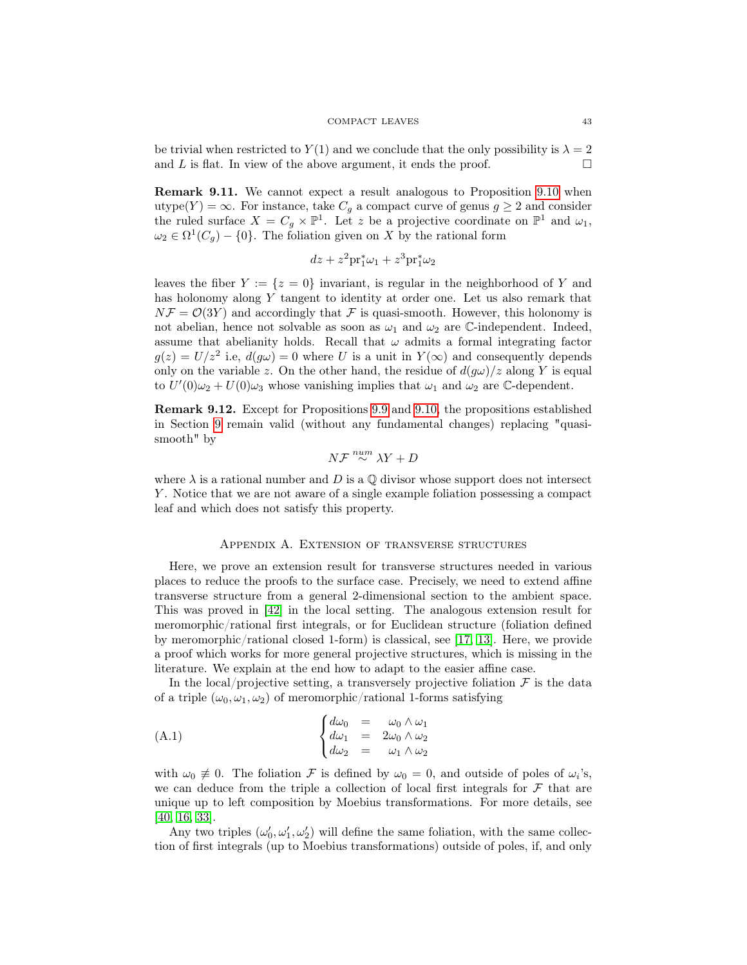be trivial when restricted to  $Y(1)$  and we conclude that the only possibility is  $\lambda = 2$ and L is flat. In view of the above argument, it ends the proof.  $\Box$ 

Remark 9.11. We cannot expect a result analogous to Proposition [9.10](#page-41-1) when utype(Y) =  $\infty$ . For instance, take  $C_g$  a compact curve of genus  $g \geq 2$  and consider the ruled surface  $X = C_g \times \mathbb{P}^1$ . Let z be a projective coordinate on  $\mathbb{P}^1$  and  $\omega_1$ ,  $\omega_2 \in \Omega^1(C_g) - \{0\}.$  The foliation given on X by the rational form

$$
dz + z^2 \mathrm{pr}_1^* \omega_1 + z^3 \mathrm{pr}_1^* \omega_2
$$

leaves the fiber  $Y := \{z = 0\}$  invariant, is regular in the neighborhood of Y and has holonomy along Y tangent to identity at order one. Let us also remark that  $N\mathcal{F} = \mathcal{O}(3Y)$  and accordingly that  $\mathcal F$  is quasi-smooth. However, this holonomy is not abelian, hence not solvable as soon as  $\omega_1$  and  $\omega_2$  are C-independent. Indeed, assume that abelianity holds. Recall that  $\omega$  admits a formal integrating factor  $g(z) = U/z^2$  i.e,  $d(g\omega) = 0$  where U is a unit in  $Y(\infty)$  and consequently depends only on the variable z. On the other hand, the residue of  $d(g\omega)/z$  along Y is equal to  $U'(0)\omega_2 + U(0)\omega_3$  whose vanishing implies that  $\omega_1$  and  $\omega_2$  are C-dependent.

Remark 9.12. Except for Propositions [9.9](#page-39-1) and [9.10,](#page-41-1) the propositions established in Section [9](#page-35-0) remain valid (without any fundamental changes) replacing "quasismooth" by

$$
N\mathcal{F}\overset{num}{\sim}\lambda Y+D
$$

where  $\lambda$  is a rational number and D is a  $\mathbb Q$  divisor whose support does not intersect Y . Notice that we are not aware of a single example foliation possessing a compact leaf and which does not satisfy this property.

## Appendix A. Extension of transverse structures

<span id="page-42-0"></span>Here, we prove an extension result for transverse structures needed in various places to reduce the proofs to the surface case. Precisely, we need to extend affine transverse structure from a general 2-dimensional section to the ambient space. This was proved in [\[42\]](#page-46-6) in the local setting. The analogous extension result for meromorphic/rational first integrals, or for Euclidean structure (foliation defined by meromorphic/rational closed 1-form) is classical, see [\[17,](#page-45-18) [13\]](#page-45-15). Here, we provide a proof which works for more general projective structures, which is missing in the literature. We explain at the end how to adapt to the easier affine case.

In the local/projective setting, a transversely projective foliation  $\mathcal F$  is the data of a triple  $(\omega_0, \omega_1, \omega_2)$  of meromorphic/rational 1-forms satisfying

<span id="page-42-1"></span>
$$
\begin{cases}\nd\omega_0 = \omega_0 \wedge \omega_1 \\
d\omega_1 = 2\omega_0 \wedge \omega_2 \\
d\omega_2 = \omega_1 \wedge \omega_2\n\end{cases}
$$

with  $\omega_0 \neq 0$ . The foliation F is defined by  $\omega_0 = 0$ , and outside of poles of  $\omega_i$ 's, we can deduce from the triple a collection of local first integrals for  $\mathcal F$  that are unique up to left composition by Moebius transformations. For more details, see [\[40,](#page-46-7) [16,](#page-45-26) [33\]](#page-45-10).

Any two triples  $(\omega'_0, \omega'_1, \omega'_2)$  will define the same foliation, with the same collection of first integrals (up to Moebius transformations) outside of poles, if, and only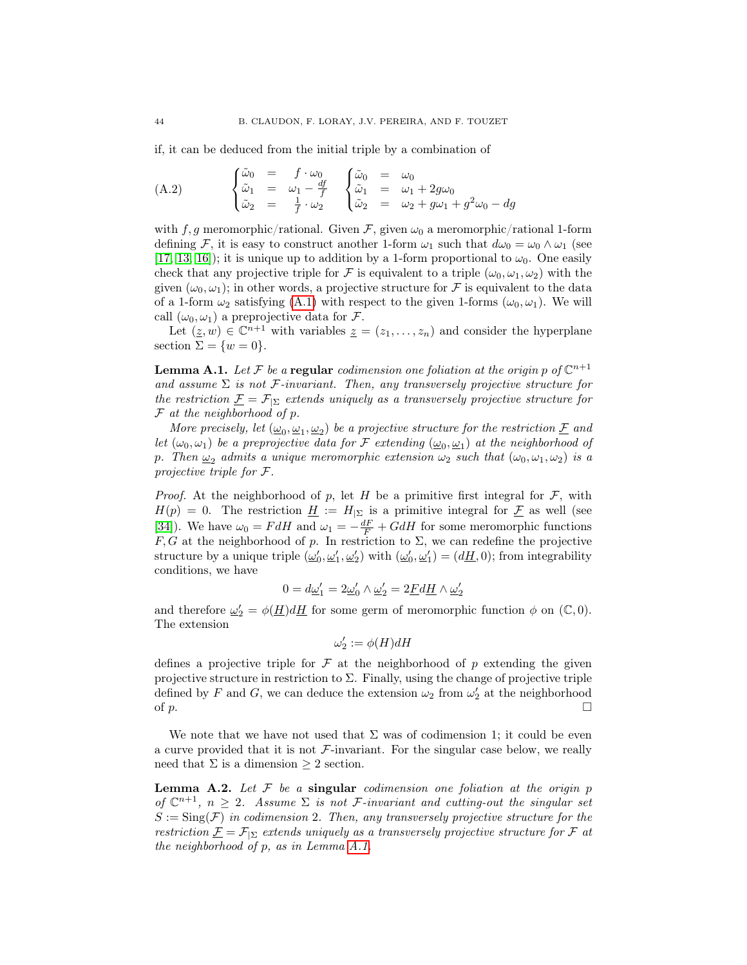if, it can be deduced from the initial triple by a combination of

(A.2) 
$$
\begin{cases} \tilde{\omega}_0 = f \cdot \omega_0 \\ \tilde{\omega}_1 = \omega_1 - \frac{df}{f} \\ \tilde{\omega}_2 = \frac{1}{f} \cdot \omega_2 \end{cases} \begin{cases} \tilde{\omega}_0 = \omega_0 \\ \tilde{\omega}_1 = \omega_1 + 2g\omega_0 \\ \tilde{\omega}_2 = \omega_2 + g\omega_1 + g^2\omega_0 - dg \end{cases}
$$

with f, g meromorphic/rational. Given  $\mathcal{F}$ , given  $\omega_0$  a meromorphic/rational 1-form defining F, it is easy to construct another 1-form  $\omega_1$  such that  $d\omega_0 = \omega_0 \wedge \omega_1$  (see [\[17,](#page-45-18) [13,](#page-45-15) [16\]](#page-45-26)); it is unique up to addition by a 1-form proportional to  $\omega_0$ . One easily check that any projective triple for F is equivalent to a triple  $(\omega_0, \omega_1, \omega_2)$  with the given  $(\omega_0, \omega_1)$ ; in other words, a projective structure for F is equivalent to the data of a 1-form  $\omega_2$  satisfying [\(A.1\)](#page-42-1) with respect to the given 1-forms  $(\omega_0, \omega_1)$ . We will call  $(\omega_0, \omega_1)$  a preprojective data for  $\mathcal{F}$ .

Let  $(\underline{z}, w) \in \mathbb{C}^{n+1}$  with variables  $\underline{z} = (z_1, \ldots, z_n)$  and consider the hyperplane section  $\Sigma = \{w = 0\}.$ 

<span id="page-43-0"></span>**Lemma A.1.** Let F be a regular codimension one foliation at the origin p of  $\mathbb{C}^{n+1}$ and assume  $\Sigma$  is not F-invariant. Then, any transversely projective structure for the restriction  $\underline{\mathcal{F}} = \mathcal{F}_{|\Sigma}$  extends uniquely as a transversely projective structure for  $F$  at the neighborhood of  $p$ .

More precisely, let  $(\underline{\omega}_0, \underline{\omega}_1, \underline{\omega}_2)$  be a projective structure for the restriction  $\underline{\mathcal{F}}$  and let  $(\omega_0, \omega_1)$  be a preprojective data for F extending  $(\underline{\omega}_0, \underline{\omega}_1)$  at the neighborhood of p. Then  $\underline{\omega}_2$  admits a unique meromorphic extension  $\omega_2$  such that  $(\omega_0, \omega_1, \omega_2)$  is a projective triple for F.

*Proof.* At the neighborhood of p, let H be a primitive first integral for  $\mathcal{F}$ , with  $H(p) = 0$ . The restriction  $\underline{H} := H_{\vert \Sigma}$  is a primitive integral for  $\underline{F}$  as well (see [\[34\]](#page-45-27)). We have  $\omega_0 = F dH$  and  $\omega_1 = -\frac{dF}{F} + G dH$  for some meromorphic functions F, G at the neighborhood of p. In restriction to  $\Sigma$ , we can redefine the projective structure by a unique triple  $(\underline{\omega}'_0, \underline{\omega}'_1, \underline{\omega}'_2)$  with  $(\underline{\omega}'_0, \underline{\omega}'_1) = (d\underline{H}, 0)$ ; from integrability conditions, we have

$$
0=d\underline{\omega}'_1=2\underline{\omega}'_0\wedge\underline{\omega}'_2=2\underline{F}d\underline{H}\wedge\underline{\omega}'_2
$$

and therefore  $\underline{\omega}'_2 = \phi(\underline{H})d\underline{H}$  for some germ of meromorphic function  $\phi$  on  $(\mathbb{C}, 0)$ . The extension

$$
\omega_2':=\phi(H)dH
$$

defines a projective triple for  $\mathcal F$  at the neighborhood of p extending the given projective structure in restriction to  $\Sigma$ . Finally, using the change of projective triple defined by F and G, we can deduce the extension  $\omega_2$  from  $\omega'_2$  at the neighborhood of p.

We note that we have not used that  $\Sigma$  was of codimension 1; it could be even a curve provided that it is not  $\mathcal{F}\text{-invariant}$ . For the singular case below, we really need that  $\Sigma$  is a dimension  $\geq 2$  section.

**Lemma A.2.** Let  $F$  be a singular codimension one foliation at the origin  $p$ of  $\mathbb{C}^{n+1}$ ,  $n \geq 2$ . Assume  $\Sigma$  is not *F*-invariant and cutting-out the singular set  $S := \text{Sing}(\mathcal{F})$  in codimension 2. Then, any transversely projective structure for the restriction  $\underline{\mathcal{F}} = \mathcal{F}_{\vert \Sigma}$  extends uniquely as a transversely projective structure for  $\mathcal{F}$  at the neighborhood of p, as in Lemma [A.1.](#page-43-0)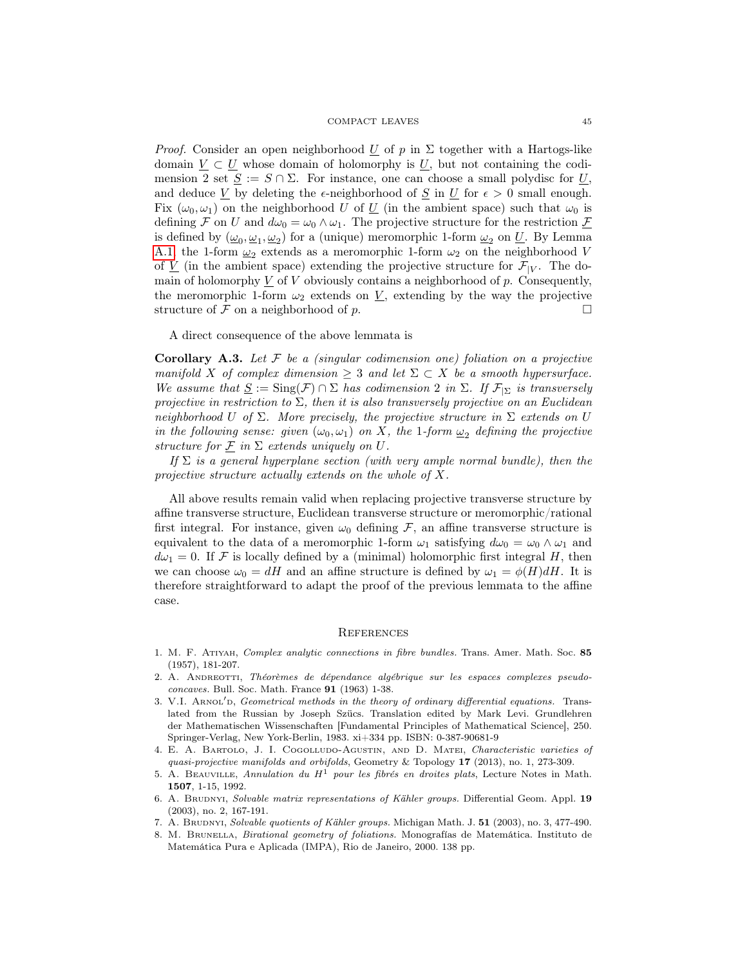*Proof.* Consider an open neighborhood U of p in  $\Sigma$  together with a Hartogs-like domain  $V \subset U$  whose domain of holomorphy is U, but not containing the codimension 2 set  $S := S \cap \Sigma$ . For instance, one can choose a small polydisc for U, and deduce  $\underline{V}$  by deleting the  $\epsilon$ -neighborhood of  $\underline{S}$  in  $\underline{U}$  for  $\epsilon > 0$  small enough. Fix  $(\omega_0, \omega_1)$  on the neighborhood U of U (in the ambient space) such that  $\omega_0$  is defining F on U and  $d\omega_0 = \omega_0 \wedge \omega_1$ . The projective structure for the restriction  $\mathcal F$ is defined by  $(\underline{\omega}_0, \underline{\omega}_1, \underline{\omega}_2)$  for a (unique) meromorphic 1-form  $\underline{\omega}_2$  on  $\underline{U}$ . By Lemma [A.1,](#page-43-0) the 1-form  $\underline{\omega}_2$  extends as a meromorphic 1-form  $\omega_2$  on the neighborhood V of  $\underline{V}$  (in the ambient space) extending the projective structure for  $\mathcal{F}_{|V}$ . The domain of holomorphy  $\underline{V}$  of V obviously contains a neighborhood of p. Consequently, the meromorphic 1-form  $\omega_2$  extends on  $\underline{V}$ , extending by the way the projective structure of  $\mathcal F$  on a neighborhood of  $p$ .

A direct consequence of the above lemmata is

**Corollary A.3.** Let  $\mathcal F$  be a (singular codimension one) foliation on a projective manifold X of complex dimension  $\geq 3$  and let  $\Sigma \subset X$  be a smooth hypersurface. We assume that  $\underline{S} := \text{Sing}(\mathcal{F}) \cap \Sigma$  has codimension 2 in  $\Sigma$ . If  $\mathcal{F}_{|\Sigma}$  is transversely projective in restriction to  $\Sigma$ , then it is also transversely projective on an Euclidean neighborhood U of  $\Sigma$ . More precisely, the projective structure in  $\Sigma$  extends on U in the following sense: given  $(\omega_0, \omega_1)$  on X, the 1-form  $\underline{\omega}_2$  defining the projective structure for  $\mathcal F$  in  $\Sigma$  extends uniquely on U.

If  $\Sigma$  is a general hyperplane section (with very ample normal bundle), then the projective structure actually extends on the whole of X.

All above results remain valid when replacing projective transverse structure by affine transverse structure, Euclidean transverse structure or meromorphic/rational first integral. For instance, given  $\omega_0$  defining F, an affine transverse structure is equivalent to the data of a meromorphic 1-form  $\omega_1$  satisfying  $d\omega_0 = \omega_0 \wedge \omega_1$  and  $d\omega_1 = 0$ . If F is locally defined by a (minimal) holomorphic first integral H, then we can choose  $\omega_0 = dH$  and an affine structure is defined by  $\omega_1 = \phi(H)dH$ . It is therefore straightforward to adapt the proof of the previous lemmata to the affine case.

#### <span id="page-44-0"></span>**REFERENCES**

- <span id="page-44-5"></span>1. M. F. Atiyah, Complex analytic connections in fibre bundles. Trans. Amer. Math. Soc. 85 (1957), 181-207.
- <span id="page-44-3"></span>2. A. Andreotti, Théorèmes de dépendance algébrique sur les espaces complexes pseudoconcaves. Bull. Soc. Math. France 91 (1963) 1-38.
- <span id="page-44-2"></span>V.I. ARNOL'D, Geometrical methods in the theory of ordinary differential equations. Translated from the Russian by Joseph Szücs. Translation edited by Mark Levi. Grundlehren der Mathematischen Wissenschaften [Fundamental Principles of Mathematical Science], 250. Springer-Verlag, New York-Berlin, 1983. xi+334 pp. ISBN: 0-387-90681-9
- <span id="page-44-4"></span>4. E. A. Bartolo, J. I. Cogolludo-Agustin, and D. Matei, Characteristic varieties of quasi-projective manifolds and orbifolds, Geometry & Topology 17 (2013), no. 1, 273-309.
- 5. A. BEAUVILLE, Annulation du  $H^1$  pour les fibrés en droites plats, Lecture Notes in Math. 1507, 1-15, 1992.
- <span id="page-44-6"></span>6. A. BRUDNYI, Solvable matrix representations of Kähler groups. Differential Geom. Appl. 19 (2003), no. 2, 167-191.
- <span id="page-44-7"></span>7. A. BRUDNYI, Solvable quotients of Kähler groups. Michigan Math. J. 51 (2003), no. 3, 477-490.
- <span id="page-44-1"></span>8. M. Brunella, Birational geometry of foliations. Monografías de Matemática. Instituto de Matemática Pura e Aplicada (IMPA), Rio de Janeiro, 2000. 138 pp.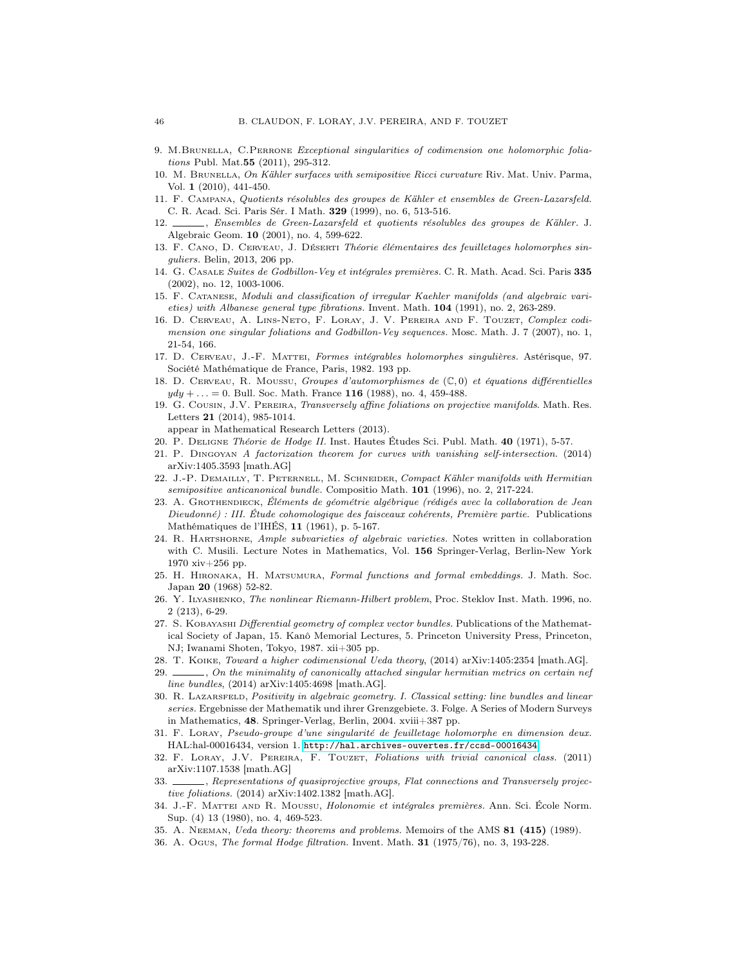- <span id="page-45-25"></span>9. M.Brunella, C.Perrone Exceptional singularities of codimension one holomorphic foliations Publ. Mat.55 (2011), 295-312.
- <span id="page-45-11"></span>10. M. Brunella, On Kähler surfaces with semipositive Ricci curvature Riv. Mat. Univ. Parma, Vol. 1 (2010), 441-450.
- <span id="page-45-20"></span>11. F. Campana, Quotients résolubles des groupes de Kähler et ensembles de Green-Lazarsfeld. C. R. Acad. Sci. Paris Sér. I Math. 329 (1999), no. 6, 513-516.
- <span id="page-45-21"></span>12. , Ensembles de Green-Lazarsfeld et quotients résolubles des groupes de Kähler. J. Algebraic Geom. 10 (2001), no. 4, 599-622.
- <span id="page-45-15"></span>13. F. Cano, D. Cerveau, J. Déserti Théorie élémentaires des feuilletages holomorphes singuliers. Belin, 2013, 206 pp.
- <span id="page-45-19"></span>14. G. Casale Suites de Godbillon-Vey et intégrales premières. C. R. Math. Acad. Sci. Paris 335 (2002), no. 12, 1003-1006.
- <span id="page-45-23"></span>15. F. Catanese, Moduli and classification of irregular Kaehler manifolds (and algebraic varieties) with Albanese general type fibrations. Invent. Math. 104 (1991), no. 2, 263-289.
- <span id="page-45-26"></span>16. D. Cerveau, A. Lins-Neto, F. Loray, J. V. Pereira and F. Touzet, Complex codimension one singular foliations and Godbillon-Vey sequences. Mosc. Math. J. 7 (2007), no. 1, 21-54, 166.
- <span id="page-45-18"></span>17. D. Cerveau, J.-F. Mattei, Formes intégrables holomorphes singulières. Astérisque, 97. Société Mathématique de France, Paris, 1982. 193 pp.
- <span id="page-45-14"></span>18. D. CERVEAU, R. MOUSSU, Groupes d'automorphismes de  $(\mathbb{C},0)$  et équations différentielles  $ydy + ... = 0$ . Bull. Soc. Math. France 116 (1988), no. 4, 459-488.
- <span id="page-45-4"></span>19. G. Cousin, J.V. Pereira, Transversely affine foliations on projective manifolds. Math. Res. Letters 21 (2014), 985-1014.
	- appear in Mathematical Research Letters (2013).
- <span id="page-45-22"></span>20. P. Deligne Théorie de Hodge II. Inst. Hautes Études Sci. Publ. Math. 40 (1971), 5-57.
- <span id="page-45-5"></span>21. P. Dingoyan A factorization theorem for curves with vanishing self-intersection. (2014) arXiv:1405.3593 [math.AG]
- <span id="page-45-0"></span>22. J.-P. DEMAILLY, T. PETERNELL, M. SCHNEIDER, Compact Kähler manifolds with Hermitian semipositive anticanonical bundle. Compositio Math. 101 (1996), no. 2, 217-224.
- <span id="page-45-17"></span>23. A. Grothendieck, Éléments de géométrie algébrique (rédigés avec la collaboration de Jean Dieudonné) : III. Étude cohomologique des faisceaux cohérents, Première partie. Publications Mathématiques de l'IHÉS, 11 (1961), p. 5-167.
- <span id="page-45-1"></span>24. R. HARTSHORNE, Ample subvarieties of algebraic varieties. Notes written in collaboration with C. Musili. Lecture Notes in Mathematics, Vol. 156 Springer-Verlag, Berlin-New York 1970 xiv+256 pp.
- <span id="page-45-8"></span>25. H. Hironaka, H. Matsumura, Formal functions and formal embeddings. J. Math. Soc. Japan 20 (1968) 52-82.
- <span id="page-45-6"></span>26. Y. Ilyashenko, The nonlinear Riemann-Hilbert problem, Proc. Steklov Inst. Math. 1996, no. 2 (213), 6-29.
- <span id="page-45-16"></span>27. S. KOBAYASHI Differential geometry of complex vector bundles. Publications of the Mathematical Society of Japan, 15. Kanô Memorial Lectures, 5. Princeton University Press, Princeton, NJ; Iwanami Shoten, Tokyo, 1987. xii+305 pp.
- <span id="page-45-7"></span>28. T. Koike, Toward a higher codimensional Ueda theory, (2014) arXiv:1405:2354 [math.AG].
- <span id="page-45-9"></span>29. , On the minimality of canonically attached singular hermitian metrics on certain nef line bundles, (2014) arXiv:1405:4698 [math.AG].
- <span id="page-45-12"></span>30. R. LAZARSFELD, Positivity in algebraic geometry. I. Classical setting: line bundles and linear series. Ergebnisse der Mathematik und ihrer Grenzgebiete. 3. Folge. A Series of Modern Surveys in Mathematics, 48. Springer-Verlag, Berlin, 2004. xviii+387 pp.
- <span id="page-45-13"></span>31. F. Loray, Pseudo-groupe d'une singularité de feuilletage holomorphe en dimension deux. HAL:hal-00016434, version 1. <http://hal.archives-ouvertes.fr/ccsd-00016434>.
- <span id="page-45-24"></span>32. F. LORAY, J.V. PEREIRA, F. TOUZET, Foliations with trivial canonical class. (2011) arXiv:1107.1538 [math.AG]
- <span id="page-45-10"></span>33.  $\_\_\_\_\$ , Representations of quasiprojective groups, Flat connections and Transversely projective foliations. (2014) arXiv:1402.1382 [math.AG].
- <span id="page-45-27"></span>34. J.-F. Mattei and R. Moussu, Holonomie et intégrales premières. Ann. Sci. École Norm. Sup. (4) 13 (1980), no. 4, 469-523.
- <span id="page-45-3"></span>35. A. Neeman, Ueda theory: theorems and problems. Memoirs of the AMS 81 (415) (1989).
- <span id="page-45-2"></span>36. A. Ogus, The formal Hodge filtration. Invent. Math. 31 (1975/76), no. 3, 193-228.